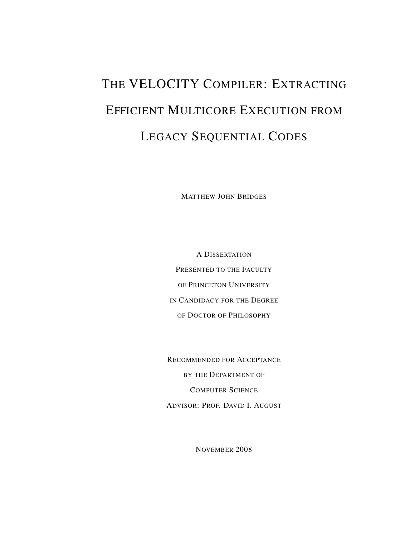# THE VELOCITY COMPILER: EXTRACTING EFFICIENT MULTICORE EXECUTION FROM LEGACY SEQUENTIAL CODES

MATTHEW JOHN BRIDGES

A DISSERTATION PRESENTED TO THE FACULTY OF PRINCETON UNIVERSITY IN CANDIDACY FOR THE DEGREE OF DOCTOR OF PHILOSOPHY

RECOMMENDED FOR ACCEPTANCE BY THE DEPARTMENT OF COMPUTER SCIENCE ADVISOR: PROF. DAVID I. AUGUST

NOVEMBER 2008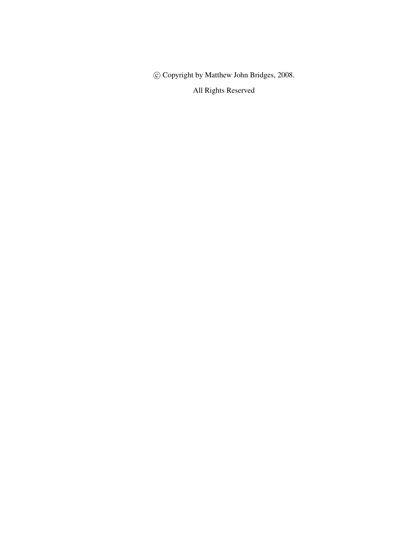c Copyright by Matthew John Bridges, 2008.

All Rights Reserved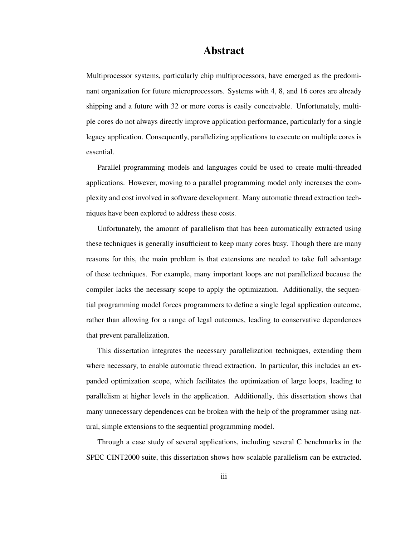#### Abstract

Multiprocessor systems, particularly chip multiprocessors, have emerged as the predominant organization for future microprocessors. Systems with 4, 8, and 16 cores are already shipping and a future with 32 or more cores is easily conceivable. Unfortunately, multiple cores do not always directly improve application performance, particularly for a single legacy application. Consequently, parallelizing applications to execute on multiple cores is essential.

Parallel programming models and languages could be used to create multi-threaded applications. However, moving to a parallel programming model only increases the complexity and cost involved in software development. Many automatic thread extraction techniques have been explored to address these costs.

Unfortunately, the amount of parallelism that has been automatically extracted using these techniques is generally insufficient to keep many cores busy. Though there are many reasons for this, the main problem is that extensions are needed to take full advantage of these techniques. For example, many important loops are not parallelized because the compiler lacks the necessary scope to apply the optimization. Additionally, the sequential programming model forces programmers to define a single legal application outcome, rather than allowing for a range of legal outcomes, leading to conservative dependences that prevent parallelization.

This dissertation integrates the necessary parallelization techniques, extending them where necessary, to enable automatic thread extraction. In particular, this includes an expanded optimization scope, which facilitates the optimization of large loops, leading to parallelism at higher levels in the application. Additionally, this dissertation shows that many unnecessary dependences can be broken with the help of the programmer using natural, simple extensions to the sequential programming model.

Through a case study of several applications, including several C benchmarks in the SPEC CINT2000 suite, this dissertation shows how scalable parallelism can be extracted.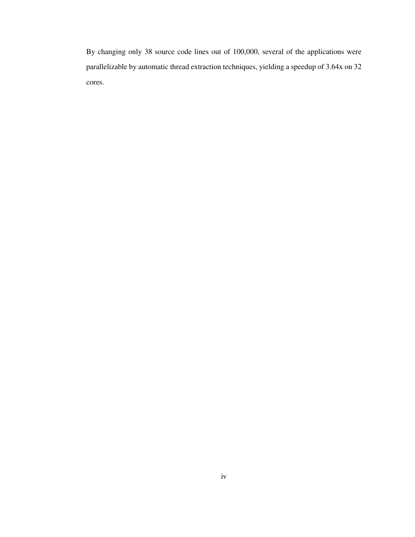By changing only 38 source code lines out of 100,000, several of the applications were parallelizable by automatic thread extraction techniques, yielding a speedup of 3.64x on 32 cores.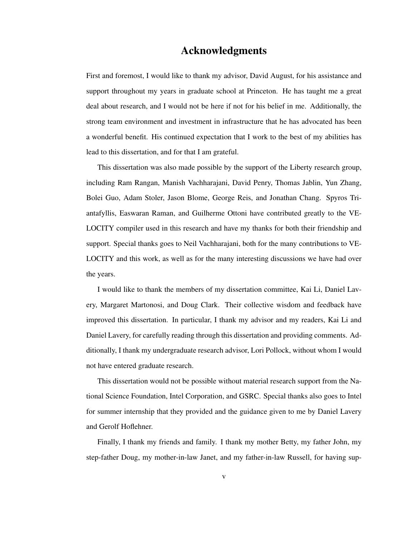#### Acknowledgments

First and foremost, I would like to thank my advisor, David August, for his assistance and support throughout my years in graduate school at Princeton. He has taught me a great deal about research, and I would not be here if not for his belief in me. Additionally, the strong team environment and investment in infrastructure that he has advocated has been a wonderful benefit. His continued expectation that I work to the best of my abilities has lead to this dissertation, and for that I am grateful.

This dissertation was also made possible by the support of the Liberty research group, including Ram Rangan, Manish Vachharajani, David Penry, Thomas Jablin, Yun Zhang, Bolei Guo, Adam Stoler, Jason Blome, George Reis, and Jonathan Chang. Spyros Triantafyllis, Easwaran Raman, and Guilherme Ottoni have contributed greatly to the VE-LOCITY compiler used in this research and have my thanks for both their friendship and support. Special thanks goes to Neil Vachharajani, both for the many contributions to VE-LOCITY and this work, as well as for the many interesting discussions we have had over the years.

I would like to thank the members of my dissertation committee, Kai Li, Daniel Lavery, Margaret Martonosi, and Doug Clark. Their collective wisdom and feedback have improved this dissertation. In particular, I thank my advisor and my readers, Kai Li and Daniel Lavery, for carefully reading through this dissertation and providing comments. Additionally, I thank my undergraduate research advisor, Lori Pollock, without whom I would not have entered graduate research.

This dissertation would not be possible without material research support from the National Science Foundation, Intel Corporation, and GSRC. Special thanks also goes to Intel for summer internship that they provided and the guidance given to me by Daniel Lavery and Gerolf Hoflehner.

Finally, I thank my friends and family. I thank my mother Betty, my father John, my step-father Doug, my mother-in-law Janet, and my father-in-law Russell, for having sup-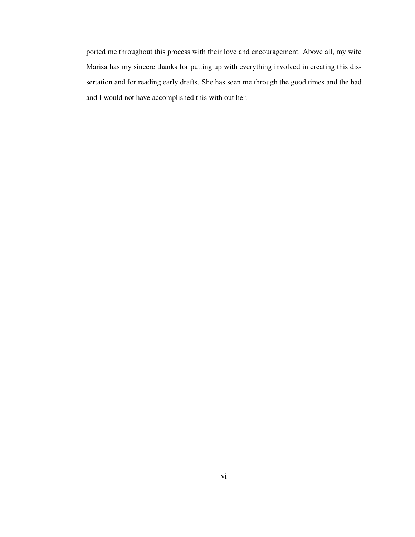ported me throughout this process with their love and encouragement. Above all, my wife Marisa has my sincere thanks for putting up with everything involved in creating this dissertation and for reading early drafts. She has seen me through the good times and the bad and I would not have accomplished this with out her.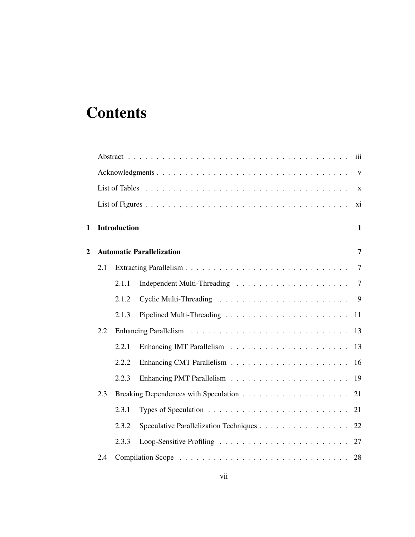## **Contents**

|     |       |                                                                                | xi                                                      |
|-----|-------|--------------------------------------------------------------------------------|---------------------------------------------------------|
|     |       |                                                                                | $\mathbf{1}$                                            |
|     |       |                                                                                | $\overline{7}$                                          |
| 2.1 |       |                                                                                | $\overline{7}$                                          |
|     | 2.1.1 |                                                                                | $\overline{7}$                                          |
|     | 2.1.2 |                                                                                |                                                         |
|     | 2.1.3 |                                                                                | 11                                                      |
| 2.2 |       |                                                                                | 13                                                      |
|     | 2.2.1 |                                                                                | 13                                                      |
|     | 2.2.2 |                                                                                | 16                                                      |
|     | 2.2.3 |                                                                                | 19                                                      |
| 2.3 |       |                                                                                | 21                                                      |
|     | 2.3.1 | Types of Speculation $\ldots \ldots \ldots \ldots \ldots \ldots \ldots \ldots$ | 21                                                      |
|     | 2.3.2 | Speculative Parallelization Techniques 22                                      |                                                         |
|     | 2.3.3 |                                                                                |                                                         |
| 2.4 |       |                                                                                |                                                         |
|     |       |                                                                                | <b>Introduction</b><br><b>Automatic Parallelization</b> |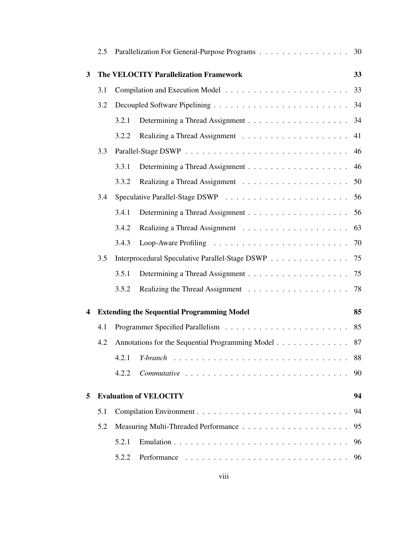|              | 2.5 |       | Parallelization For General-Purpose Programs 30     |    |
|--------------|-----|-------|-----------------------------------------------------|----|
| $\mathbf{3}$ |     |       | The VELOCITY Parallelization Framework              | 33 |
|              | 3.1 |       |                                                     | 33 |
|              | 3.2 |       |                                                     | 34 |
|              |     | 3.2.1 |                                                     |    |
|              |     | 3.2.2 |                                                     | 41 |
|              | 3.3 |       |                                                     | 46 |
|              |     | 3.3.1 |                                                     | 46 |
|              |     | 3.3.2 |                                                     | 50 |
|              | 3.4 |       |                                                     | 56 |
|              |     | 3.4.1 |                                                     | 56 |
|              |     | 3.4.2 |                                                     | 63 |
|              |     | 3.4.3 |                                                     |    |
|              | 3.5 |       | Interprocedural Speculative Parallel-Stage DSWP 75  |    |
|              |     | 3.5.1 |                                                     |    |
|              |     | 3.5.2 |                                                     |    |
| 4            |     |       | <b>Extending the Sequential Programming Model</b>   | 85 |
|              | 4.1 |       |                                                     | 85 |
|              | 4.2 |       | Annotations for the Sequential Programming Model 87 |    |
|              |     | 4.2.1 | Y-branch                                            | 88 |
|              |     | 4.2.2 |                                                     | 90 |
| 5            |     |       | <b>Evaluation of VELOCITY</b>                       | 94 |
|              | 5.1 |       |                                                     | 94 |
|              | 5.2 |       |                                                     | 95 |
|              |     | 5.2.1 |                                                     | 96 |
|              |     | 5.2.2 |                                                     | 96 |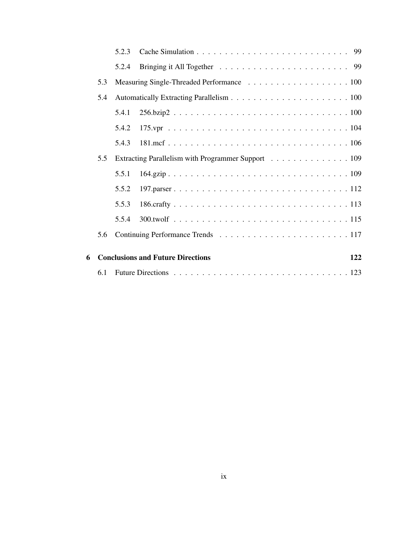|   |     | 5.2.3 |                                                    |     |
|---|-----|-------|----------------------------------------------------|-----|
|   |     | 5.2.4 |                                                    |     |
|   | 5.3 |       |                                                    |     |
|   | 5.4 |       |                                                    |     |
|   |     | 5.4.1 |                                                    |     |
|   |     | 5.4.2 |                                                    |     |
|   |     | 5.4.3 |                                                    |     |
|   | 5.5 |       | Extracting Parallelism with Programmer Support 109 |     |
|   |     | 5.5.1 |                                                    |     |
|   |     | 5.5.2 |                                                    |     |
|   |     | 5.5.3 |                                                    |     |
|   |     | 5.5.4 |                                                    |     |
|   | 5.6 |       |                                                    |     |
| 6 |     |       | <b>Conclusions and Future Directions</b>           | 122 |
|   |     |       |                                                    |     |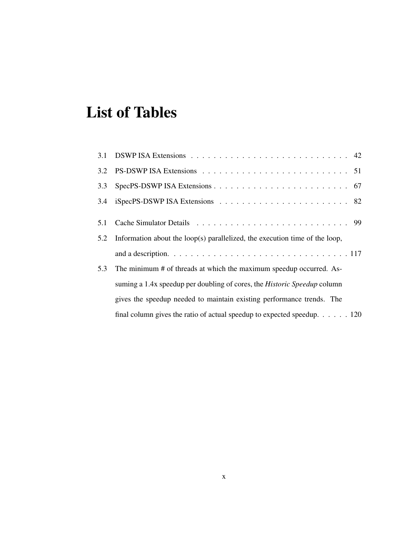## List of Tables

| 3.2 |                                                                                  |
|-----|----------------------------------------------------------------------------------|
| 3.3 |                                                                                  |
| 3.4 |                                                                                  |
|     |                                                                                  |
| 5.1 |                                                                                  |
| 5.2 | Information about the loop(s) parallelized, the execution time of the loop,      |
|     |                                                                                  |
| 5.3 | The minimum # of threads at which the maximum speedup occurred. As-              |
|     | suming a 1.4x speedup per doubling of cores, the Historic Speedup column         |
|     | gives the speedup needed to maintain existing performance trends. The            |
|     | final column gives the ratio of actual speedup to expected speedup. $\ldots$ 120 |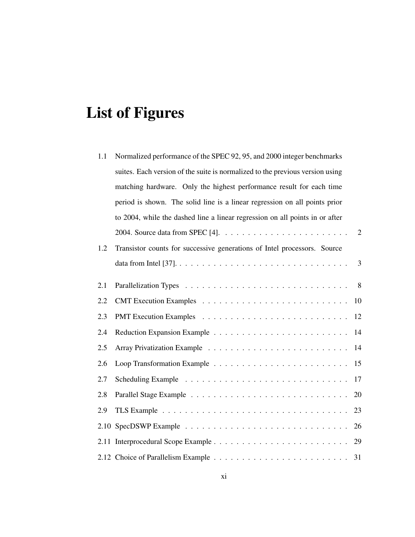# List of Figures

| 1.1 | Normalized performance of the SPEC 92, 95, and 2000 integer benchmarks        |  |  |
|-----|-------------------------------------------------------------------------------|--|--|
|     | suites. Each version of the suite is normalized to the previous version using |  |  |
|     | matching hardware. Only the highest performance result for each time          |  |  |
|     | period is shown. The solid line is a linear regression on all points prior    |  |  |
|     | to 2004, while the dashed line a linear regression on all points in or after  |  |  |
|     | 2                                                                             |  |  |
| 1.2 | Transistor counts for successive generations of Intel processors. Source      |  |  |
|     | 3                                                                             |  |  |
| 2.1 | 8                                                                             |  |  |
| 2.2 | 10                                                                            |  |  |
| 2.3 | 12                                                                            |  |  |
| 2.4 | 14                                                                            |  |  |
| 2.5 | 14                                                                            |  |  |
| 2.6 | 15                                                                            |  |  |
| 2.7 | 17                                                                            |  |  |
| 2.8 | 20                                                                            |  |  |
| 2.9 | 23                                                                            |  |  |
|     | 26                                                                            |  |  |
|     |                                                                               |  |  |
|     |                                                                               |  |  |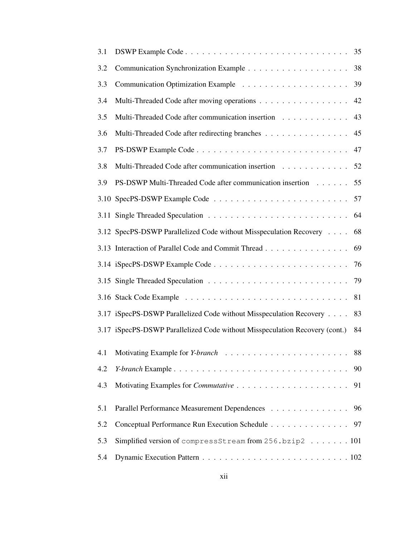| 3.1 |                                                                             |    |
|-----|-----------------------------------------------------------------------------|----|
| 3.2 |                                                                             | 38 |
| 3.3 |                                                                             | 39 |
| 3.4 | Multi-Threaded Code after moving operations                                 | 42 |
| 3.5 | Multi-Threaded Code after communication insertion                           | 43 |
| 3.6 | Multi-Threaded Code after redirecting branches                              | 45 |
| 3.7 |                                                                             |    |
| 3.8 | Multi-Threaded Code after communication insertion                           | 52 |
| 3.9 | PS-DSWP Multi-Threaded Code after communication insertion                   | 55 |
|     |                                                                             | 57 |
|     |                                                                             | 64 |
|     | 3.12 SpecPS-DSWP Parallelized Code without Misspeculation Recovery          | 68 |
|     | 3.13 Interaction of Parallel Code and Commit Thread                         | 69 |
|     |                                                                             | 76 |
|     |                                                                             | 79 |
|     |                                                                             | 81 |
|     | 3.17 iSpecPS-DSWP Parallelized Code without Misspeculation Recovery         | 83 |
|     | 3.17 iSpecPS-DSWP Parallelized Code without Misspeculation Recovery (cont.) | 84 |
|     |                                                                             | 88 |
| 4.2 |                                                                             | 90 |
| 4.3 |                                                                             | 91 |
|     |                                                                             |    |
| 5.1 | Parallel Performance Measurement Dependences                                | 96 |
| 5.2 | Conceptual Performance Run Execution Schedule                               | 97 |
| 5.3 | Simplified version of compressStream from 256.bzip2 101                     |    |
| 5.4 |                                                                             |    |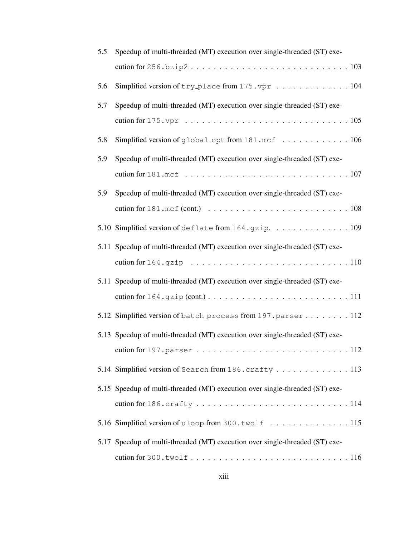| 5.5 | Speedup of multi-threaded (MT) execution over single-threaded (ST) exe-                       |
|-----|-----------------------------------------------------------------------------------------------|
|     |                                                                                               |
| 5.6 | Simplified version of try_place from 175.vpr 104                                              |
| 5.7 | Speedup of multi-threaded (MT) execution over single-threaded (ST) exe-                       |
|     |                                                                                               |
| 5.8 | Simplified version of global_opt from 181.mcf 106                                             |
| 5.9 | Speedup of multi-threaded (MT) execution over single-threaded (ST) exe-                       |
|     |                                                                                               |
| 5.9 | Speedup of multi-threaded (MT) execution over single-threaded (ST) exe-                       |
|     |                                                                                               |
|     | 5.10 Simplified version of deflate from 164.gzip. 109                                         |
|     | 5.11 Speedup of multi-threaded (MT) execution over single-threaded (ST) exe-                  |
|     |                                                                                               |
|     | 5.11 Speedup of multi-threaded (MT) execution over single-threaded (ST) exe-                  |
|     |                                                                                               |
|     | 5.12 Simplified version of batch process from 197. parser 112                                 |
|     | 5.13 Speedup of multi-threaded (MT) execution over single-threaded (ST) exe-                  |
|     | cution for $197.$ parser $\ldots \ldots \ldots \ldots \ldots \ldots \ldots \ldots \ldots 112$ |
|     | 5.14 Simplified version of Search from 186. crafty 113                                        |
|     | 5.15 Speedup of multi-threaded (MT) execution over single-threaded (ST) exe-                  |
|     |                                                                                               |
|     | 5.16 Simplified version of uloop from 300.twolf  115                                          |
|     | 5.17 Speedup of multi-threaded (MT) execution over single-threaded (ST) exe-                  |
|     |                                                                                               |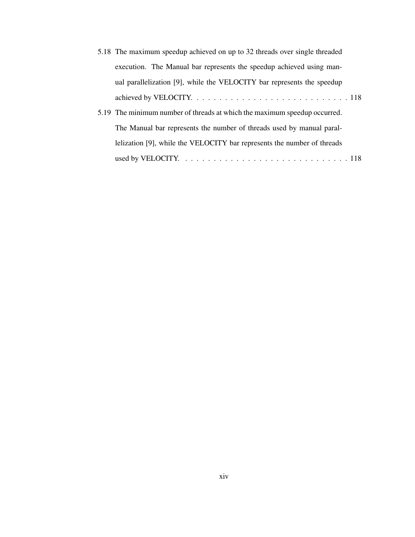| 5.18 The maximum speedup achieved on up to 32 threads over single threaded                           |
|------------------------------------------------------------------------------------------------------|
| execution. The Manual bar represents the speedup achieved using man-                                 |
| ual parallelization [9], while the VELOCITY bar represents the speedup                               |
|                                                                                                      |
| 5.19 The minimum number of threads at which the maximum speedup occurred.                            |
| The Manual bar represents the number of threads used by manual paral-                                |
| lelization [9], while the VELOCITY bar represents the number of threads                              |
| used by VELOCITY. $\ldots \ldots \ldots \ldots \ldots \ldots \ldots \ldots \ldots \ldots \ldots 118$ |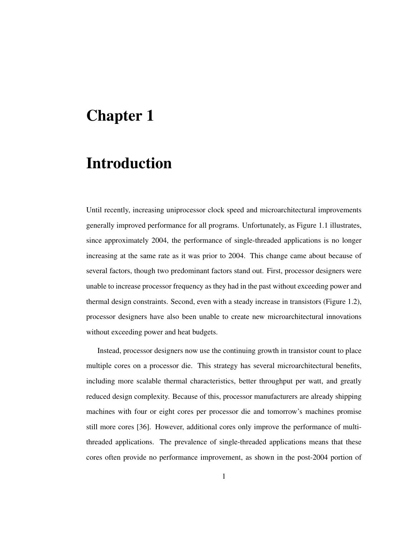## Chapter 1

## Introduction

Until recently, increasing uniprocessor clock speed and microarchitectural improvements generally improved performance for all programs. Unfortunately, as Figure 1.1 illustrates, since approximately 2004, the performance of single-threaded applications is no longer increasing at the same rate as it was prior to 2004. This change came about because of several factors, though two predominant factors stand out. First, processor designers were unable to increase processor frequency as they had in the past without exceeding power and thermal design constraints. Second, even with a steady increase in transistors (Figure 1.2), processor designers have also been unable to create new microarchitectural innovations without exceeding power and heat budgets.

Instead, processor designers now use the continuing growth in transistor count to place multiple cores on a processor die. This strategy has several microarchitectural benefits, including more scalable thermal characteristics, better throughput per watt, and greatly reduced design complexity. Because of this, processor manufacturers are already shipping machines with four or eight cores per processor die and tomorrow's machines promise still more cores [36]. However, additional cores only improve the performance of multithreaded applications. The prevalence of single-threaded applications means that these cores often provide no performance improvement, as shown in the post-2004 portion of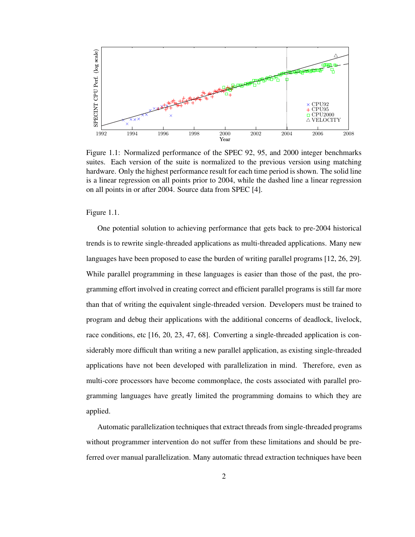

Figure 1.1: Normalized performance of the SPEC 92, 95, and 2000 integer benchmarks suites. Each version of the suite is normalized to the previous version using matching hardware. Only the highest performance result for each time period is shown. The solid line is a linear regression on all points prior to 2004, while the dashed line a linear regression on all points in or after 2004. Source data from SPEC [4].

Figure 1.1.

One potential solution to achieving performance that gets back to pre-2004 historical trends is to rewrite single-threaded applications as multi-threaded applications. Many new languages have been proposed to ease the burden of writing parallel programs [12, 26, 29]. While parallel programming in these languages is easier than those of the past, the programming effort involved in creating correct and efficient parallel programs is still far more than that of writing the equivalent single-threaded version. Developers must be trained to program and debug their applications with the additional concerns of deadlock, livelock, race conditions, etc [16, 20, 23, 47, 68]. Converting a single-threaded application is considerably more difficult than writing a new parallel application, as existing single-threaded applications have not been developed with parallelization in mind. Therefore, even as multi-core processors have become commonplace, the costs associated with parallel programming languages have greatly limited the programming domains to which they are applied.

Automatic parallelization techniquesthat extract threadsfrom single-threaded programs without programmer intervention do not suffer from these limitations and should be preferred over manual parallelization. Many automatic thread extraction techniques have been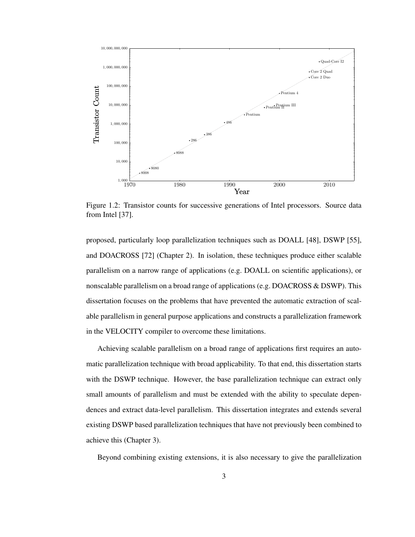

Figure 1.2: Transistor counts for successive generations of Intel processors. Source data from Intel [37].

proposed, particularly loop parallelization techniques such as DOALL [48], DSWP [55], and DOACROSS [72] (Chapter 2). In isolation, these techniques produce either scalable parallelism on a narrow range of applications (e.g. DOALL on scientific applications), or nonscalable parallelism on a broad range of applications (e.g. DOACROSS & DSWP). This dissertation focuses on the problems that have prevented the automatic extraction of scalable parallelism in general purpose applications and constructs a parallelization framework in the VELOCITY compiler to overcome these limitations.

Achieving scalable parallelism on a broad range of applications first requires an automatic parallelization technique with broad applicability. To that end, this dissertation starts with the DSWP technique. However, the base parallelization technique can extract only small amounts of parallelism and must be extended with the ability to speculate dependences and extract data-level parallelism. This dissertation integrates and extends several existing DSWP based parallelization techniques that have not previously been combined to achieve this (Chapter 3).

Beyond combining existing extensions, it is also necessary to give the parallelization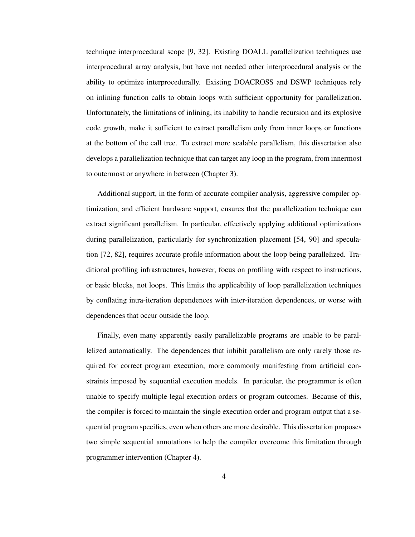technique interprocedural scope [9, 32]. Existing DOALL parallelization techniques use interprocedural array analysis, but have not needed other interprocedural analysis or the ability to optimize interprocedurally. Existing DOACROSS and DSWP techniques rely on inlining function calls to obtain loops with sufficient opportunity for parallelization. Unfortunately, the limitations of inlining, its inability to handle recursion and its explosive code growth, make it sufficient to extract parallelism only from inner loops or functions at the bottom of the call tree. To extract more scalable parallelism, this dissertation also develops a parallelization technique that can target any loop in the program, from innermost to outermost or anywhere in between (Chapter 3).

Additional support, in the form of accurate compiler analysis, aggressive compiler optimization, and efficient hardware support, ensures that the parallelization technique can extract significant parallelism. In particular, effectively applying additional optimizations during parallelization, particularly for synchronization placement [54, 90] and speculation [72, 82], requires accurate profile information about the loop being parallelized. Traditional profiling infrastructures, however, focus on profiling with respect to instructions, or basic blocks, not loops. This limits the applicability of loop parallelization techniques by conflating intra-iteration dependences with inter-iteration dependences, or worse with dependences that occur outside the loop.

Finally, even many apparently easily parallelizable programs are unable to be parallelized automatically. The dependences that inhibit parallelism are only rarely those required for correct program execution, more commonly manifesting from artificial constraints imposed by sequential execution models. In particular, the programmer is often unable to specify multiple legal execution orders or program outcomes. Because of this, the compiler is forced to maintain the single execution order and program output that a sequential program specifies, even when others are more desirable. This dissertation proposes two simple sequential annotations to help the compiler overcome this limitation through programmer intervention (Chapter 4).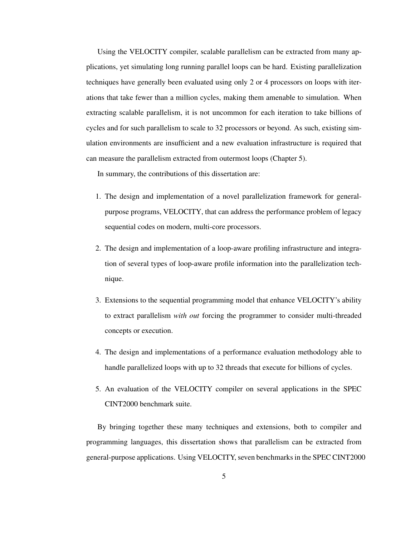Using the VELOCITY compiler, scalable parallelism can be extracted from many applications, yet simulating long running parallel loops can be hard. Existing parallelization techniques have generally been evaluated using only 2 or 4 processors on loops with iterations that take fewer than a million cycles, making them amenable to simulation. When extracting scalable parallelism, it is not uncommon for each iteration to take billions of cycles and for such parallelism to scale to 32 processors or beyond. As such, existing simulation environments are insufficient and a new evaluation infrastructure is required that can measure the parallelism extracted from outermost loops (Chapter 5).

In summary, the contributions of this dissertation are:

- 1. The design and implementation of a novel parallelization framework for generalpurpose programs, VELOCITY, that can address the performance problem of legacy sequential codes on modern, multi-core processors.
- 2. The design and implementation of a loop-aware profiling infrastructure and integration of several types of loop-aware profile information into the parallelization technique.
- 3. Extensions to the sequential programming model that enhance VELOCITY's ability to extract parallelism *with out* forcing the programmer to consider multi-threaded concepts or execution.
- 4. The design and implementations of a performance evaluation methodology able to handle parallelized loops with up to 32 threads that execute for billions of cycles.
- 5. An evaluation of the VELOCITY compiler on several applications in the SPEC CINT2000 benchmark suite.

By bringing together these many techniques and extensions, both to compiler and programming languages, this dissertation shows that parallelism can be extracted from general-purpose applications. Using VELOCITY, seven benchmarks in the SPEC CINT2000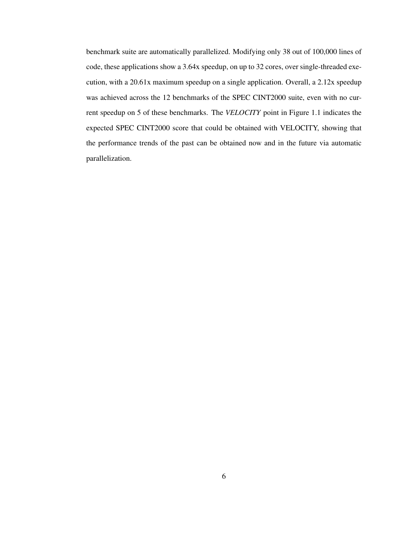benchmark suite are automatically parallelized. Modifying only 38 out of 100,000 lines of code, these applications show a 3.64x speedup, on up to 32 cores, over single-threaded execution, with a 20.61x maximum speedup on a single application. Overall, a 2.12x speedup was achieved across the 12 benchmarks of the SPEC CINT2000 suite, even with no current speedup on 5 of these benchmarks. The *VELOCITY* point in Figure 1.1 indicates the expected SPEC CINT2000 score that could be obtained with VELOCITY, showing that the performance trends of the past can be obtained now and in the future via automatic parallelization.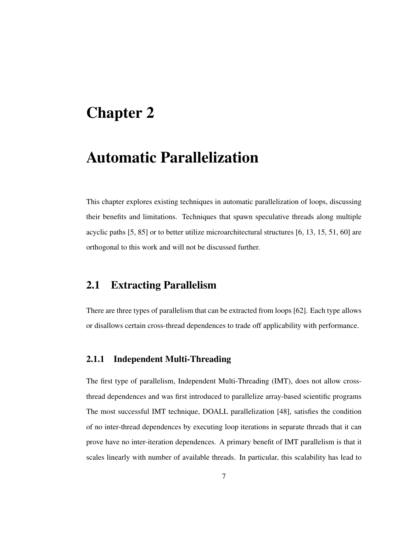### Chapter 2

### Automatic Parallelization

This chapter explores existing techniques in automatic parallelization of loops, discussing their benefits and limitations. Techniques that spawn speculative threads along multiple acyclic paths [5, 85] or to better utilize microarchitectural structures [6, 13, 15, 51, 60] are orthogonal to this work and will not be discussed further.

#### 2.1 Extracting Parallelism

There are three types of parallelism that can be extracted from loops [62]. Each type allows or disallows certain cross-thread dependences to trade off applicability with performance.

#### 2.1.1 Independent Multi-Threading

The first type of parallelism, Independent Multi-Threading (IMT), does not allow crossthread dependences and was first introduced to parallelize array-based scientific programs The most successful IMT technique, DOALL parallelization [48], satisfies the condition of no inter-thread dependences by executing loop iterations in separate threads that it can prove have no inter-iteration dependences. A primary benefit of IMT parallelism is that it scales linearly with number of available threads. In particular, this scalability has lead to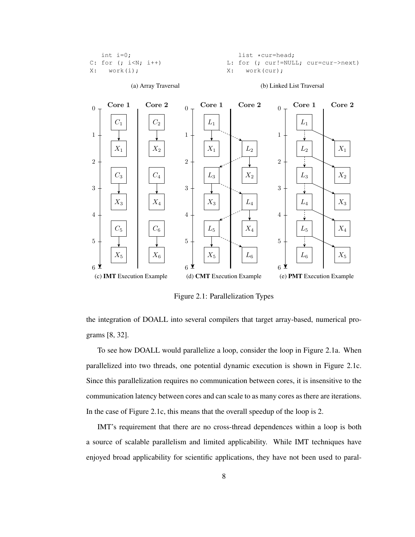| int i= $0$ :            | list *cur=head:                     |
|-------------------------|-------------------------------------|
| $C: for (; i < N; i++)$ | L: for (; cur!=NULL; cur=cur->next) |
| X: word(i);             | X: work(cur);                       |



Figure 2.1: Parallelization Types

the integration of DOALL into several compilers that target array-based, numerical programs [8, 32].

To see how DOALL would parallelize a loop, consider the loop in Figure 2.1a. When parallelized into two threads, one potential dynamic execution is shown in Figure 2.1c. Since this parallelization requires no communication between cores, it is insensitive to the communication latency between cores and can scale to as many cores as there are iterations. In the case of Figure 2.1c, this means that the overall speedup of the loop is 2.

IMT's requirement that there are no cross-thread dependences within a loop is both a source of scalable parallelism and limited applicability. While IMT techniques have enjoyed broad applicability for scientific applications, they have not been used to paral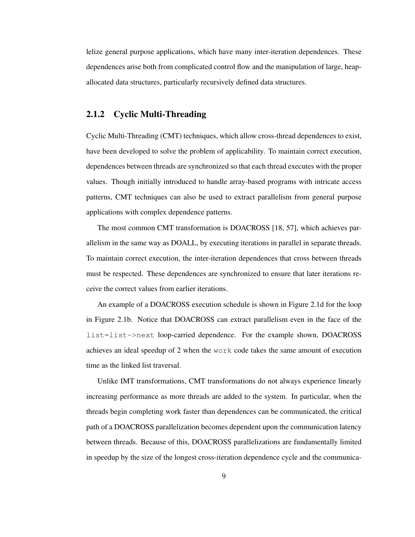lelize general purpose applications, which have many inter-iteration dependences. These dependences arise both from complicated control flow and the manipulation of large, heapallocated data structures, particularly recursively defined data structures.

#### 2.1.2 Cyclic Multi-Threading

Cyclic Multi-Threading (CMT) techniques, which allow cross-thread dependences to exist, have been developed to solve the problem of applicability. To maintain correct execution, dependences between threads are synchronized so that each thread executes with the proper values. Though initially introduced to handle array-based programs with intricate access patterns, CMT techniques can also be used to extract parallelism from general purpose applications with complex dependence patterns.

The most common CMT transformation is DOACROSS [18, 57], which achieves parallelism in the same way as DOALL, by executing iterations in parallel in separate threads. To maintain correct execution, the inter-iteration dependences that cross between threads must be respected. These dependences are synchronized to ensure that later iterations receive the correct values from earlier iterations.

An example of a DOACROSS execution schedule is shown in Figure 2.1d for the loop in Figure 2.1b. Notice that DOACROSS can extract parallelism even in the face of the list=list->next loop-carried dependence. For the example shown, DOACROSS achieves an ideal speedup of 2 when the work code takes the same amount of execution time as the linked list traversal.

Unlike IMT transformations, CMT transformations do not always experience linearly increasing performance as more threads are added to the system. In particular, when the threads begin completing work faster than dependences can be communicated, the critical path of a DOACROSS parallelization becomes dependent upon the communication latency between threads. Because of this, DOACROSS parallelizations are fundamentally limited in speedup by the size of the longest cross-iteration dependence cycle and the communica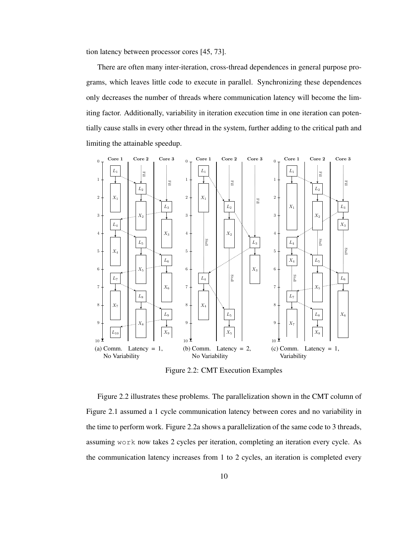tion latency between processor cores [45, 73].

There are often many inter-iteration, cross-thread dependences in general purpose programs, which leaves little code to execute in parallel. Synchronizing these dependences only decreases the number of threads where communication latency will become the limiting factor. Additionally, variability in iteration execution time in one iteration can potentially cause stalls in every other thread in the system, further adding to the critical path and limiting the attainable speedup.



Figure 2.2: CMT Execution Examples

Figure 2.2 illustrates these problems. The parallelization shown in the CMT column of Figure 2.1 assumed a 1 cycle communication latency between cores and no variability in the time to perform work. Figure 2.2a shows a parallelization of the same code to 3 threads, assuming work now takes 2 cycles per iteration, completing an iteration every cycle. As the communication latency increases from 1 to 2 cycles, an iteration is completed every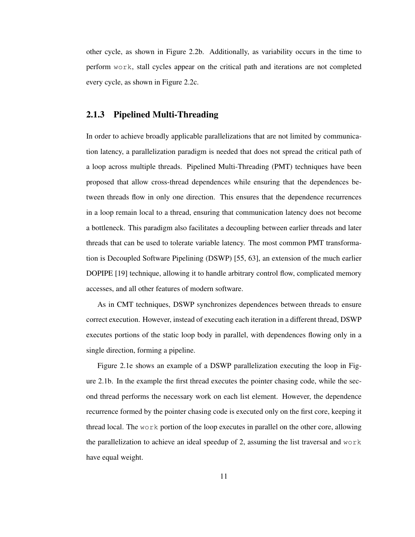other cycle, as shown in Figure 2.2b. Additionally, as variability occurs in the time to perform work, stall cycles appear on the critical path and iterations are not completed every cycle, as shown in Figure 2.2c.

#### 2.1.3 Pipelined Multi-Threading

In order to achieve broadly applicable parallelizations that are not limited by communication latency, a parallelization paradigm is needed that does not spread the critical path of a loop across multiple threads. Pipelined Multi-Threading (PMT) techniques have been proposed that allow cross-thread dependences while ensuring that the dependences between threads flow in only one direction. This ensures that the dependence recurrences in a loop remain local to a thread, ensuring that communication latency does not become a bottleneck. This paradigm also facilitates a decoupling between earlier threads and later threads that can be used to tolerate variable latency. The most common PMT transformation is Decoupled Software Pipelining (DSWP) [55, 63], an extension of the much earlier DOPIPE [19] technique, allowing it to handle arbitrary control flow, complicated memory accesses, and all other features of modern software.

As in CMT techniques, DSWP synchronizes dependences between threads to ensure correct execution. However, instead of executing each iteration in a different thread, DSWP executes portions of the static loop body in parallel, with dependences flowing only in a single direction, forming a pipeline.

Figure 2.1e shows an example of a DSWP parallelization executing the loop in Figure 2.1b. In the example the first thread executes the pointer chasing code, while the second thread performs the necessary work on each list element. However, the dependence recurrence formed by the pointer chasing code is executed only on the first core, keeping it thread local. The work portion of the loop executes in parallel on the other core, allowing the parallelization to achieve an ideal speedup of 2, assuming the list traversal and  $work$ have equal weight.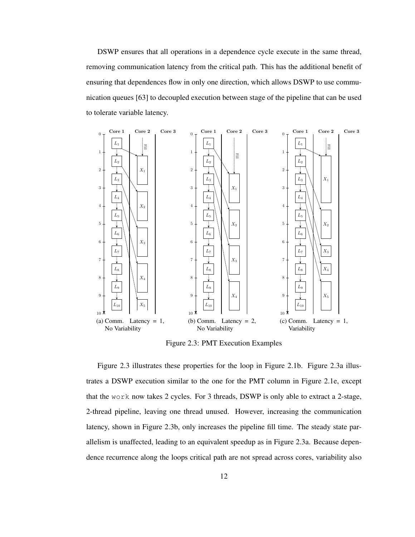DSWP ensures that all operations in a dependence cycle execute in the same thread, removing communication latency from the critical path. This has the additional benefit of ensuring that dependences flow in only one direction, which allows DSWP to use communication queues [63] to decoupled execution between stage of the pipeline that can be used to tolerate variable latency.



Figure 2.3: PMT Execution Examples

Figure 2.3 illustrates these properties for the loop in Figure 2.1b. Figure 2.3a illustrates a DSWP execution similar to the one for the PMT column in Figure 2.1e, except that the work now takes 2 cycles. For 3 threads, DSWP is only able to extract a 2-stage, 2-thread pipeline, leaving one thread unused. However, increasing the communication latency, shown in Figure 2.3b, only increases the pipeline fill time. The steady state parallelism is unaffected, leading to an equivalent speedup as in Figure 2.3a. Because dependence recurrence along the loops critical path are not spread across cores, variability also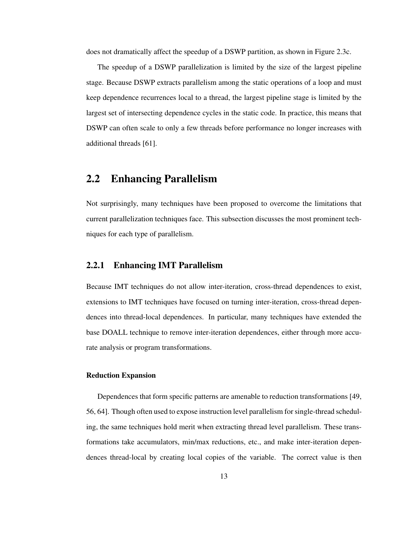does not dramatically affect the speedup of a DSWP partition, as shown in Figure 2.3c.

The speedup of a DSWP parallelization is limited by the size of the largest pipeline stage. Because DSWP extracts parallelism among the static operations of a loop and must keep dependence recurrences local to a thread, the largest pipeline stage is limited by the largest set of intersecting dependence cycles in the static code. In practice, this means that DSWP can often scale to only a few threads before performance no longer increases with additional threads [61].

#### 2.2 Enhancing Parallelism

Not surprisingly, many techniques have been proposed to overcome the limitations that current parallelization techniques face. This subsection discusses the most prominent techniques for each type of parallelism.

#### 2.2.1 Enhancing IMT Parallelism

Because IMT techniques do not allow inter-iteration, cross-thread dependences to exist, extensions to IMT techniques have focused on turning inter-iteration, cross-thread dependences into thread-local dependences. In particular, many techniques have extended the base DOALL technique to remove inter-iteration dependences, either through more accurate analysis or program transformations.

#### Reduction Expansion

Dependences that form specific patterns are amenable to reduction transformations [49, 56, 64]. Though often used to expose instruction level parallelism forsingle-thread scheduling, the same techniques hold merit when extracting thread level parallelism. These transformations take accumulators, min/max reductions, etc., and make inter-iteration dependences thread-local by creating local copies of the variable. The correct value is then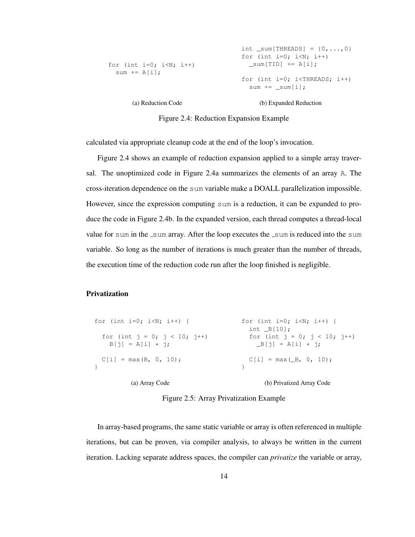```
for (int i=0; i<N; i++)
sum += A[i];(a) Reduction Code
                                     int _sum[THREADS] = \{0, ..., 0\}for (int i=0; i< N; i++)
                                       \text{\_sumsum}[TID] += A[i];
                                    for (int i=0; i<THREADS; i++)
                                       sum += _sum[i];
                                           (b) Expanded Reduction
```
Figure 2.4: Reduction Expansion Example

calculated via appropriate cleanup code at the end of the loop's invocation.

Figure 2.4 shows an example of reduction expansion applied to a simple array traversal. The unoptimized code in Figure 2.4a summarizes the elements of an array A. The cross-iteration dependence on the sum variable make a DOALL parallelization impossible. However, since the expression computing sum is a reduction, it can be expanded to produce the code in Figure 2.4b. In the expanded version, each thread computes a thread-local value for sum in the  $\text{sum}$  array. After the loop executes the  $\text{sum}$  is reduced into the sum variable. So long as the number of iterations is much greater than the number of threads, the execution time of the reduction code run after the loop finished is negligible.

#### Privatization

| for (int i=0; i <n; i++)="" th="" {<=""><th>for (int i=0; i<n; i++)="" {<br="">int <math>B[10]</math>;</n;></th></n;> | for (int i=0; i <n; i++)="" {<br="">int <math>B[10]</math>;</n;> |
|-----------------------------------------------------------------------------------------------------------------------|------------------------------------------------------------------|
| for (int $j = 0$ ; $j < 10$ ; $j^{++}$ )<br>$B[j] = A[i] * j;$                                                        | for (int $j = 0; j < 10; j++)$<br>$B[i] = A[i] \cdot i;$         |
| $C[i] = max(B, 0, 10);$                                                                                               | $C[i] = max(\_B, 0, 10);$                                        |
| (a) Array Code                                                                                                        | (b) Privatized Array Code                                        |

Figure 2.5: Array Privatization Example

In array-based programs, the same static variable or array is often referenced in multiple iterations, but can be proven, via compiler analysis, to always be written in the current iteration. Lacking separate address spaces, the compiler can *privatize* the variable or array,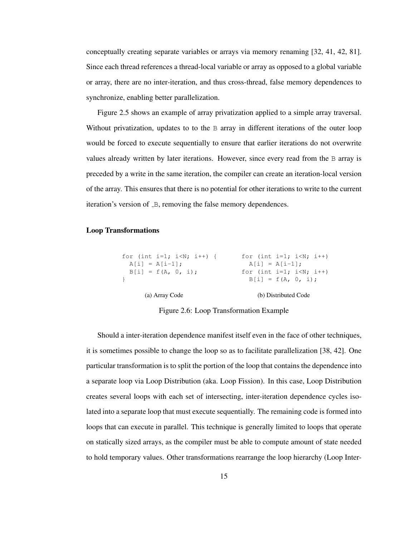conceptually creating separate variables or arrays via memory renaming [32, 41, 42, 81]. Since each thread references a thread-local variable or array as opposed to a global variable or array, there are no inter-iteration, and thus cross-thread, false memory dependences to synchronize, enabling better parallelization.

Figure 2.5 shows an example of array privatization applied to a simple array traversal. Without privatization, updates to to the B array in different iterations of the outer loop would be forced to execute sequentially to ensure that earlier iterations do not overwrite values already written by later iterations. However, since every read from the B array is preceded by a write in the same iteration, the compiler can create an iteration-local version of the array. This ensures that there is no potential for other iterations to write to the current iteration's version of  $B$ , removing the false memory dependences.

#### Loop Transformations

| (a) Array Code                                                                                | (b) Distributed Code                     |
|-----------------------------------------------------------------------------------------------|------------------------------------------|
|                                                                                               | $B[i] = f(A, 0, i);$                     |
| $B[i] = f(A, 0, i);$                                                                          | for (int i=1; i <n; i++)<="" td=""></n;> |
| $A[i] = A[i-1]$                                                                               | $A[i] = A[i-1]$ :                        |
| for (int i=1; i <n; i++)="" td="" {<=""><td>for (int i=1; i<n; i++)<="" td=""></n;></td></n;> | for (int i=1; i <n; i++)<="" td=""></n;> |

Figure 2.6: Loop Transformation Example

Should a inter-iteration dependence manifest itself even in the face of other techniques, it is sometimes possible to change the loop so as to facilitate parallelization [38, 42]. One particular transformation is to split the portion of the loop that contains the dependence into a separate loop via Loop Distribution (aka. Loop Fission). In this case, Loop Distribution creates several loops with each set of intersecting, inter-iteration dependence cycles isolated into a separate loop that must execute sequentially. The remaining code is formed into loops that can execute in parallel. This technique is generally limited to loops that operate on statically sized arrays, as the compiler must be able to compute amount of state needed to hold temporary values. Other transformations rearrange the loop hierarchy (Loop Inter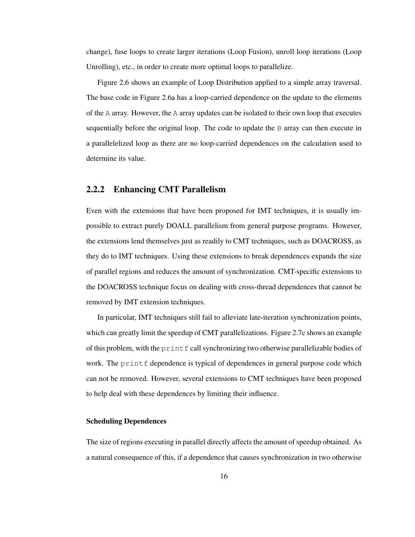change), fuse loops to create larger iterations (Loop Fusion), unroll loop iterations (Loop Unrolling), etc., in order to create more optimal loops to parallelize.

Figure 2.6 shows an example of Loop Distribution applied to a simple array traversal. The base code in Figure 2.6a has a loop-carried dependence on the update to the elements of the A array. However, the A array updates can be isolated to their own loop that executes sequentially before the original loop. The code to update the  $\overline{B}$  array can then execute in a parallelelized loop as there are no loop-carried dependences on the calculation used to determine its value.

#### 2.2.2 Enhancing CMT Parallelism

Even with the extensions that have been proposed for IMT techniques, it is usually impossible to extract purely DOALL parallelism from general purpose programs. However, the extensions lend themselves just as readily to CMT techniques, such as DOACROSS, as they do to IMT techniques. Using these extensions to break dependences expands the size of parallel regions and reduces the amount of synchronization. CMT-specific extensions to the DOACROSS technique focus on dealing with cross-thread dependences that cannot be removed by IMT extension techniques.

In particular, IMT techniques still fail to alleviate late-iteration synchronization points, which can greatly limit the speedup of CMT parallelizations. Figure 2.7c shows an example of this problem, with the  $\text{print}$  f call synchronizing two otherwise parallelizable bodies of work. The  $print$  dependence is typical of dependences in general purpose code which can not be removed. However, several extensions to CMT techniques have been proposed to help deal with these dependences by limiting their influence.

#### Scheduling Dependences

The size of regions executing in parallel directly affects the amount of speedup obtained. As a natural consequence of this, if a dependence that causes synchronization in two otherwise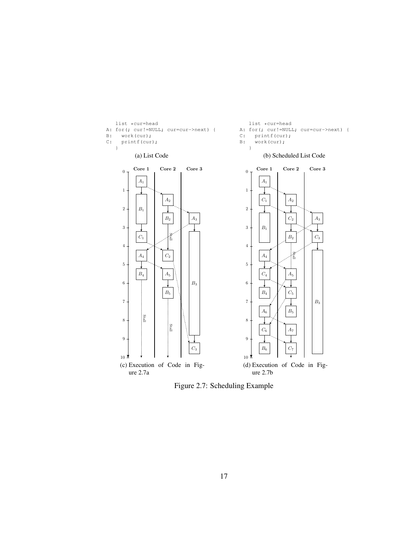

Figure 2.7: Scheduling Example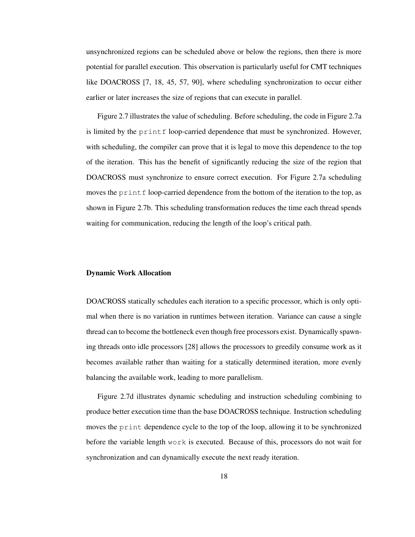unsynchronized regions can be scheduled above or below the regions, then there is more potential for parallel execution. This observation is particularly useful for CMT techniques like DOACROSS [7, 18, 45, 57, 90], where scheduling synchronization to occur either earlier or later increases the size of regions that can execute in parallel.

Figure 2.7 illustrates the value of scheduling. Before scheduling, the code in Figure 2.7a is limited by the print f loop-carried dependence that must be synchronized. However, with scheduling, the compiler can prove that it is legal to move this dependence to the top of the iteration. This has the benefit of significantly reducing the size of the region that DOACROSS must synchronize to ensure correct execution. For Figure 2.7a scheduling moves the  $print$  loop-carried dependence from the bottom of the iteration to the top, as shown in Figure 2.7b. This scheduling transformation reduces the time each thread spends waiting for communication, reducing the length of the loop's critical path.

#### Dynamic Work Allocation

DOACROSS statically schedules each iteration to a specific processor, which is only optimal when there is no variation in runtimes between iteration. Variance can cause a single thread can to become the bottleneck even though free processors exist. Dynamically spawning threads onto idle processors [28] allows the processors to greedily consume work as it becomes available rather than waiting for a statically determined iteration, more evenly balancing the available work, leading to more parallelism.

Figure 2.7d illustrates dynamic scheduling and instruction scheduling combining to produce better execution time than the base DOACROSS technique. Instruction scheduling moves the print dependence cycle to the top of the loop, allowing it to be synchronized before the variable length work is executed. Because of this, processors do not wait for synchronization and can dynamically execute the next ready iteration.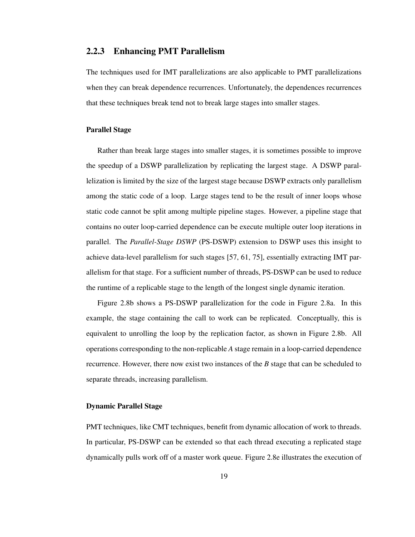#### 2.2.3 Enhancing PMT Parallelism

The techniques used for IMT parallelizations are also applicable to PMT parallelizations when they can break dependence recurrences. Unfortunately, the dependences recurrences that these techniques break tend not to break large stages into smaller stages.

#### Parallel Stage

Rather than break large stages into smaller stages, it is sometimes possible to improve the speedup of a DSWP parallelization by replicating the largest stage. A DSWP parallelization is limited by the size of the largest stage because DSWP extracts only parallelism among the static code of a loop. Large stages tend to be the result of inner loops whose static code cannot be split among multiple pipeline stages. However, a pipeline stage that contains no outer loop-carried dependence can be execute multiple outer loop iterations in parallel. The *Parallel-Stage DSWP* (PS-DSWP) extension to DSWP uses this insight to achieve data-level parallelism for such stages [57, 61, 75], essentially extracting IMT parallelism for that stage. For a sufficient number of threads, PS-DSWP can be used to reduce the runtime of a replicable stage to the length of the longest single dynamic iteration.

Figure 2.8b shows a PS-DSWP parallelization for the code in Figure 2.8a. In this example, the stage containing the call to work can be replicated. Conceptually, this is equivalent to unrolling the loop by the replication factor, as shown in Figure 2.8b. All operations corresponding to the non-replicable *A* stage remain in a loop-carried dependence recurrence. However, there now exist two instances of the *B* stage that can be scheduled to separate threads, increasing parallelism.

#### Dynamic Parallel Stage

PMT techniques, like CMT techniques, benefit from dynamic allocation of work to threads. In particular, PS-DSWP can be extended so that each thread executing a replicated stage dynamically pulls work off of a master work queue. Figure 2.8e illustrates the execution of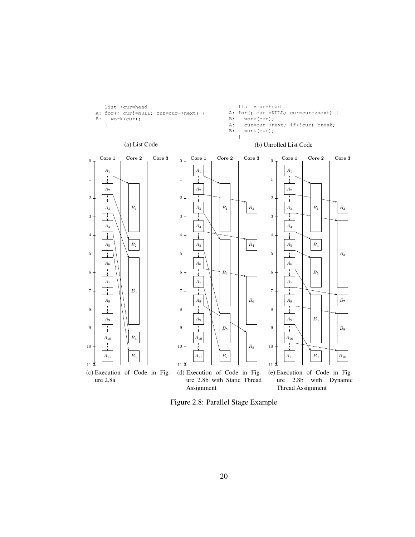

list \*cur=head

A: for(; cur!=NULL; cur=cur->next) {

list \*cur=head

A: for(; cur!=NULL; cur=cur->next) {

Figure 2.8: Parallel Stage Example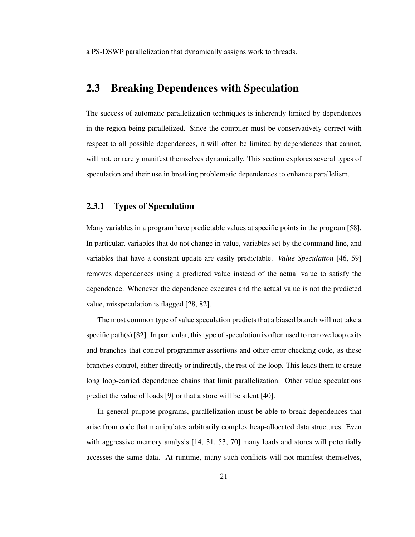a PS-DSWP parallelization that dynamically assigns work to threads.

#### 2.3 Breaking Dependences with Speculation

The success of automatic parallelization techniques is inherently limited by dependences in the region being parallelized. Since the compiler must be conservatively correct with respect to all possible dependences, it will often be limited by dependences that cannot, will not, or rarely manifest themselves dynamically. This section explores several types of speculation and their use in breaking problematic dependences to enhance parallelism.

#### 2.3.1 Types of Speculation

Many variables in a program have predictable values at specific points in the program [58]. In particular, variables that do not change in value, variables set by the command line, and variables that have a constant update are easily predictable. *Value Speculation* [46, 59] removes dependences using a predicted value instead of the actual value to satisfy the dependence. Whenever the dependence executes and the actual value is not the predicted value, misspeculation is flagged [28, 82].

The most common type of value speculation predicts that a biased branch will not take a specific path(s)  $[82]$ . In particular, this type of speculation is often used to remove loop exits and branches that control programmer assertions and other error checking code, as these branches control, either directly or indirectly, the rest of the loop. This leads them to create long loop-carried dependence chains that limit parallelization. Other value speculations predict the value of loads [9] or that a store will be silent [40].

In general purpose programs, parallelization must be able to break dependences that arise from code that manipulates arbitrarily complex heap-allocated data structures. Even with aggressive memory analysis [14, 31, 53, 70] many loads and stores will potentially accesses the same data. At runtime, many such conflicts will not manifest themselves,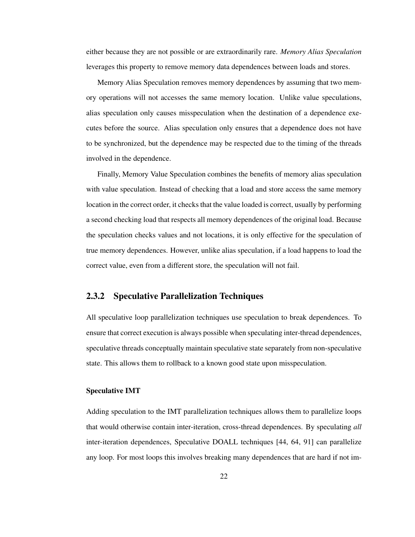either because they are not possible or are extraordinarily rare. *Memory Alias Speculation* leverages this property to remove memory data dependences between loads and stores.

Memory Alias Speculation removes memory dependences by assuming that two memory operations will not accesses the same memory location. Unlike value speculations, alias speculation only causes misspeculation when the destination of a dependence executes before the source. Alias speculation only ensures that a dependence does not have to be synchronized, but the dependence may be respected due to the timing of the threads involved in the dependence.

Finally, Memory Value Speculation combines the benefits of memory alias speculation with value speculation. Instead of checking that a load and store access the same memory location in the correct order, it checks that the value loaded is correct, usually by performing a second checking load that respects all memory dependences of the original load. Because the speculation checks values and not locations, it is only effective for the speculation of true memory dependences. However, unlike alias speculation, if a load happens to load the correct value, even from a different store, the speculation will not fail.

#### 2.3.2 Speculative Parallelization Techniques

All speculative loop parallelization techniques use speculation to break dependences. To ensure that correct execution is always possible when speculating inter-thread dependences, speculative threads conceptually maintain speculative state separately from non-speculative state. This allows them to rollback to a known good state upon misspeculation.

#### Speculative IMT

Adding speculation to the IMT parallelization techniques allows them to parallelize loops that would otherwise contain inter-iteration, cross-thread dependences. By speculating *all* inter-iteration dependences, Speculative DOALL techniques [44, 64, 91] can parallelize any loop. For most loops this involves breaking many dependences that are hard if not im-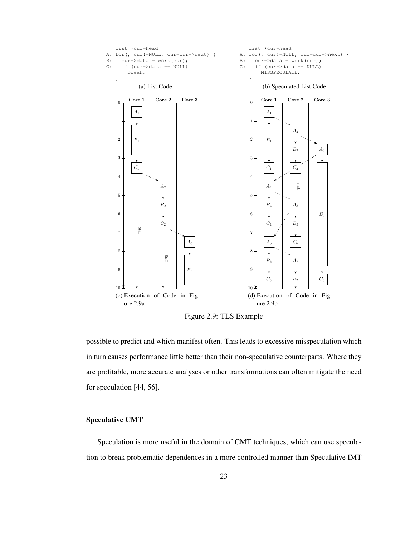

Figure 2.9: TLS Example

possible to predict and which manifest often. This leads to excessive misspeculation which in turn causes performance little better than their non-speculative counterparts. Where they are profitable, more accurate analyses or other transformations can often mitigate the need for speculation [44, 56].

## Speculative CMT

Speculation is more useful in the domain of CMT techniques, which can use speculation to break problematic dependences in a more controlled manner than Speculative IMT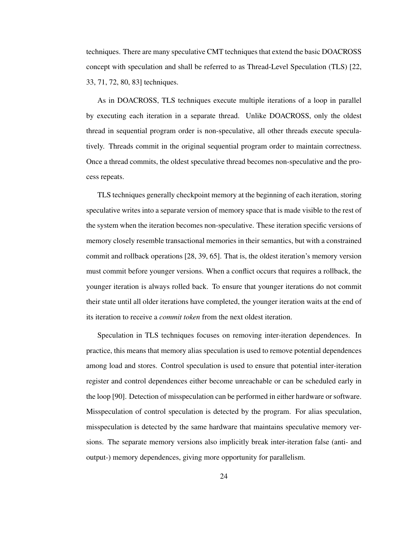techniques. There are many speculative CMT techniques that extend the basic DOACROSS concept with speculation and shall be referred to as Thread-Level Speculation (TLS) [22, 33, 71, 72, 80, 83] techniques.

As in DOACROSS, TLS techniques execute multiple iterations of a loop in parallel by executing each iteration in a separate thread. Unlike DOACROSS, only the oldest thread in sequential program order is non-speculative, all other threads execute speculatively. Threads commit in the original sequential program order to maintain correctness. Once a thread commits, the oldest speculative thread becomes non-speculative and the process repeats.

TLS techniques generally checkpoint memory at the beginning of each iteration, storing speculative writes into a separate version of memory space that is made visible to the rest of the system when the iteration becomes non-speculative. These iteration specific versions of memory closely resemble transactional memories in their semantics, but with a constrained commit and rollback operations [28, 39, 65]. That is, the oldest iteration's memory version must commit before younger versions. When a conflict occurs that requires a rollback, the younger iteration is always rolled back. To ensure that younger iterations do not commit their state until all older iterations have completed, the younger iteration waits at the end of its iteration to receive a *commit token* from the next oldest iteration.

Speculation in TLS techniques focuses on removing inter-iteration dependences. In practice, this means that memory alias speculation is used to remove potential dependences among load and stores. Control speculation is used to ensure that potential inter-iteration register and control dependences either become unreachable or can be scheduled early in the loop [90]. Detection of misspeculation can be performed in either hardware or software. Misspeculation of control speculation is detected by the program. For alias speculation, misspeculation is detected by the same hardware that maintains speculative memory versions. The separate memory versions also implicitly break inter-iteration false (anti- and output-) memory dependences, giving more opportunity for parallelism.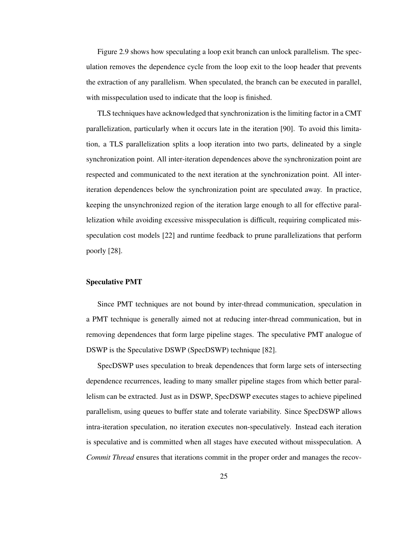Figure 2.9 shows how speculating a loop exit branch can unlock parallelism. The speculation removes the dependence cycle from the loop exit to the loop header that prevents the extraction of any parallelism. When speculated, the branch can be executed in parallel, with misspeculation used to indicate that the loop is finished.

TLS techniques have acknowledged that synchronization is the limiting factor in a CMT parallelization, particularly when it occurs late in the iteration [90]. To avoid this limitation, a TLS parallelization splits a loop iteration into two parts, delineated by a single synchronization point. All inter-iteration dependences above the synchronization point are respected and communicated to the next iteration at the synchronization point. All interiteration dependences below the synchronization point are speculated away. In practice, keeping the unsynchronized region of the iteration large enough to all for effective parallelization while avoiding excessive misspeculation is difficult, requiring complicated misspeculation cost models [22] and runtime feedback to prune parallelizations that perform poorly [28].

## Speculative PMT

Since PMT techniques are not bound by inter-thread communication, speculation in a PMT technique is generally aimed not at reducing inter-thread communication, but in removing dependences that form large pipeline stages. The speculative PMT analogue of DSWP is the Speculative DSWP (SpecDSWP) technique [82].

SpecDSWP uses speculation to break dependences that form large sets of intersecting dependence recurrences, leading to many smaller pipeline stages from which better parallelism can be extracted. Just as in DSWP, SpecDSWP executes stages to achieve pipelined parallelism, using queues to buffer state and tolerate variability. Since SpecDSWP allows intra-iteration speculation, no iteration executes non-speculatively. Instead each iteration is speculative and is committed when all stages have executed without misspeculation. A *Commit Thread* ensures that iterations commit in the proper order and manages the recov-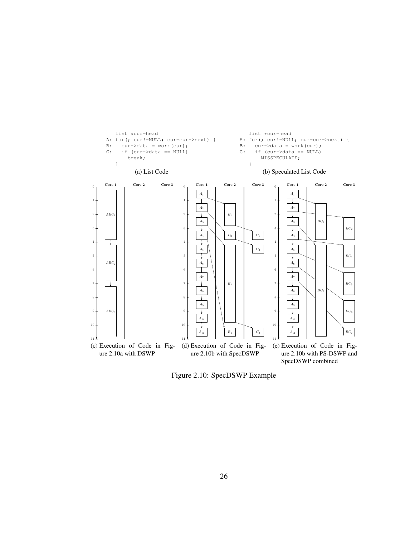

Figure 2.10: SpecDSWP Example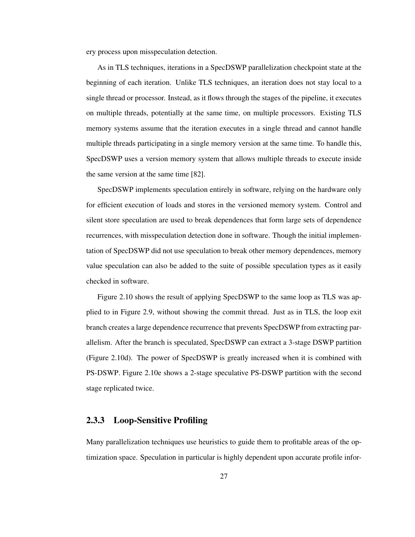ery process upon misspeculation detection.

As in TLS techniques, iterations in a SpecDSWP parallelization checkpoint state at the beginning of each iteration. Unlike TLS techniques, an iteration does not stay local to a single thread or processor. Instead, as it flows through the stages of the pipeline, it executes on multiple threads, potentially at the same time, on multiple processors. Existing TLS memory systems assume that the iteration executes in a single thread and cannot handle multiple threads participating in a single memory version at the same time. To handle this, SpecDSWP uses a version memory system that allows multiple threads to execute inside the same version at the same time [82].

SpecDSWP implements speculation entirely in software, relying on the hardware only for efficient execution of loads and stores in the versioned memory system. Control and silent store speculation are used to break dependences that form large sets of dependence recurrences, with misspeculation detection done in software. Though the initial implementation of SpecDSWP did not use speculation to break other memory dependences, memory value speculation can also be added to the suite of possible speculation types as it easily checked in software.

Figure 2.10 shows the result of applying SpecDSWP to the same loop as TLS was applied to in Figure 2.9, without showing the commit thread. Just as in TLS, the loop exit branch creates a large dependence recurrence that prevents SpecDSWP from extracting parallelism. After the branch is speculated, SpecDSWP can extract a 3-stage DSWP partition (Figure 2.10d). The power of SpecDSWP is greatly increased when it is combined with PS-DSWP. Figure 2.10e shows a 2-stage speculative PS-DSWP partition with the second stage replicated twice.

## 2.3.3 Loop-Sensitive Profiling

Many parallelization techniques use heuristics to guide them to profitable areas of the optimization space. Speculation in particular is highly dependent upon accurate profile infor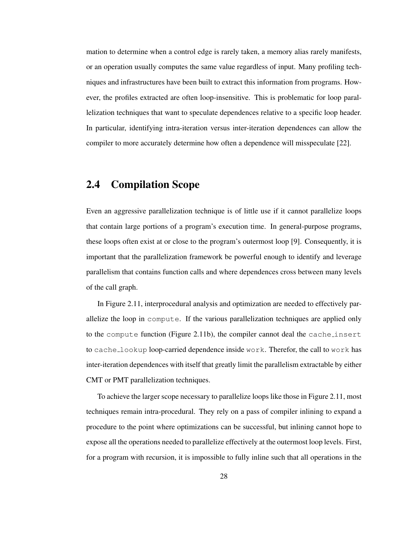mation to determine when a control edge is rarely taken, a memory alias rarely manifests, or an operation usually computes the same value regardless of input. Many profiling techniques and infrastructures have been built to extract this information from programs. However, the profiles extracted are often loop-insensitive. This is problematic for loop parallelization techniques that want to speculate dependences relative to a specific loop header. In particular, identifying intra-iteration versus inter-iteration dependences can allow the compiler to more accurately determine how often a dependence will misspeculate [22].

## 2.4 Compilation Scope

Even an aggressive parallelization technique is of little use if it cannot parallelize loops that contain large portions of a program's execution time. In general-purpose programs, these loops often exist at or close to the program's outermost loop [9]. Consequently, it is important that the parallelization framework be powerful enough to identify and leverage parallelism that contains function calls and where dependences cross between many levels of the call graph.

In Figure 2.11, interprocedural analysis and optimization are needed to effectively parallelize the loop in compute. If the various parallelization techniques are applied only to the compute function (Figure 2.11b), the compiler cannot deal the cache insert to cache lookup loop-carried dependence inside work. Therefor, the call to work has inter-iteration dependences with itself that greatly limit the parallelism extractable by either CMT or PMT parallelization techniques.

To achieve the larger scope necessary to parallelize loops like those in Figure 2.11, most techniques remain intra-procedural. They rely on a pass of compiler inlining to expand a procedure to the point where optimizations can be successful, but inlining cannot hope to expose all the operations needed to parallelize effectively at the outermost loop levels. First, for a program with recursion, it is impossible to fully inline such that all operations in the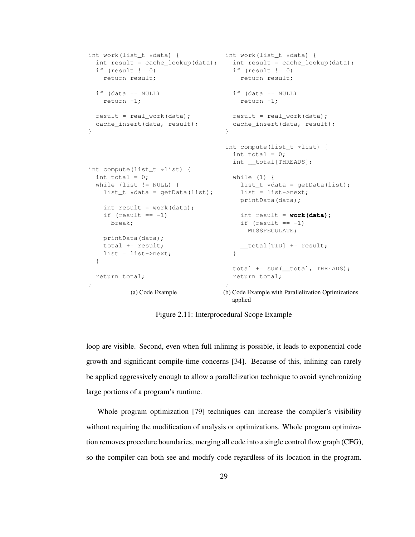```
int work(list_t *data) {
int work(list_t *data) {
  int result = cache_lookup(data); int result = cache_lookup(data);
 if (result != 0)
   return result;
 if (data == NULL)return -1;
 result = real_work(data);
 cache_insert(data, result);
}
int compute(list_t *list) {
 int total = 0;
 while (list != NULL) {
   list_t *data = getData(list);
   int result = work(data);
   if (result == -1)
    break;
   printData(data);
   total += result;
   list = list->next;
 }
 return total;
}
          (a) Code Example
                                   if (result != 0)
                                      return result;
                                   if (data == NULL)
                                     return -1;
                                   result = real_work(data);
                                   cache_insert(data, result);
                                  }
                                  int compute(list_t *list) {
                                    int total = 0;
                                    int __total[THREADS];
                                   while (1) {
                                     list_t *data = getData(list);
                                     list = list->next;
                                     printData(data);
                                     int result = work(data);
                                     if (result == -1)
                                       MISSPECULATE;
                                      __total[TID] += result;
                                    }
                                    total += sum(__total, THREADS);
                                    return total;
                                  }
                                  (b) Code Example with Parallelization Optimizations
                                    applied
```
Figure 2.11: Interprocedural Scope Example

loop are visible. Second, even when full inlining is possible, it leads to exponential code growth and significant compile-time concerns [34]. Because of this, inlining can rarely be applied aggressively enough to allow a parallelization technique to avoid synchronizing large portions of a program's runtime.

Whole program optimization [79] techniques can increase the compiler's visibility without requiring the modification of analysis or optimizations. Whole program optimization removes procedure boundaries, merging all code into a single control flow graph (CFG), so the compiler can both see and modify code regardless of its location in the program.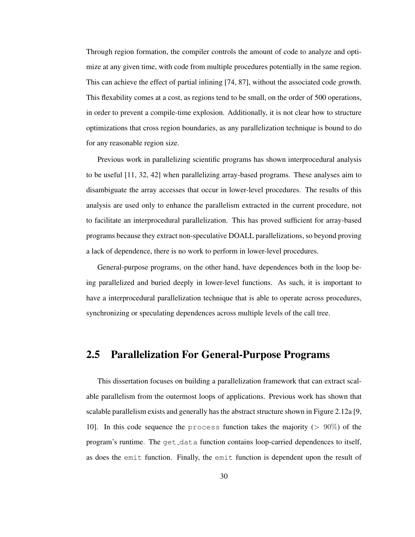Through region formation, the compiler controls the amount of code to analyze and optimize at any given time, with code from multiple procedures potentially in the same region. This can achieve the effect of partial inlining [74, 87], without the associated code growth. This flexability comes at a cost, as regions tend to be small, on the order of 500 operations, in order to prevent a compile-time explosion. Additionally, it is not clear how to structure optimizations that cross region boundaries, as any parallelization technique is bound to do for any reasonable region size.

Previous work in parallelizing scientific programs has shown interprocedural analysis to be useful [11, 32, 42] when parallelizing array-based programs. These analyses aim to disambiguate the array accesses that occur in lower-level procedures. The results of this analysis are used only to enhance the parallelism extracted in the current procedure, not to facilitate an interprocedural parallelization. This has proved sufficient for array-based programs because they extract non-speculative DOALL parallelizations, so beyond proving a lack of dependence, there is no work to perform in lower-level procedures.

General-purpose programs, on the other hand, have dependences both in the loop being parallelized and buried deeply in lower-level functions. As such, it is important to have a interprocedural parallelization technique that is able to operate across procedures, synchronizing or speculating dependences across multiple levels of the call tree.

## 2.5 Parallelization For General-Purpose Programs

This dissertation focuses on building a parallelization framework that can extract scalable parallelism from the outermost loops of applications. Previous work has shown that scalable parallelism exists and generally has the abstract structure shown in Figure 2.12a [9, 10]. In this code sequence the process function takes the majority ( $> 90\%$ ) of the program's runtime. The get data function contains loop-carried dependences to itself, as does the emit function. Finally, the emit function is dependent upon the result of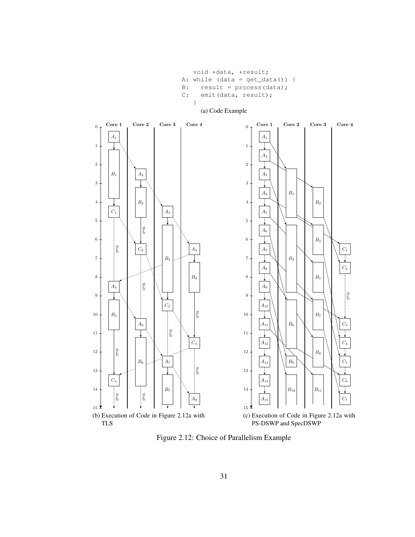void \*data, \*result; A: while (data = get\_data()) { B: result =  $\text{process}(\text{data})$ ; C: emit(data, result); }



Figure 2.12: Choice of Parallelism Example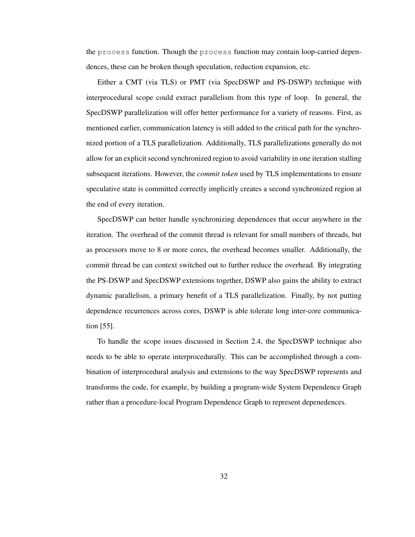the process function. Though the process function may contain loop-carried dependences, these can be broken though speculation, reduction expansion, etc.

Either a CMT (via TLS) or PMT (via SpecDSWP and PS-DSWP) technique with interprocedural scope could extract parallelism from this type of loop. In general, the SpecDSWP parallelization will offer better performance for a variety of reasons. First, as mentioned earlier, communication latency is still added to the critical path for the synchronized portion of a TLS parallelization. Additionally, TLS parallelizations generally do not allow for an explicit second synchronized region to avoid variability in one iteration stalling subsequent iterations. However, the *commit token* used by TLS implementations to ensure speculative state is committed correctly implicitly creates a second synchronized region at the end of every iteration.

SpecDSWP can better handle synchronizing dependences that occur anywhere in the iteration. The overhead of the commit thread is relevant for small numbers of threads, but as processors move to 8 or more cores, the overhead becomes smaller. Additionally, the commit thread be can context switched out to further reduce the overhead. By integrating the PS-DSWP and SpecDSWP extensions together, DSWP also gains the ability to extract dynamic parallelism, a primary benefit of a TLS parallelization. Finally, by not putting dependence recurrences across cores, DSWP is able tolerate long inter-core communication [55].

To handle the scope issues discussed in Section 2.4, the SpecDSWP technique also needs to be able to operate interprocedurally. This can be accomplished through a combination of interprocedural analysis and extensions to the way SpecDSWP represents and transforms the code, for example, by building a program-wide System Dependence Graph rather than a procedure-local Program Dependence Graph to represent depenedences.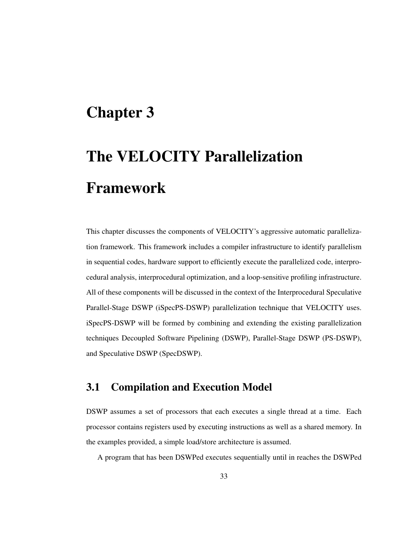## Chapter 3

# The VELOCITY Parallelization Framework

This chapter discusses the components of VELOCITY's aggressive automatic parallelization framework. This framework includes a compiler infrastructure to identify parallelism in sequential codes, hardware support to efficiently execute the parallelized code, interprocedural analysis, interprocedural optimization, and a loop-sensitive profiling infrastructure. All of these components will be discussed in the context of the Interprocedural Speculative Parallel-Stage DSWP (iSpecPS-DSWP) parallelization technique that VELOCITY uses. iSpecPS-DSWP will be formed by combining and extending the existing parallelization techniques Decoupled Software Pipelining (DSWP), Parallel-Stage DSWP (PS-DSWP), and Speculative DSWP (SpecDSWP).

## 3.1 Compilation and Execution Model

DSWP assumes a set of processors that each executes a single thread at a time. Each processor contains registers used by executing instructions as well as a shared memory. In the examples provided, a simple load/store architecture is assumed.

A program that has been DSWPed executes sequentially until in reaches the DSWPed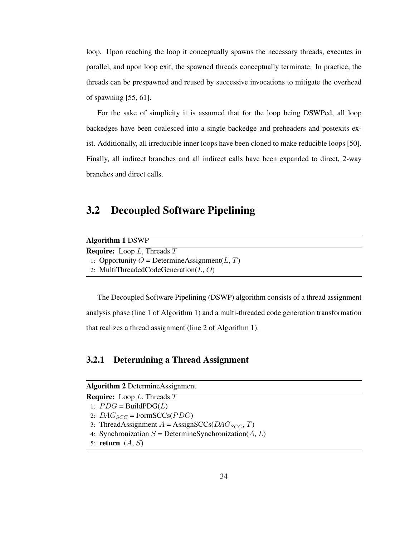loop. Upon reaching the loop it conceptually spawns the necessary threads, executes in parallel, and upon loop exit, the spawned threads conceptually terminate. In practice, the threads can be prespawned and reused by successive invocations to mitigate the overhead of spawning [55, 61].

For the sake of simplicity it is assumed that for the loop being DSWPed, all loop backedges have been coalesced into a single backedge and preheaders and postexits exist. Additionally, all irreducible inner loops have been cloned to make reducible loops [50]. Finally, all indirect branches and all indirect calls have been expanded to direct, 2-way branches and direct calls.

## 3.2 Decoupled Software Pipelining

| <b>Algorithm 1 DSWP</b>                          |
|--------------------------------------------------|
| <b>Require:</b> Loop L, Threads $T$              |
| 1: Opportunity O = Determine Assignment $(L, T)$ |
| 2: MultiThreadedCodeGeneration $(L, O)$          |

The Decoupled Software Pipelining (DSWP) algorithm consists of a thread assignment analysis phase (line 1 of Algorithm 1) and a multi-threaded code generation transformation that realizes a thread assignment (line 2 of Algorithm 1).

## 3.2.1 Determining a Thread Assignment

|  | <b>Algorithm 2 Determine Assignment</b> |
|--|-----------------------------------------|
|--|-----------------------------------------|

**Require:** Loop  $L$ , Threads  $T$ 1:  $PDG = \text{BuildPDG}(L)$ 2:  $DAG_{SCC}$  = FormSCCs(*PDG*)

- 3: ThreadAssignment  $A = \text{AssignSCCs}(DAG_{SCC}, T)$
- 4: Synchronization  $S =$  DetermineSynchronization( $A, L$ )
- 5: return  $(A, S)$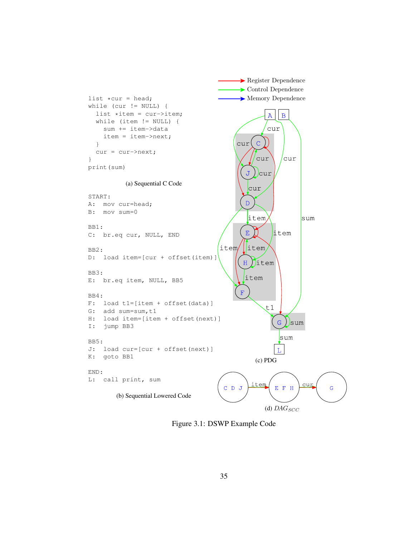

Figure 3.1: DSWP Example Code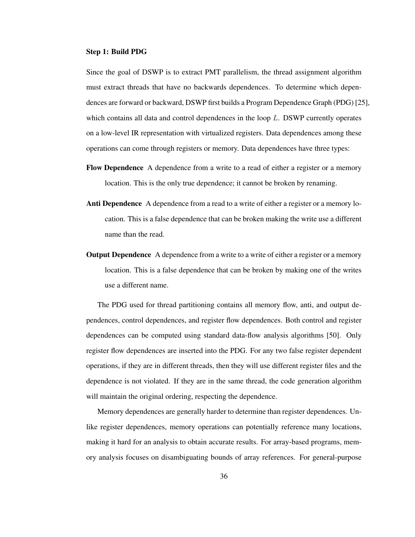#### Step 1: Build PDG

Since the goal of DSWP is to extract PMT parallelism, the thread assignment algorithm must extract threads that have no backwards dependences. To determine which dependences are forward or backward, DSWP first builds a Program Dependence Graph (PDG) [25], which contains all data and control dependences in the loop L. DSWP currently operates on a low-level IR representation with virtualized registers. Data dependences among these operations can come through registers or memory. Data dependences have three types:

- Flow Dependence A dependence from a write to a read of either a register or a memory location. This is the only true dependence; it cannot be broken by renaming.
- Anti Dependence A dependence from a read to a write of either a register or a memory location. This is a false dependence that can be broken making the write use a different name than the read.
- **Output Dependence** A dependence from a write to a write of either a register or a memory location. This is a false dependence that can be broken by making one of the writes use a different name.

The PDG used for thread partitioning contains all memory flow, anti, and output dependences, control dependences, and register flow dependences. Both control and register dependences can be computed using standard data-flow analysis algorithms [50]. Only register flow dependences are inserted into the PDG. For any two false register dependent operations, if they are in different threads, then they will use different register files and the dependence is not violated. If they are in the same thread, the code generation algorithm will maintain the original ordering, respecting the dependence.

Memory dependences are generally harder to determine than register dependences. Unlike register dependences, memory operations can potentially reference many locations, making it hard for an analysis to obtain accurate results. For array-based programs, memory analysis focuses on disambiguating bounds of array references. For general-purpose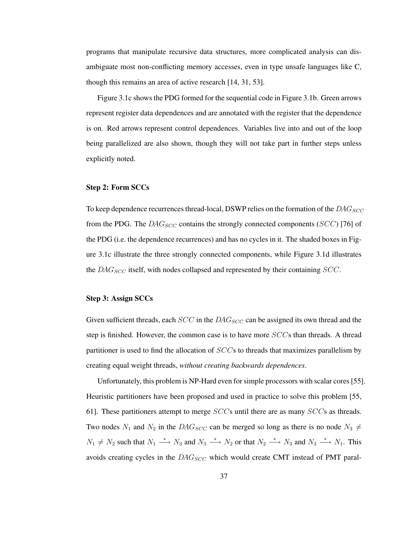programs that manipulate recursive data structures, more complicated analysis can disambiguate most non-conflicting memory accesses, even in type unsafe languages like C, though this remains an area of active research [14, 31, 53].

Figure 3.1c shows the PDG formed for the sequential code in Figure 3.1b. Green arrows represent register data dependences and are annotated with the register that the dependence is on. Red arrows represent control dependences. Variables live into and out of the loop being parallelized are also shown, though they will not take part in further steps unless explicitly noted.

#### Step 2: Form SCCs

To keep dependence recurrences thread-local, DSWP relies on the formation of the  $DAG_{SCC}$ from the PDG. The  $DAG_{SCC}$  contains the strongly connected components (SCC) [76] of the PDG (i.e. the dependence recurrences) and has no cycles in it. The shaded boxes in Figure 3.1c illustrate the three strongly connected components, while Figure 3.1d illustrates the  $DAG_{SCC}$  itself, with nodes collapsed and represented by their containing  $SCC$ .

## Step 3: Assign SCCs

Given sufficient threads, each  $SCC$  in the  $DAG_{SCC}$  can be assigned its own thread and the step is finished. However, the common case is to have more SCCs than threads. A thread partitioner is used to find the allocation of SCCs to threads that maximizes parallelism by creating equal weight threads, *without creating backwards dependences*.

Unfortunately, this problem is NP-Hard even forsimple processors with scalar cores[55]. Heuristic partitioners have been proposed and used in practice to solve this problem [55, 61]. These partitioners attempt to merge  $SCCs$  until there are as many  $SCCs$  as threads. Two nodes  $N_1$  and  $N_2$  in the  $DAG_{SCC}$  can be merged so long as there is no node  $N_3 \neq$  $N_1 \neq N_2$  such that  $N_1 \stackrel{*}{\longrightarrow} N_3$  and  $N_3 \stackrel{*}{\longrightarrow} N_2$  or that  $N_2 \stackrel{*}{\longrightarrow} N_3$  and  $N_3 \stackrel{*}{\longrightarrow} N_1$ . This avoids creating cycles in the  $DAG_{SCC}$  which would create CMT instead of PMT paral-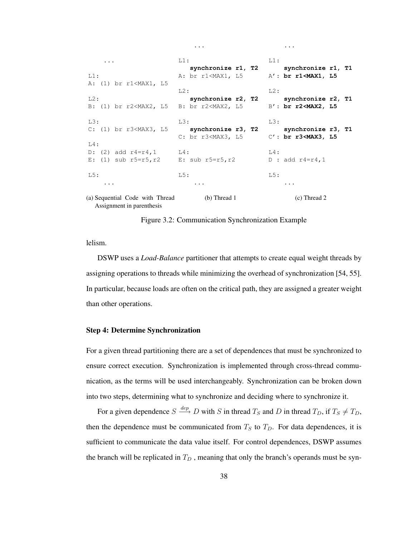...  $L1:$ A: (1) br r1<MAX1, L5  $L2$ : B: (1) br r2<MAX2, L5 L3: C: (1) br r3<MAX3, L5 L4: D:  $(2)$  add  $r4=r4,1$ E:  $(1)$  sub  $r5=r5, r2$ L5: ... (a) Sequential Code with Thread L1: **synchronize r1, T2** A: br r1<MAX1, L5  $L2$ : **synchronize r2, T2** B: br r2<MAX2, L5 L3: **synchronize r3, T2** C: br r3<MAX3, L5  $L4$ : E: sub r5=r5,r2 L5: ... (b) Thread 1 L1: **synchronize r1, T1** A': **br r1<MAX1, L5**  $L2$ : **synchronize r2, T1** B': **br r2<MAX2, L5** L3: **synchronize r3, T1** C': **br r3<MAX3, L5**  $L4$ : D : add  $r4=r4,1$ L5: ... (c) Thread 2

...

...

Assignment in parenthesis

Figure 3.2: Communication Synchronization Example

lelism.

DSWP uses a *Load-Balance* partitioner that attempts to create equal weight threads by assigning operations to threads while minimizing the overhead of synchronization [54, 55]. In particular, because loads are often on the critical path, they are assigned a greater weight than other operations.

## Step 4: Determine Synchronization

For a given thread partitioning there are a set of dependences that must be synchronized to ensure correct execution. Synchronization is implemented through cross-thread communication, as the terms will be used interchangeably. Synchronization can be broken down into two steps, determining what to synchronize and deciding where to synchronize it.

For a given dependence  $S \stackrel{dep}{\longrightarrow} D$  with S in thread  $T_S$  and D in thread  $T_D$ , if  $T_S \neq T_D$ , then the dependence must be communicated from  $T<sub>S</sub>$  to  $T<sub>D</sub>$ . For data dependences, it is sufficient to communicate the data value itself. For control dependences, DSWP assumes the branch will be replicated in  $T_D$ , meaning that only the branch's operands must be syn-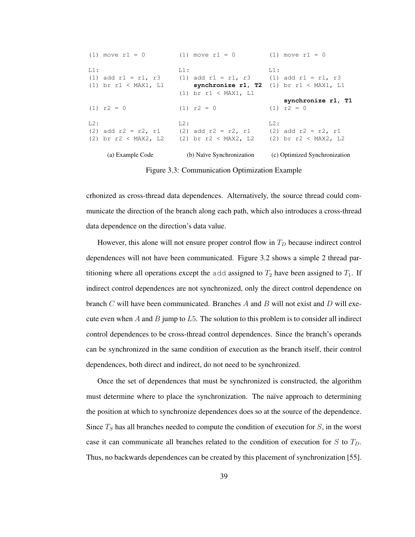|        | (a) Example Code                                   | (b) Naïve Synchronization                                                             | (c) Optimized Synchronization                        |
|--------|----------------------------------------------------|---------------------------------------------------------------------------------------|------------------------------------------------------|
|        | $(2)$ br $r2 <$ MAX2, L2                           | $(2)$ br $r2 <$ MAX2, L2                                                              | $(2)$ br $r2 <$ MAX2, L2                             |
| L2:    | (2) add $r2 = r2$ , $r1$                           | L2:<br>$(2)$ add $r2 = r2$ , $r1$                                                     | $T12$ :<br>$(2)$ add $r2 = r2$ , $r1$                |
|        | $(1)$ $r2 = 0$                                     | $(1)$ $r2 = 0$                                                                        | synchronize r1, T1<br>$(1)$ $r2 = 0$                 |
| $L1$ : | $(1)$ add r1 = r1, r3<br>$(1)$ br $r1 < MAX1$ , L1 | $L1$ :<br>(1) add $r1 = r1$ , $r3$ (1) add $r1 = r1$ , $r3$<br>$(1)$ br r1 < MAX1, L1 | $L1$ :<br>synchronize r1, T2 (1) br $r1 < MAX1$ , L1 |
|        | $(1)$ move $r1 = 0$                                | $(1)$ move $r1 = 0$                                                                   | $(1)$ move $r1 = 0$                                  |

Figure 3.3: Communication Optimization Example

crhonized as cross-thread data dependences. Alternatively, the source thread could communicate the direction of the branch along each path, which also introduces a cross-thread data dependence on the direction's data value.

However, this alone will not ensure proper control flow in  $T<sub>D</sub>$  because indirect control dependences will not have been communicated. Figure 3.2 shows a simple 2 thread partitioning where all operations except the add assigned to  $T_2$  have been assigned to  $T_1$ . If indirect control dependences are not synchronized, only the direct control dependence on branch  $C$  will have been communicated. Branches  $A$  and  $B$  will not exist and  $D$  will execute even when  $A$  and  $B$  jump to  $L5$ . The solution to this problem is to consider all indirect control dependences to be cross-thread control dependences. Since the branch's operands can be synchronized in the same condition of execution as the branch itself, their control dependences, both direct and indirect, do not need to be synchronized.

Once the set of dependences that must be synchronized is constructed, the algorithm must determine where to place the synchronization. The naïve approach to determining the position at which to synchronize dependences does so at the source of the dependence. Since  $T<sub>S</sub>$  has all branches needed to compute the condition of execution for  $S$ , in the worst case it can communicate all branches related to the condition of execution for S to  $T_D$ . Thus, no backwards dependences can be created by this placement of synchronization [55].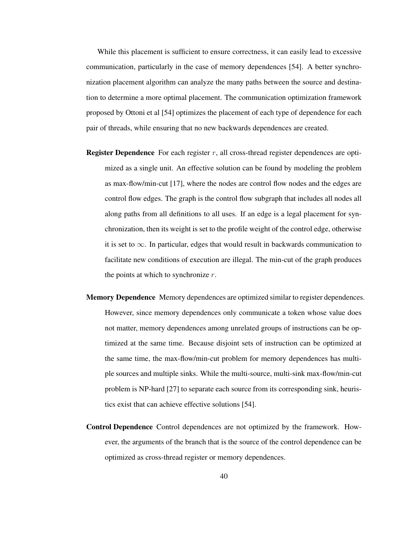While this placement is sufficient to ensure correctness, it can easily lead to excessive communication, particularly in the case of memory dependences [54]. A better synchronization placement algorithm can analyze the many paths between the source and destination to determine a more optimal placement. The communication optimization framework proposed by Ottoni et al [54] optimizes the placement of each type of dependence for each pair of threads, while ensuring that no new backwards dependences are created.

- **Register Dependence** For each register  $r$ , all cross-thread register dependences are optimized as a single unit. An effective solution can be found by modeling the problem as max-flow/min-cut [17], where the nodes are control flow nodes and the edges are control flow edges. The graph is the control flow subgraph that includes all nodes all along paths from all definitions to all uses. If an edge is a legal placement for synchronization, then its weight is set to the profile weight of the control edge, otherwise it is set to  $\infty$ . In particular, edges that would result in backwards communication to facilitate new conditions of execution are illegal. The min-cut of the graph produces the points at which to synchronize  $r$ .
- Memory Dependence Memory dependences are optimized similar to register dependences. However, since memory dependences only communicate a token whose value does not matter, memory dependences among unrelated groups of instructions can be optimized at the same time. Because disjoint sets of instruction can be optimized at the same time, the max-flow/min-cut problem for memory dependences has multiple sources and multiple sinks. While the multi-source, multi-sink max-flow/min-cut problem is NP-hard [27] to separate each source from its corresponding sink, heuristics exist that can achieve effective solutions [54].
- Control Dependence Control dependences are not optimized by the framework. However, the arguments of the branch that is the source of the control dependence can be optimized as cross-thread register or memory dependences.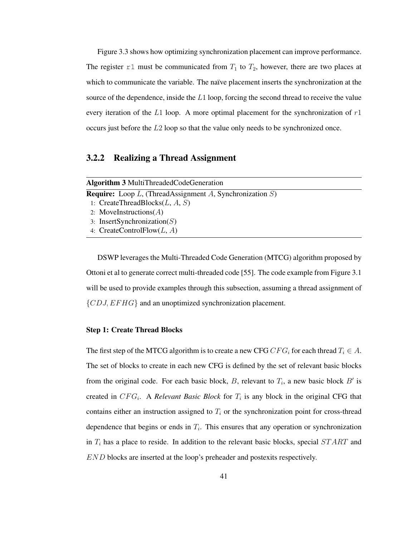Figure 3.3 shows how optimizing synchronization placement can improve performance. The register r1 must be communicated from  $T_1$  to  $T_2$ , however, there are two places at which to communicate the variable. The naïve placement inserts the synchronization at the source of the dependence, inside the L1 loop, forcing the second thread to receive the value every iteration of the L1 loop. A more optimal placement for the synchronization of  $r1$ occurs just before the L2 loop so that the value only needs to be synchronized once.

## 3.2.2 Realizing a Thread Assignment

| <b>Algorithm 3 MultiThreadedCodeGeneration</b>                     |
|--------------------------------------------------------------------|
| <b>Require:</b> Loop L, (ThreadAssignment A, Synchronization $S$ ) |
| 1: CreateThreadBlocks $(L, A, S)$                                  |
| 2: MoveInstructions $(A)$                                          |
| 3: InsertSynchronization( $S$ )                                    |
| 4: CreateControlFlow $(L, A)$                                      |
|                                                                    |

DSWP leverages the Multi-Threaded Code Generation (MTCG) algorithm proposed by Ottoni et al to generate correct multi-threaded code [55]. The code example from Figure 3.1 will be used to provide examples through this subsection, assuming a thread assignment of  $\{CDJ, EFHG\}$  and an unoptimized synchronization placement.

## Step 1: Create Thread Blocks

The first step of the MTCG algorithm is to create a new CFG  $CFG_i$  for each thread  $T_i \in A$ . The set of blocks to create in each new CFG is defined by the set of relevant basic blocks from the original code. For each basic block, B, relevant to  $T_i$ , a new basic block B' is created in  $CFG_i$ . A *Relevant Basic Block* for  $T_i$  is any block in the original CFG that contains either an instruction assigned to  $T_i$  or the synchronization point for cross-thread dependence that begins or ends in  $T_i$ . This ensures that any operation or synchronization in  $T_i$  has a place to reside. In addition to the relevant basic blocks, special  $START$  and END blocks are inserted at the loop's preheader and postexits respectively.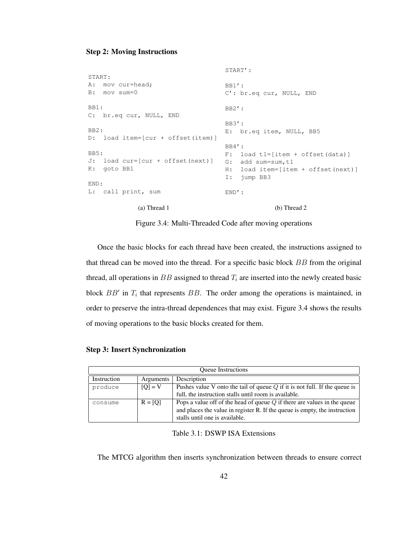## Step 2: Moving Instructions

```
START:
A: mov cur=head;
B: mov sum=0
BB1:
C: br.eq cur, NULL, END
BB2:
D: load item=[cur + offset(item)]
BB5:
J: load cur=[cur + offset(next)]
G: add sum=sum,t1
K: goto BB1
END:
L: call print, sum
             (a) Thread 1
                                    START':
                                    BB1':
                                    C': br.eq cur, NULL, END
                                    BB2':
                                    BB3':
                                    E: br.eq item, NULL, BB5
                                    BB4':
                                    F: load t1=[item + offset(data)]
                                    H: load item=[item + offset(next)]
                                    I: jump BB3
                                    END':
                                                 (b) Thread 2
```
Figure 3.4: Multi-Threaded Code after moving operations

Once the basic blocks for each thread have been created, the instructions assigned to that thread can be moved into the thread. For a specific basic block BB from the original thread, all operations in  $BB$  assigned to thread  $T_i$  are inserted into the newly created basic block  $BB'$  in  $T_i$  that represents  $BB$ . The order among the operations is maintained, in order to preserve the intra-thread dependences that may exist. Figure 3.4 shows the results of moving operations to the basic blocks created for them.

|             |           | <b>Oueue</b> Instructions                                                    |
|-------------|-----------|------------------------------------------------------------------------------|
| Instruction | Arguments | Description                                                                  |
| produce     | $[O] = V$ | Pushes value V onto the tail of queue $Q$ if it is not full. If the queue is |
|             |           | full, the instruction stalls until room is available.                        |
| consume     | $R = [Q]$ | Pops a value off of the head of queue $Q$ if there are values in the queue   |
|             |           | and places the value in register R. If the queue is empty, the instruction   |
|             |           | stalls until one is available.                                               |

|  | <b>Step 3: Insert Synchronization</b> |
|--|---------------------------------------|

Table 3.1: DSWP ISA Extensions

The MTCG algorithm then inserts synchronization between threads to ensure correct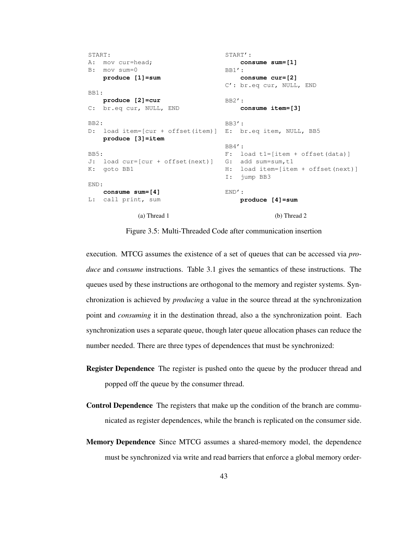```
START:
A: mov cur=head;
B: mov sum=0
   produce [1]=sum
BB1:
   produce [2]=cur
C: br.eq cur, NULL, END
BB2:
D: load item=[cur + offset(item)]
E: br.eq item, NULL, BB5
   produce [3]=item
BB5:
J: load cur=[cur + offset(next)]
G: add sum=sum,t1
K: goto BB1
END:
   consume sum=[4]
L: call print, sum
            (a) Thread 1
                                   START':
                                      consume sum=[1]
                                   BB1':
                                       consume cur=[2]
                                   C': br.eq cur, NULL, END
                                  BB2':
                                   consume item=[3]
                                  BB3':
                                  BB4':
                                   F: load t1=[item + offset(data)]
                                  H: load item=[item + offset(next)]
                                  I: jump BB3
                                 END':
                                      produce [4]=sum
                                                (b) Thread 2
```
Figure 3.5: Multi-Threaded Code after communication insertion

execution. MTCG assumes the existence of a set of queues that can be accessed via *produce* and *consume* instructions. Table 3.1 gives the semantics of these instructions. The queues used by these instructions are orthogonal to the memory and register systems. Synchronization is achieved by *producing* a value in the source thread at the synchronization point and *consuming* it in the destination thread, also a the synchronization point. Each synchronization uses a separate queue, though later queue allocation phases can reduce the number needed. There are three types of dependences that must be synchronized:

- Register Dependence The register is pushed onto the queue by the producer thread and popped off the queue by the consumer thread.
- Control Dependence The registers that make up the condition of the branch are communicated as register dependences, while the branch is replicated on the consumer side.
- Memory Dependence Since MTCG assumes a shared-memory model, the dependence must be synchronized via write and read barriers that enforce a global memory order-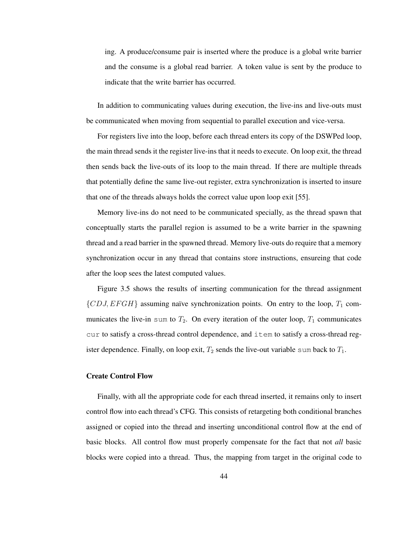ing. A produce/consume pair is inserted where the produce is a global write barrier and the consume is a global read barrier. A token value is sent by the produce to indicate that the write barrier has occurred.

In addition to communicating values during execution, the live-ins and live-outs must be communicated when moving from sequential to parallel execution and vice-versa.

For registers live into the loop, before each thread enters its copy of the DSWPed loop, the main thread sends it the register live-ins that it needs to execute. On loop exit, the thread then sends back the live-outs of its loop to the main thread. If there are multiple threads that potentially define the same live-out register, extra synchronization is inserted to insure that one of the threads always holds the correct value upon loop exit [55].

Memory live-ins do not need to be communicated specially, as the thread spawn that conceptually starts the parallel region is assumed to be a write barrier in the spawning thread and a read barrier in the spawned thread. Memory live-outs do require that a memory synchronization occur in any thread that contains store instructions, ensureing that code after the loop sees the latest computed values.

Figure 3.5 shows the results of inserting communication for the thread assignment  ${CDJ, EFGH}$  assuming naïve synchronization points. On entry to the loop,  $T_1$  communicates the live-in sum to  $T_2$ . On every iteration of the outer loop,  $T_1$  communicates cur to satisfy a cross-thread control dependence, and item to satisfy a cross-thread register dependence. Finally, on loop exit,  $T_2$  sends the live-out variable sum back to  $T_1$ .

#### Create Control Flow

Finally, with all the appropriate code for each thread inserted, it remains only to insert control flow into each thread's CFG. This consists of retargeting both conditional branches assigned or copied into the thread and inserting unconditional control flow at the end of basic blocks. All control flow must properly compensate for the fact that not *all* basic blocks were copied into a thread. Thus, the mapping from target in the original code to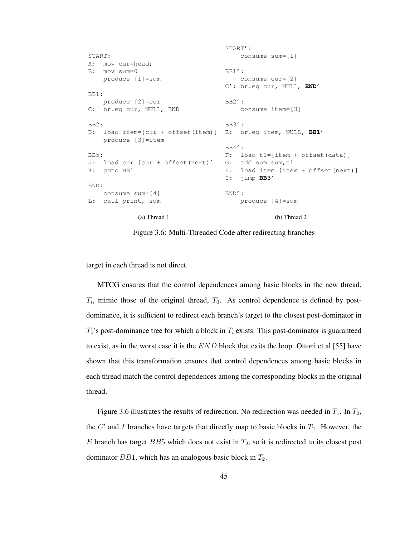```
START:
A: mov cur=head;
B: mov sum=0
   produce [1]=sum
BB1:
   produce [2]=cur
C: br.eq cur, NULL, END
BB2:
D: load item=[cur + offset(item)]
E: br.eq item, NULL, BB1'
   produce [3]=item
BB5:
J: load cur=[cur + offset(next)]
K: goto BB1
END:
   consume sum=[4]
L: call print, sum
             (a) Thread 1
                                    START':
                                       consume sum=[1]
                                    BB1':
                                        consume cur=[2]
                                    C': br.eq cur, NULL, END'
                                    BB2':
                                       consume item=[3]
                                    BB3':
                                    BB4':
                                    F: load t1=[item + offset(data)]
                                    G: add sum=sum, t1
                                    H: load item=[item + offset(next)]
                                    I: jump BB3'
                                   END':
                                       produce [4]=sum
                                                 (b) Thread 2
```
Figure 3.6: Multi-Threaded Code after redirecting branches

target in each thread is not direct.

MTCG ensures that the control dependences among basic blocks in the new thread,  $T_i$ , mimic those of the original thread,  $T_0$ . As control dependence is defined by postdominance, it is sufficient to redirect each branch's target to the closest post-dominator in  $T_0$ 's post-dominance tree for which a block in  $T_i$  exists. This post-dominator is guaranteed to exist, as in the worst case it is the  $END$  block that exits the loop. Ottoni et al [55] have shown that this transformation ensures that control dependences among basic blocks in each thread match the control dependences among the corresponding blocks in the original thread.

Figure 3.6 illustrates the results of redirection. No redirection was needed in  $T_1$ . In  $T_2$ , the  $C'$  and I branches have targets that directly map to basic blocks in  $T_2$ . However, the E branch has target BB5 which does not exist in  $T_2$ , so it is redirected to its closest post dominator  $BB1$ , which has an analogous basic block in  $T_2$ .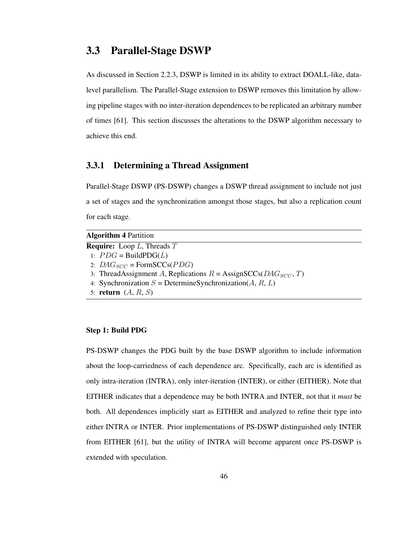## 3.3 Parallel-Stage DSWP

As discussed in Section 2.2.3, DSWP is limited in its ability to extract DOALL-like, datalevel parallelism. The Parallel-Stage extension to DSWP removes this limitation by allowing pipeline stages with no inter-iteration dependences to be replicated an arbitrary number of times [61]. This section discusses the alterations to the DSWP algorithm necessary to achieve this end.

## 3.3.1 Determining a Thread Assignment

Parallel-Stage DSWP (PS-DSWP) changes a DSWP thread assignment to include not just a set of stages and the synchronization amongst those stages, but also a replication count for each stage.

| <b>Algorithm 4 Partition</b>                                              |
|---------------------------------------------------------------------------|
| <b>Require:</b> Loop $L$ , Threads $T$                                    |
| 1: $PDG = \text{BuildPDG}(L)$                                             |
| 2: $DAG_{SCC}$ = FormSCCs( <i>PDG</i> )                                   |
| 3: ThreadAssignment A, Replications $R = \text{AssignSCCs}(DAG_{SCC}, T)$ |
| 4: Synchronization $S =$ DetermineSynchronization(A, R, L)                |
| 5: return $(A, R, S)$                                                     |

## Step 1: Build PDG

PS-DSWP changes the PDG built by the base DSWP algorithm to include information about the loop-carriedness of each dependence arc. Specifically, each arc is identified as only intra-iteration (INTRA), only inter-iteration (INTER), or either (EITHER). Note that EITHER indicates that a dependence may be both INTRA and INTER, not that it *must* be both. All dependences implicitly start as EITHER and analyzed to refine their type into either INTRA or INTER. Prior implementations of PS-DSWP distinguished only INTER from EITHER [61], but the utility of INTRA will become apparent once PS-DSWP is extended with speculation.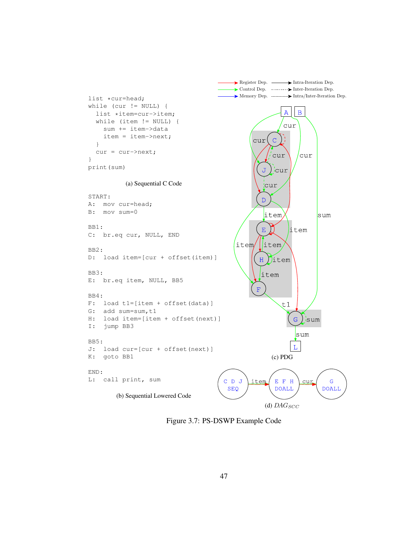

Figure 3.7: PS-DSWP Example Code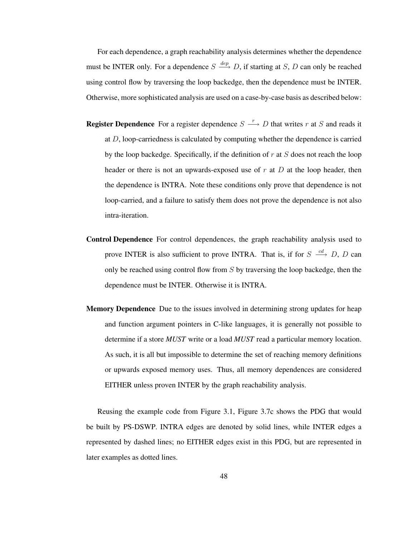For each dependence, a graph reachability analysis determines whether the dependence must be INTER only. For a dependence  $S \stackrel{dep}{\longrightarrow} D$ , if starting at S, D can only be reached using control flow by traversing the loop backedge, then the dependence must be INTER. Otherwise, more sophisticated analysis are used on a case-by-case basis as described below:

- **Register Dependence** For a register dependence  $S \xrightarrow{r} D$  that writes r at S and reads it at  $D$ , loop-carriedness is calculated by computing whether the dependence is carried by the loop backedge. Specifically, if the definition of  $r$  at  $S$  does not reach the loop header or there is not an upwards-exposed use of  $r$  at  $D$  at the loop header, then the dependence is INTRA. Note these conditions only prove that dependence is not loop-carried, and a failure to satisfy them does not prove the dependence is not also intra-iteration.
- Control Dependence For control dependences, the graph reachability analysis used to prove INTER is also sufficient to prove INTRA. That is, if for  $S \stackrel{cd}{\longrightarrow} D$ , D can only be reached using control flow from  $S$  by traversing the loop backedge, then the dependence must be INTER. Otherwise it is INTRA.
- Memory Dependence Due to the issues involved in determining strong updates for heap and function argument pointers in C-like languages, it is generally not possible to determine if a store *MUST* write or a load *MUST* read a particular memory location. As such, it is all but impossible to determine the set of reaching memory definitions or upwards exposed memory uses. Thus, all memory dependences are considered EITHER unless proven INTER by the graph reachability analysis.

Reusing the example code from Figure 3.1, Figure 3.7c shows the PDG that would be built by PS-DSWP. INTRA edges are denoted by solid lines, while INTER edges a represented by dashed lines; no EITHER edges exist in this PDG, but are represented in later examples as dotted lines.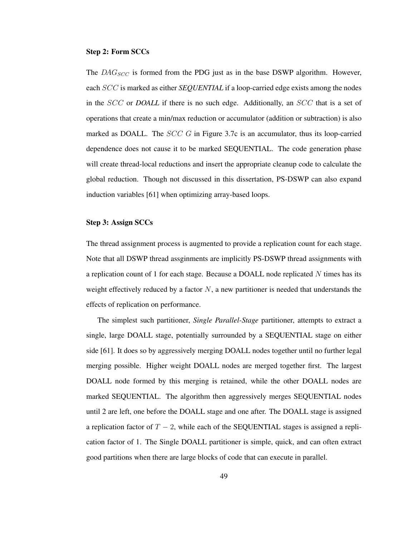## Step 2: Form SCCs

The  $DAG_{SCC}$  is formed from the PDG just as in the base DSWP algorithm. However, each SCC is marked as either *SEQUENTIAL* if a loop-carried edge exists among the nodes in the SCC or *DOALL* if there is no such edge. Additionally, an SCC that is a set of operations that create a min/max reduction or accumulator (addition or subtraction) is also marked as DOALL. The  $SCC$  G in Figure 3.7c is an accumulator, thus its loop-carried dependence does not cause it to be marked SEQUENTIAL. The code generation phase will create thread-local reductions and insert the appropriate cleanup code to calculate the global reduction. Though not discussed in this dissertation, PS-DSWP can also expand induction variables [61] when optimizing array-based loops.

## Step 3: Assign SCCs

The thread assignment process is augmented to provide a replication count for each stage. Note that all DSWP thread assginments are implicitly PS-DSWP thread assignments with a replication count of 1 for each stage. Because a DOALL node replicated  $N$  times has its weight effectively reduced by a factor  $N$ , a new partitioner is needed that understands the effects of replication on performance.

The simplest such partitioner, *Single Parallel-Stage* partitioner, attempts to extract a single, large DOALL stage, potentially surrounded by a SEQUENTIAL stage on either side [61]. It does so by aggressively merging DOALL nodes together until no further legal merging possible. Higher weight DOALL nodes are merged together first. The largest DOALL node formed by this merging is retained, while the other DOALL nodes are marked SEQUENTIAL. The algorithm then aggressively merges SEQUENTIAL nodes until 2 are left, one before the DOALL stage and one after. The DOALL stage is assigned a replication factor of  $T - 2$ , while each of the SEQUENTIAL stages is assigned a replication factor of 1. The Single DOALL partitioner is simple, quick, and can often extract good partitions when there are large blocks of code that can execute in parallel.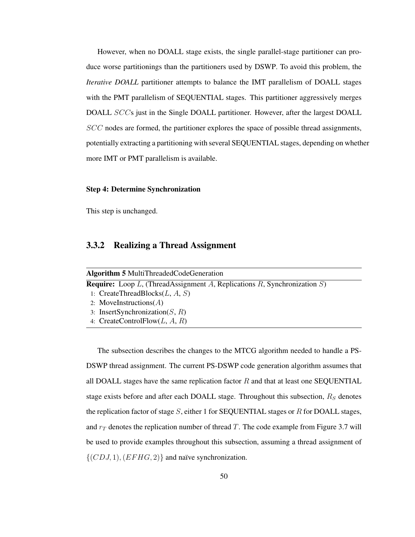However, when no DOALL stage exists, the single parallel-stage partitioner can produce worse partitionings than the partitioners used by DSWP. To avoid this problem, the *Iterative DOALL* partitioner attempts to balance the IMT parallelism of DOALL stages with the PMT parallelism of SEQUENTIAL stages. This partitioner aggressively merges DOALL SCCs just in the Single DOALL partitioner. However, after the largest DOALL SCC nodes are formed, the partitioner explores the space of possible thread assignments, potentially extracting a partitioning with several SEQUENTIAL stages, depending on whether more IMT or PMT parallelism is available.

## Step 4: Determine Synchronization

This step is unchanged.

## 3.3.2 Realizing a Thread Assignment

| <b>Algorithm 5 MultiThreadedCodeGeneration</b>                                  |  |
|---------------------------------------------------------------------------------|--|
| <b>Require:</b> Loop L, (ThreadAssignment A, Replications R, Synchronization S) |  |
| 1: CreateThreadBlocks $(L, A, S)$                                               |  |
| 2: MoveInstructions $(A)$                                                       |  |
| 3: InsertSynchronization( $S$ , $R$ )                                           |  |
| 4: CreateControlFlow $(L, A, R)$                                                |  |

The subsection describes the changes to the MTCG algorithm needed to handle a PS-DSWP thread assignment. The current PS-DSWP code generation algorithm assumes that all DOALL stages have the same replication factor  $R$  and that at least one SEQUENTIAL stage exists before and after each DOALL stage. Throughout this subsection,  $R_S$  denotes the replication factor of stage  $S$ , either 1 for SEQUENTIAL stages or  $R$  for DOALL stages, and  $r<sub>T</sub>$  denotes the replication number of thread T. The code example from Figure 3.7 will be used to provide examples throughout this subsection, assuming a thread assignment of  $\{(CDJ, 1), (EFHG, 2)\}\$ and naïve synchronization.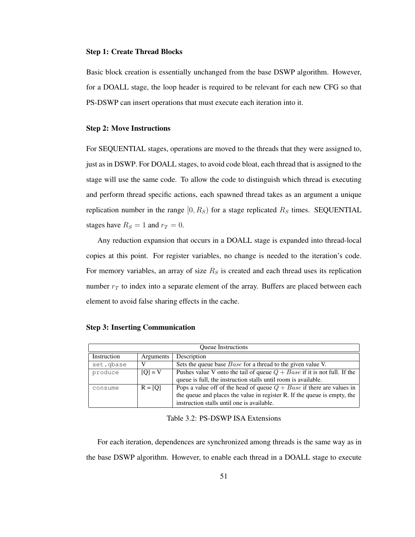## Step 1: Create Thread Blocks

Basic block creation is essentially unchanged from the base DSWP algorithm. However, for a DOALL stage, the loop header is required to be relevant for each new CFG so that PS-DSWP can insert operations that must execute each iteration into it.

#### Step 2: Move Instructions

For SEQUENTIAL stages, operations are moved to the threads that they were assigned to, just as in DSWP. For DOALL stages, to avoid code bloat, each thread that is assigned to the stage will use the same code. To allow the code to distinguish which thread is executing and perform thread specific actions, each spawned thread takes as an argument a unique replication number in the range  $[0, R_S)$  for a stage replicated  $R_S$  times. SEQUENTIAL stages have  $R_S = 1$  and  $r_T = 0$ .

Any reduction expansion that occurs in a DOALL stage is expanded into thread-local copies at this point. For register variables, no change is needed to the iteration's code. For memory variables, an array of size  $R<sub>S</sub>$  is created and each thread uses its replication number  $r<sub>T</sub>$  to index into a separate element of the array. Buffers are placed between each element to avoid false sharing effects in the cache.

| <b>Oueue</b> Instructions |           |                                                                            |
|---------------------------|-----------|----------------------------------------------------------------------------|
| Instruction               | Arguments | Description                                                                |
| set.gbase                 |           | Sets the queue base <i>Base</i> for a thread to the given value V.         |
| produce                   | $[O] = V$ | Pushes value V onto the tail of queue $Q + Base$ if it is not full. If the |
|                           |           | queue is full, the instruction stalls until room is available.             |
| consume                   | $R = [O]$ | Pops a value off of the head of queue $Q + Base$ if there are values in    |
|                           |           | the queue and places the value in register R. If the queue is empty, the   |
|                           |           | instruction stalls until one is available.                                 |

#### Step 3: Inserting Communication

#### Table 3.2: PS-DSWP ISA Extensions

For each iteration, dependences are synchronized among threads is the same way as in the base DSWP algorithm. However, to enable each thread in a DOALL stage to execute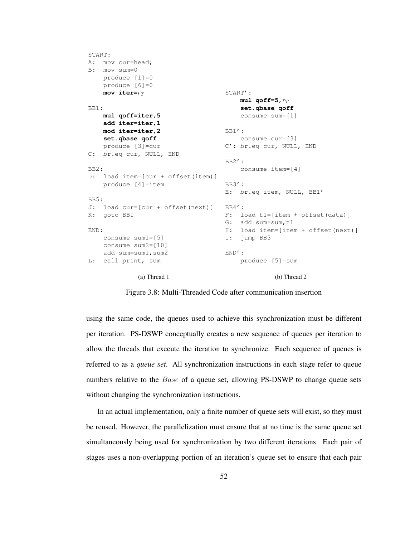```
START:
A: mov cur=head;
B: mov sum=0
   produce [1]=0
   produce [6]=0
   mov iter=r_TBB1:
   mul qoff=iter,5
   add iter=iter,1
   mod iter=iter,2
   set.qbase qoff
   produce [3]=cur
C: br.eq cur, NULL, END
BB2:
D: load item=[cur + offset(item)]
   produce [4]=item
BB5:
J: load cur=[cur + offset(next)]
K: goto BB1
END:
   consume sum1=[5]
   consume sum2=[10]
   add sum=sum1,sum2
L: call print, sum
             (a) Thread 1
                                   START':
                                       mu1 qoff=5,r_Tset.qbase qoff
                                       consume sum=[1]
                                  BB1':
                                       consume cur=[3]
                                   C': br.eq cur, NULL, END
                                   BB2':
                                      consume item=[4]
                                   BB3':
                                   E: br.eq item, NULL, BB1'
                                   BB4':
                                   F: load t1=[item + offset(data)]
                                   G: add sum=sum, t1
                                   H: load item=[item + offset(next)]
                                  I: jump BB3
                                  END':
                                      produce [5]=sum
                                                (b) Thread 2
```
Figure 3.8: Multi-Threaded Code after communication insertion

using the same code, the queues used to achieve this synchronization must be different per iteration. PS-DSWP conceptually creates a new sequence of queues per iteration to allow the threads that execute the iteration to synchronize. Each sequence of queues is referred to as a *queue set*. All synchronization instructions in each stage refer to queue numbers relative to the *Base* of a queue set, allowing PS-DSWP to change queue sets without changing the synchronization instructions.

In an actual implementation, only a finite number of queue sets will exist, so they must be reused. However, the parallelization must ensure that at no time is the same queue set simultaneously being used for synchronization by two different iterations. Each pair of stages uses a non-overlapping portion of an iteration's queue set to ensure that each pair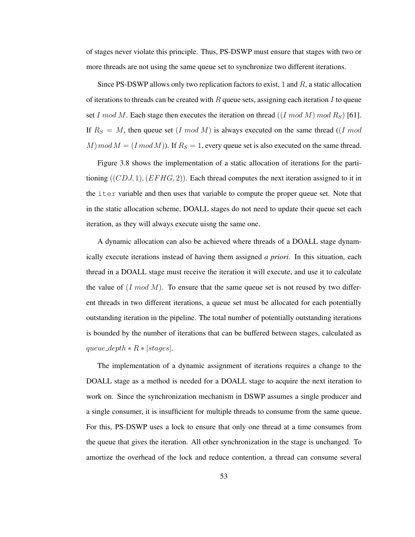of stages never violate this principle. Thus, PS-DSWP must ensure that stages with two or more threads are not using the same queue set to synchronize two different iterations.

Since PS-DSWP allows only two replication factors to exist, 1 and  $R$ , a static allocation of iterations to threads can be created with  $R$  queue sets, assigning each iteration  $I$  to queue set I mod M. Each stage then executes the iteration on thread  $((I \mod M) \mod R_S)$  [61]. If  $R_S = M$ , then queue set (I mod M) is always executed on the same thread ((I mod  $M \mod M = (I \mod M)$ . If  $R_S = 1$ , every queue set is also executed on the same thread.

Figure 3.8 shows the implementation of a static allocation of iterations for the partitioning  $((CDJ, 1), (EFHG, 2))$ . Each thread computes the next iteration assigned to it in the iter variable and then uses that variable to compute the proper queue set. Note that in the static allocation scheme, DOALL stages do not need to update their queue set each iteration, as they will always execute uisng the same one.

A dynamic allocation can also be achieved where threads of a DOALL stage dynamically execute iterations instead of having them assigned *a priori*. In this situation, each thread in a DOALL stage must receive the iteration it will execute, and use it to calculate the value of  $(I \mod M)$ . To ensure that the same queue set is not reused by two different threads in two different iterations, a queue set must be allocated for each potentially outstanding iteration in the pipeline. The total number of potentially outstanding iterations is bounded by the number of iterations that can be buffered between stages, calculated as queue\_depth  $* R * | stages|$ .

The implementation of a dynamic assignment of iterations requires a change to the DOALL stage as a method is needed for a DOALL stage to acquire the next iteration to work on. Since the synchronization mechanism in DSWP assumes a single producer and a single consumer, it is insufficient for multiple threads to consume from the same queue. For this, PS-DSWP uses a lock to ensure that only one thread at a time consumes from the queue that gives the iteration. All other synchronization in the stage is unchanged. To amortize the overhead of the lock and reduce contention, a thread can consume several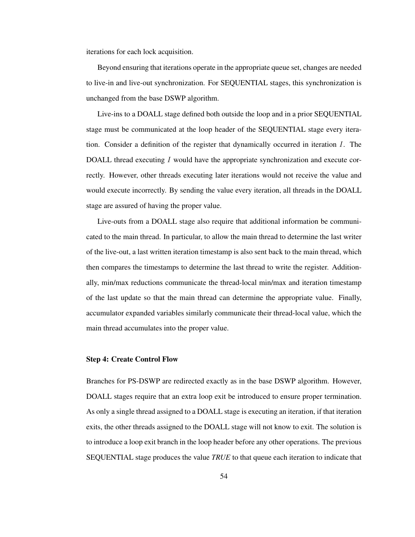iterations for each lock acquisition.

Beyond ensuring that iterations operate in the appropriate queue set, changes are needed to live-in and live-out synchronization. For SEQUENTIAL stages, this synchronization is unchanged from the base DSWP algorithm.

Live-ins to a DOALL stage defined both outside the loop and in a prior SEQUENTIAL stage must be communicated at the loop header of the SEQUENTIAL stage every iteration. Consider a definition of the register that dynamically occurred in iteration I. The DOALL thread executing I would have the appropriate synchronization and execute correctly. However, other threads executing later iterations would not receive the value and would execute incorrectly. By sending the value every iteration, all threads in the DOALL stage are assured of having the proper value.

Live-outs from a DOALL stage also require that additional information be communicated to the main thread. In particular, to allow the main thread to determine the last writer of the live-out, a last written iteration timestamp is also sent back to the main thread, which then compares the timestamps to determine the last thread to write the register. Additionally, min/max reductions communicate the thread-local min/max and iteration timestamp of the last update so that the main thread can determine the appropriate value. Finally, accumulator expanded variables similarly communicate their thread-local value, which the main thread accumulates into the proper value.

#### Step 4: Create Control Flow

Branches for PS-DSWP are redirected exactly as in the base DSWP algorithm. However, DOALL stages require that an extra loop exit be introduced to ensure proper termination. As only a single thread assigned to a DOALL stage is executing an iteration, if that iteration exits, the other threads assigned to the DOALL stage will not know to exit. The solution is to introduce a loop exit branch in the loop header before any other operations. The previous SEQUENTIAL stage produces the value *TRUE* to that queue each iteration to indicate that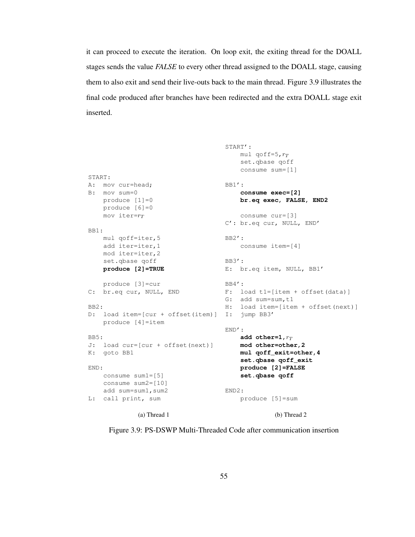it can proceed to execute the iteration. On loop exit, the exiting thread for the DOALL stages sends the value *FALSE* to every other thread assigned to the DOALL stage, causing them to also exit and send their live-outs back to the main thread. Figure 3.9 illustrates the final code produced after branches have been redirected and the extra DOALL stage exit inserted.

```
START:
A: mov cur=head;
B: mov sum=0
   produce [1]=0
   produce [6]=0
   mov iter=r_TBB1:
   mul qoff=iter,5
    add iter=iter,1
    mod iter=iter,2
    set.qbase qoff
    produce [2]=TRUE
   produce [3]=cur
C: br.eq cur, NULL, END
BB2:
D: load item=[cur + offset(item)]
I: jump BB3'
    produce [4]=item
BB5:
J: load cur=[cur + offset(next)]
K: goto BB1
END:
   consume sum1=[5]
   consume sum2=[10]
   add sum=sum1, sum2
L: call print, sum
             (a) Thread 1
                                    START':
                                        mul qoff=5,r_Tset.qbase qoff
                                        consume sum=[1]
                                    BB1':
                                        consume exec=[2]
                                        br.eq exec, FALSE, END2
                                        consume cur=[3]
                                   C': br.eq cur, NULL, END'
                                    BB2':
                                        consume item=[4]
                                    BB3':
                                    E: br.eq item, NULL, BB1'
                                   BB4':
                                  F: load t1=[item + offset(data)]
                                    G: add sum=sum, t1
                                    H: load item=[item + offset(next)]
                                    END':
                                       add other=1, r_Tmod other=other,2
                                        mul qoff_exit=other,4
                                        set.qbase qoff_exit
                                        produce [2]=FALSE
                                        set.qbase qoff
                                  END2:
                                        produce [5]=sum
                                                 (b) Thread 2
```
Figure 3.9: PS-DSWP Multi-Threaded Code after communication insertion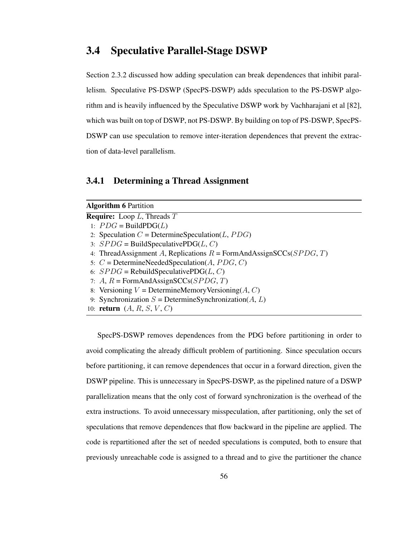## 3.4 Speculative Parallel-Stage DSWP

Section 2.3.2 discussed how adding speculation can break dependences that inhibit parallelism. Speculative PS-DSWP (SpecPS-DSWP) adds speculation to the PS-DSWP algorithm and is heavily influenced by the Speculative DSWP work by Vachharajani et al [82], which was built on top of DSWP, not PS-DSWP. By building on top of PS-DSWP, SpecPS-DSWP can use speculation to remove inter-iteration dependences that prevent the extraction of data-level parallelism.

## 3.4.1 Determining a Thread Assignment

| <b>Algorithm 6 Partition</b>                                                |
|-----------------------------------------------------------------------------|
| <b>Require:</b> Loop $L$ , Threads $T$                                      |
| 1: $PDG = \text{BuildPDG}(L)$                                               |
| 2: Speculation $C =$ DetermineSpeculation(L, PDG)                           |
| 3: $SPDG = \text{BuildSpeculativePDG}(L, C)$                                |
| 4: ThreadAssignment A, Replications $R = \text{FormAndAssignSCCs}(SPDG, T)$ |
| 5: $C =$ DetermineNeededSpeculation(A, PDG, C)                              |
| 6: $SPDG = \text{RebuildSpeculativePDG}(L, C)$                              |
| 7: A, $R = \text{FormAndAssignSCCs}(SPDG, T)$                               |
| 8: Versioning $V =$ DetermineMemoryVersioning(A, C)                         |
| 9: Synchronization $S =$ DetermineSynchronization(A, L)                     |
| 10: <b>return</b> $(A, R, S, V, C)$                                         |

SpecPS-DSWP removes dependences from the PDG before partitioning in order to avoid complicating the already difficult problem of partitioning. Since speculation occurs before partitioning, it can remove dependences that occur in a forward direction, given the DSWP pipeline. This is unnecessary in SpecPS-DSWP, as the pipelined nature of a DSWP parallelization means that the only cost of forward synchronization is the overhead of the extra instructions. To avoid unnecessary misspeculation, after partitioning, only the set of speculations that remove dependences that flow backward in the pipeline are applied. The code is repartitioned after the set of needed speculations is computed, both to ensure that previously unreachable code is assigned to a thread and to give the partitioner the chance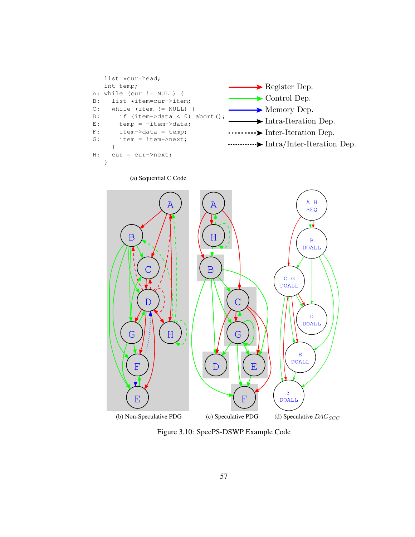



Figure 3.10: SpecPS-DSWP Example Code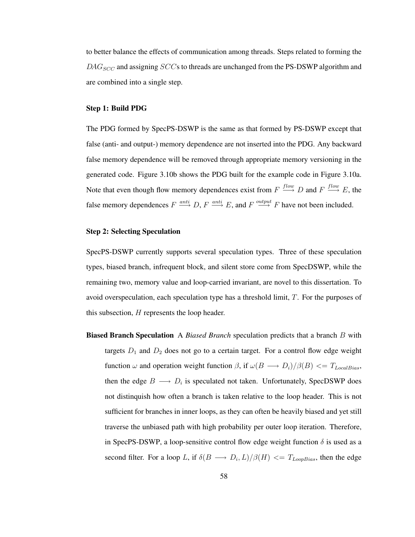to better balance the effects of communication among threads. Steps related to forming the  $DAG_{SCC}$  and assigning  $SCCs$  to threads are unchanged from the PS-DSWP algorithm and are combined into a single step.

## Step 1: Build PDG

The PDG formed by SpecPS-DSWP is the same as that formed by PS-DSWP except that false (anti- and output-) memory dependence are not inserted into the PDG. Any backward false memory dependence will be removed through appropriate memory versioning in the generated code. Figure 3.10b shows the PDG built for the example code in Figure 3.10a. Note that even though flow memory dependences exist from  $F \stackrel{flow}{\longrightarrow} D$  and  $F \stackrel{flow}{\longrightarrow} E$ , the false memory dependences  $F \stackrel{anti}{\longrightarrow} D$ ,  $F \stackrel{anti}{\longrightarrow} E$ , and  $F \stackrel{output}{\longrightarrow} F$  have not been included.

## Step 2: Selecting Speculation

SpecPS-DSWP currently supports several speculation types. Three of these speculation types, biased branch, infrequent block, and silent store come from SpecDSWP, while the remaining two, memory value and loop-carried invariant, are novel to this dissertation. To avoid overspeculation, each speculation type has a threshold limit, T. For the purposes of this subsection, H represents the loop header.

Biased Branch Speculation A *Biased Branch* speculation predicts that a branch B with targets  $D_1$  and  $D_2$  does not go to a certain target. For a control flow edge weight function  $\omega$  and operation weight function  $\beta$ , if  $\omega(B \longrightarrow D_i)/\beta(B) \leq T_{LocalBias}$ , then the edge  $B \longrightarrow D_i$  is speculated not taken. Unfortunately, SpecDSWP does not distinquish how often a branch is taken relative to the loop header. This is not sufficient for branches in inner loops, as they can often be heavily biased and yet still traverse the unbiased path with high probability per outer loop iteration. Therefore, in SpecPS-DSWP, a loop-sensitive control flow edge weight function  $\delta$  is used as a second filter. For a loop L, if  $\delta(B \longrightarrow D_i, L)/\beta(H) \ll T_{Loop Bias}$ , then the edge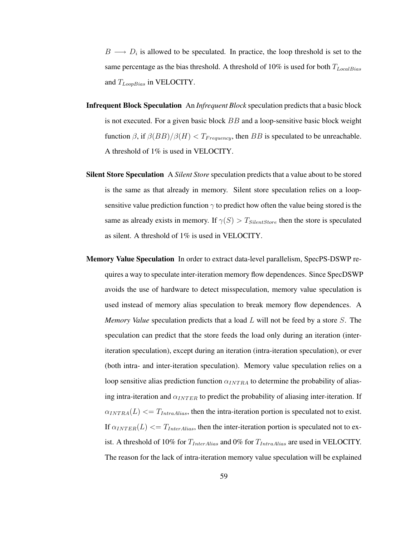$B \longrightarrow D_i$  is allowed to be speculated. In practice, the loop threshold is set to the same percentage as the bias threshold. A threshold of 10% is used for both  $T_{LocalBias}$ and  $T_{Loop Bias}$  in VELOCITY.

- Infrequent Block Speculation An *Infrequent Block* speculation predictsthat a basic block is not executed. For a given basic block  $BB$  and a loop-sensitive basic block weight function  $\beta$ , if  $\beta(BB)/\beta(H) < T_{Frequency}$ , then BB is speculated to be unreachable. A threshold of 1% is used in VELOCITY.
- Silent Store Speculation A *Silent Store* speculation predicts that a value about to be stored is the same as that already in memory. Silent store speculation relies on a loopsensitive value prediction function  $\gamma$  to predict how often the value being stored is the same as already exists in memory. If  $\gamma(S) > T_{SilentStore}$  then the store is speculated as silent. A threshold of 1% is used in VELOCITY.
- Memory Value Speculation In order to extract data-level parallelism, SpecPS-DSWP requires a way to speculate inter-iteration memory flow dependences. Since SpecDSWP avoids the use of hardware to detect misspeculation, memory value speculation is used instead of memory alias speculation to break memory flow dependences. A *Memory Value* speculation predicts that a load L will not be feed by a store S. The speculation can predict that the store feeds the load only during an iteration (interiteration speculation), except during an iteration (intra-iteration speculation), or ever (both intra- and inter-iteration speculation). Memory value speculation relies on a loop sensitive alias prediction function  $\alpha_{INTRA}$  to determine the probability of aliasing intra-iteration and  $\alpha_{INTER}$  to predict the probability of aliasing inter-iteration. If  $\alpha_{INTRA}(L) \leq T_{IntraAlias}$ , then the intra-iteration portion is speculated not to exist. If  $\alpha_{INTER}(L) \leq T_{InterAlias}$ , then the inter-iteration portion is speculated not to exist. A threshold of 10% for  $T_{InterAlias}$  and 0% for  $T_{IntraAlias}$  are used in VELOCITY. The reason for the lack of intra-iteration memory value speculation will be explained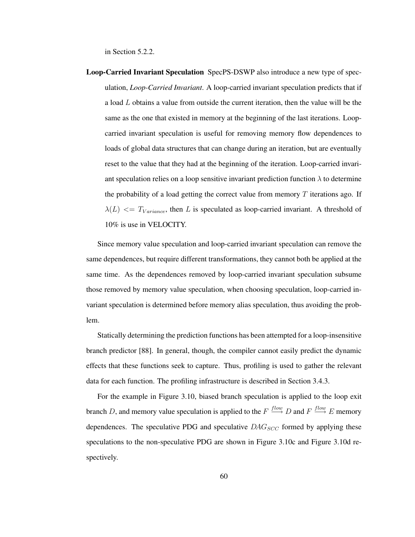in Section 5.2.2.

Loop-Carried Invariant Speculation SpecPS-DSWP also introduce a new type of speculation, *Loop-Carried Invariant*. A loop-carried invariant speculation predicts that if a load  $L$  obtains a value from outside the current iteration, then the value will be the same as the one that existed in memory at the beginning of the last iterations. Loopcarried invariant speculation is useful for removing memory flow dependences to loads of global data structures that can change during an iteration, but are eventually reset to the value that they had at the beginning of the iteration. Loop-carried invariant speculation relies on a loop sensitive invariant prediction function  $\lambda$  to determine the probability of a load getting the correct value from memory  $T$  iterations ago. If  $\lambda(L) \leq T_{Variance}$ , then L is speculated as loop-carried invariant. A threshold of 10% is use in VELOCITY.

Since memory value speculation and loop-carried invariant speculation can remove the same dependences, but require different transformations, they cannot both be applied at the same time. As the dependences removed by loop-carried invariant speculation subsume those removed by memory value speculation, when choosing speculation, loop-carried invariant speculation is determined before memory alias speculation, thus avoiding the problem.

Statically determining the prediction functions has been attempted for a loop-insensitive branch predictor [88]. In general, though, the compiler cannot easily predict the dynamic effects that these functions seek to capture. Thus, profiling is used to gather the relevant data for each function. The profiling infrastructure is described in Section 3.4.3.

For the example in Figure 3.10, biased branch speculation is applied to the loop exit branch D, and memory value speculation is applied to the  $F \stackrel{flow}{\longrightarrow} D$  and  $F \stackrel{flow}{\longrightarrow} E$  memory dependences. The speculative PDG and speculative  $DAG_{SCC}$  formed by applying these speculations to the non-speculative PDG are shown in Figure 3.10c and Figure 3.10d respectively.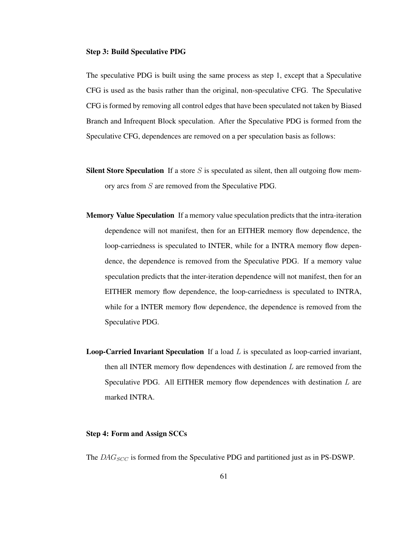## Step 3: Build Speculative PDG

The speculative PDG is built using the same process as step 1, except that a Speculative CFG is used as the basis rather than the original, non-speculative CFG. The Speculative CFG is formed by removing all control edges that have been speculated not taken by Biased Branch and Infrequent Block speculation. After the Speculative PDG is formed from the Speculative CFG, dependences are removed on a per speculation basis as follows:

- Silent Store Speculation If a store  $S$  is speculated as silent, then all outgoing flow memory arcs from S are removed from the Speculative PDG.
- Memory Value Speculation If a memory value speculation predicts that the intra-iteration dependence will not manifest, then for an EITHER memory flow dependence, the loop-carriedness is speculated to INTER, while for a INTRA memory flow dependence, the dependence is removed from the Speculative PDG. If a memory value speculation predicts that the inter-iteration dependence will not manifest, then for an EITHER memory flow dependence, the loop-carriedness is speculated to INTRA, while for a INTER memory flow dependence, the dependence is removed from the Speculative PDG.
- **Loop-Carried Invariant Speculation** If a load  $L$  is speculated as loop-carried invariant, then all INTER memory flow dependences with destination  $L$  are removed from the Speculative PDG. All EITHER memory flow dependences with destination  $L$  are marked INTRA.

## Step 4: Form and Assign SCCs

The  $DAG_{SCC}$  is formed from the Speculative PDG and partitioned just as in PS-DSWP.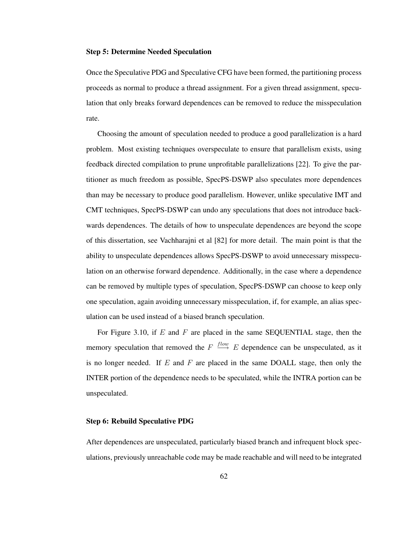## Step 5: Determine Needed Speculation

Once the Speculative PDG and Speculative CFG have been formed, the partitioning process proceeds as normal to produce a thread assignment. For a given thread assignment, speculation that only breaks forward dependences can be removed to reduce the misspeculation rate.

Choosing the amount of speculation needed to produce a good parallelization is a hard problem. Most existing techniques overspeculate to ensure that parallelism exists, using feedback directed compilation to prune unprofitable parallelizations [22]. To give the partitioner as much freedom as possible, SpecPS-DSWP also speculates more dependences than may be necessary to produce good parallelism. However, unlike speculative IMT and CMT techniques, SpecPS-DSWP can undo any speculations that does not introduce backwards dependences. The details of how to unspeculate dependences are beyond the scope of this dissertation, see Vachharajni et al [82] for more detail. The main point is that the ability to unspeculate dependences allows SpecPS-DSWP to avoid unnecessary misspeculation on an otherwise forward dependence. Additionally, in the case where a dependence can be removed by multiple types of speculation, SpecPS-DSWP can choose to keep only one speculation, again avoiding unnecessary misspeculation, if, for example, an alias speculation can be used instead of a biased branch speculation.

For Figure 3.10, if  $E$  and  $F$  are placed in the same SEQUENTIAL stage, then the memory speculation that removed the  $F \stackrel{flow}{\longrightarrow} E$  dependence can be unspeculated, as it is no longer needed. If  $E$  and  $F$  are placed in the same DOALL stage, then only the INTER portion of the dependence needs to be speculated, while the INTRA portion can be unspeculated.

## Step 6: Rebuild Speculative PDG

After dependences are unspeculated, particularly biased branch and infrequent block speculations, previously unreachable code may be made reachable and will need to be integrated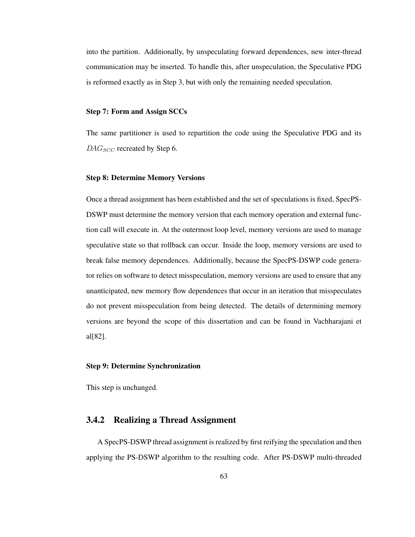into the partition. Additionally, by unspeculating forward dependences, new inter-thread communication may be inserted. To handle this, after unspeculation, the Speculative PDG is reformed exactly as in Step 3, but with only the remaining needed speculation.

## Step 7: Form and Assign SCCs

The same partitioner is used to repartition the code using the Speculative PDG and its  $DAG_{SCC}$  recreated by Step 6.

## Step 8: Determine Memory Versions

Once a thread assignment has been established and the set of speculations is fixed, SpecPS-DSWP must determine the memory version that each memory operation and external function call will execute in. At the outermost loop level, memory versions are used to manage speculative state so that rollback can occur. Inside the loop, memory versions are used to break false memory dependences. Additionally, because the SpecPS-DSWP code generator relies on software to detect misspeculation, memory versions are used to ensure that any unanticipated, new memory flow dependences that occur in an iteration that misspeculates do not prevent misspeculation from being detected. The details of determining memory versions are beyond the scope of this dissertation and can be found in Vachharajani et al[82].

## Step 9: Determine Synchronization

This step is unchanged.

## 3.4.2 Realizing a Thread Assignment

A SpecPS-DSWP thread assignment isrealized by first reifying the speculation and then applying the PS-DSWP algorithm to the resulting code. After PS-DSWP multi-threaded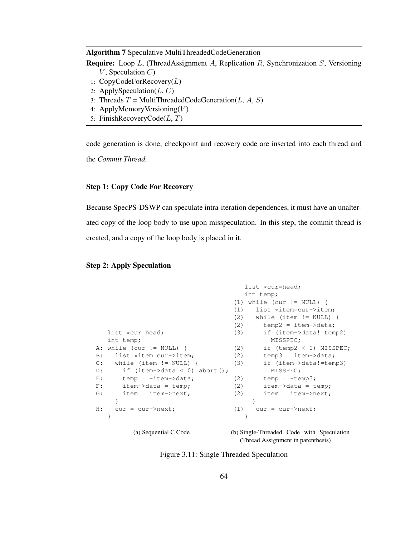## Algorithm 7 Speculative MultiThreadedCodeGeneration

- Require: Loop L, (ThreadAssignment A, Replication R, Synchronization S, Versioning  $V$ , Speculation  $C$ )
- 1:  $CopyCodeForRecovery(L)$
- 2: ApplySpeculation $(L, C)$
- 3: Threads  $T = MultiThreadedCodeGeneration(L, A, S)$
- 4: ApplyMemoryVersioning $(V)$
- 5: FinishRecoveryCode $(L, T)$

code generation is done, checkpoint and recovery code are inserted into each thread and the *Commit Thread*.

## Step 1: Copy Code For Recovery

Because SpecPS-DSWP can speculate intra-iteration dependences, it must have an unalterated copy of the loop body to use upon misspeculation. In this step, the commit thread is created, and a copy of the loop body is placed in it.

## Step 2: Apply Speculation

```
list *cur=head;
  int temp;
A: while (cur != NULL) {
B: list *item=cur->item;
C: while (item != NULL) {
D: if (item->data < 0) abort();
E: temp = -item->data;
F: item->data = temp;
G: item = item->next;
   }
H: cur = cur->next;
  }
                                   list *cur=head;
                                   int temp;
                                (1) while (cur != NULL) {
                                 (1) list *item=cur->item;
                                (2) while (item != NULL) {
                                (2) temp2 = item-\text{data};(3) if (item->data!=temp2)
                                         MISSPEC;
                               (2) if (temp2 < 0) MISSPEC;
                                (2) temp3 = item->data;
                               (3) if (item->data!=temp3)
                                        MISSPEC;
                                (2) temp = -temp3;(2) item->data = temp;
                                (2) item = item->next;
                                    }
                                (1) cur = cur->next;}
```
(a) Sequential C Code

(b) Single-Threaded Code with Speculation (Thread Assignment in parenthesis)

Figure 3.11: Single Threaded Speculation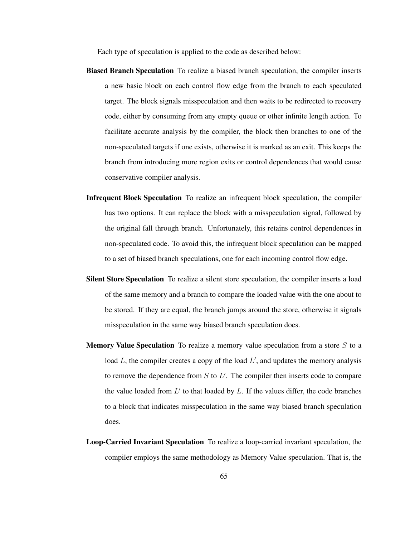Each type of speculation is applied to the code as described below:

- Biased Branch Speculation To realize a biased branch speculation, the compiler inserts a new basic block on each control flow edge from the branch to each speculated target. The block signals misspeculation and then waits to be redirected to recovery code, either by consuming from any empty queue or other infinite length action. To facilitate accurate analysis by the compiler, the block then branches to one of the non-speculated targets if one exists, otherwise it is marked as an exit. This keeps the branch from introducing more region exits or control dependences that would cause conservative compiler analysis.
- Infrequent Block Speculation To realize an infrequent block speculation, the compiler has two options. It can replace the block with a misspeculation signal, followed by the original fall through branch. Unfortunately, this retains control dependences in non-speculated code. To avoid this, the infrequent block speculation can be mapped to a set of biased branch speculations, one for each incoming control flow edge.
- Silent Store Speculation To realize a silent store speculation, the compiler inserts a load of the same memory and a branch to compare the loaded value with the one about to be stored. If they are equal, the branch jumps around the store, otherwise it signals misspeculation in the same way biased branch speculation does.
- **Memory Value Speculation** To realize a memory value speculation from a store  $S$  to a load  $L$ , the compiler creates a copy of the load  $L'$ , and updates the memory analysis to remove the dependence from  $S$  to  $L'$ . The compiler then inserts code to compare the value loaded from  $L'$  to that loaded by  $L$ . If the values differ, the code branches to a block that indicates misspeculation in the same way biased branch speculation does.
- Loop-Carried Invariant Speculation To realize a loop-carried invariant speculation, the compiler employs the same methodology as Memory Value speculation. That is, the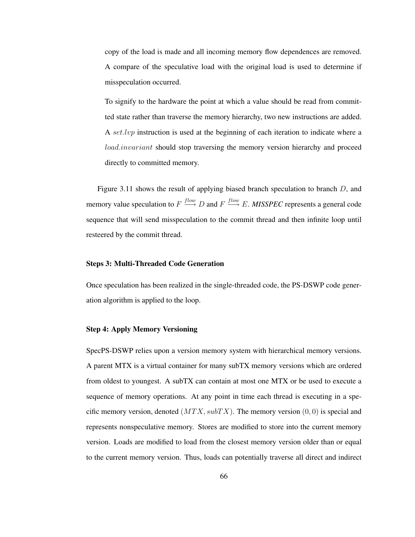copy of the load is made and all incoming memory flow dependences are removed. A compare of the speculative load with the original load is used to determine if misspeculation occurred.

To signify to the hardware the point at which a value should be read from committed state rather than traverse the memory hierarchy, two new instructions are added. A set.lvp instruction is used at the beginning of each iteration to indicate where a load.invariant should stop traversing the memory version hierarchy and proceed directly to committed memory.

Figure 3.11 shows the result of applying biased branch speculation to branch  $D$ , and memory value speculation to  $F \xrightarrow{flow} D$  and  $F \xrightarrow{flow} E$ . *MISSPEC* represents a general code sequence that will send misspeculation to the commit thread and then infinite loop until resteered by the commit thread.

## Steps 3: Multi-Threaded Code Generation

Once speculation has been realized in the single-threaded code, the PS-DSWP code generation algorithm is applied to the loop.

## Step 4: Apply Memory Versioning

SpecPS-DSWP relies upon a version memory system with hierarchical memory versions. A parent MTX is a virtual container for many subTX memory versions which are ordered from oldest to youngest. A subTX can contain at most one MTX or be used to execute a sequence of memory operations. At any point in time each thread is executing in a specific memory version, denoted  $(MTX, subTX)$ . The memory version  $(0, 0)$  is special and represents nonspeculative memory. Stores are modified to store into the current memory version. Loads are modified to load from the closest memory version older than or equal to the current memory version. Thus, loads can potentially traverse all direct and indirect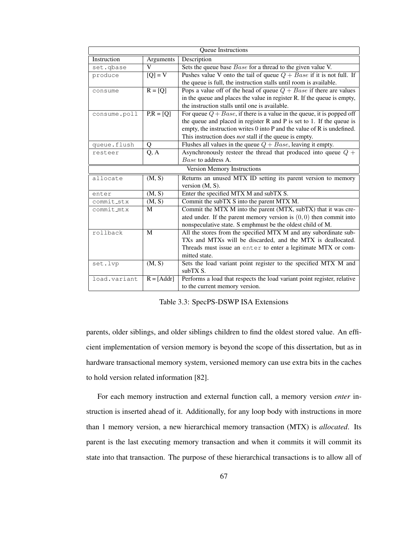| Queue Instructions          |                      |                                                                           |  |  |
|-----------------------------|----------------------|---------------------------------------------------------------------------|--|--|
| Instruction                 | Arguments            | Description                                                               |  |  |
| set.gbase                   | $\mathbf{V}$         | Sets the queue base <i>Base</i> for a thread to the given value V.        |  |  |
| produce                     | $\overline{[Q]} = V$ | Pushes value V onto the tail of queue $Q + Base$ if it is not full. If    |  |  |
|                             |                      | the queue is full, the instruction stalls until room is available.        |  |  |
| consume                     | $R = [Q]$            | Pops a value off of the head of queue $Q + Base$ if there are values      |  |  |
|                             |                      | in the queue and places the value in register R. If the queue is empty,   |  |  |
|                             |                      | the instruction stalls until one is available.                            |  |  |
| consume.poll                | $P_{1}R = [Q]$       | For queue $Q + Base$ , if there is a value in the queue, it is popped off |  |  |
|                             |                      | the queue and placed in register $R$ and $P$ is set to 1. If the queue is |  |  |
|                             |                      | empty, the instruction writes 0 into P and the value of R is undefined.   |  |  |
|                             |                      | This instruction does <i>not</i> stall if the queue is empty.             |  |  |
| queue.flush                 | Q                    | Flushes all values in the queue $Q + Base$ , leaving it empty.            |  |  |
| resteer                     | $\overline{Q}$ , A   | Asynchronously resteer the thread that produced into queue $Q +$          |  |  |
|                             |                      | Base to address A.                                                        |  |  |
| Version Memory Instructions |                      |                                                                           |  |  |
| allocate                    | (M, S)               | Returns an unused MTX ID setting its parent version to memory             |  |  |
|                             |                      | version $(M, S)$ .                                                        |  |  |
| enter                       | (M, S)               | Enter the specified MTX M and subTX S.                                    |  |  |
| commit_stx                  | (M, S)               | Commit the subTX S into the parent MTX M.                                 |  |  |
| commit_mtx                  | M                    | Commit the MTX M into the parent (MTX, subTX) that it was cre-            |  |  |
|                             |                      | ated under. If the parent memory version is $(0, 0)$ then commit into     |  |  |
|                             |                      | nonspeculative state. S emphmust be the oldest child of M.                |  |  |
| rollback                    | M                    | All the stores from the specified MTX M and any subordinate sub-          |  |  |
|                             |                      | TXs and MTXs will be discarded, and the MTX is deallocated.               |  |  |
|                             |                      | Threads must issue an enter to enter a legitimate MTX or com-             |  |  |
|                             |                      | mitted state.                                                             |  |  |
| set.lvp                     | (M, S)               | Sets the load variant point register to the specified MTX M and           |  |  |
|                             |                      | subTX S.                                                                  |  |  |
| load.variant                | $R = [Addr]$         | Performs a load that respects the load variant point register, relative   |  |  |
|                             |                      | to the current memory version.                                            |  |  |

Table 3.3: SpecPS-DSWP ISA Extensions

parents, older siblings, and older siblings children to find the oldest stored value. An efficient implementation of version memory is beyond the scope of this dissertation, but as in hardware transactional memory system, versioned memory can use extra bits in the caches to hold version related information [82].

For each memory instruction and external function call, a memory version *enter* instruction is inserted ahead of it. Additionally, for any loop body with instructions in more than 1 memory version, a new hierarchical memory transaction (MTX) is *allocated*. Its parent is the last executing memory transaction and when it commits it will commit its state into that transaction. The purpose of these hierarchical transactions is to allow all of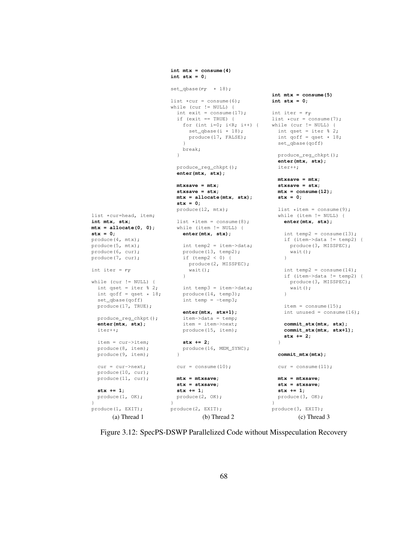```
list *cur=head, item;
int mtx, stx;
mtx = allocate(0, 0);
stx = 0;
produce(4, mtx);
produce(5, mtx);produce(6, cur);
produce(7, cur);
int iter = r_Twhile (cur != NULL) {
  int qset = iter % 2;int qoff = qset * 18;set_qbase(qoff)
  produce(17, TRUE);
  produce_reg_chkpt();
  enter(mtx, stx);
  iter++;
  item = cur->item;
  produce(8, item);
  produce(9, item);
  cur = cur->next;
  produce(10, cur);
  produce(11, cur);
  stx += 1;
  produce(1, OK);
produce(1, EXIT);
       (a) Thread 1
                          int mtx = \text{concume}(4)int stx = 0;
                          set_qbase(r_T * 18);
                          list *cur = \text{cosume}(6);while (cur := NULL) {
                           int exit = \text{consum}(17);
                            if (exit == TRUE) {
                              for (int i=0; i<R; i++) {
                               set\_qbase(i * 18);produce(17, FALSE);
                              }
                              break;
                            }
                            produce_reg_chkpt();
                            enter(mtx, stx);
                            mtxsave = mtx;
                            stxsave = stx;
                            mtx = allocate(mtx, stx);
                            stx = 0;
                            produce(12, mtx);
                           list *item = consume(8);while (item != NULL) {
                             enter(mtx, stx);
                             int temp2 = item->data;
                             produce(13, temp2);
                              if (temp2 < 0) {
                               produce(2, MISSPEC);
                               wait();
                              }
                            int temp3 = item->data;
                              produce(14, temp3);
                              int temp = -temp3;
                              enter(mtx, stx+1);
                              item->data = temp;
                              item = item->next;
                             produce(15, item);
                             stx += 2;
                             produce(16, MEM_SYNC);
                            }
                           cur = \text{cosume}(10);mtx = mtxsave;
                           stx = stxsave;
                            stx += 1;
                           produce(2, OK);
                          }
                         produce(2, EXIT);
                                    (b) Thread 2
                                                           int mtx = \text{consume}(5)int stx = 0;
                                                          int iter = r_Tlist *cur = \text{cosume}(7);while (cur != NULL) {
                                                           int qset = iter % 2;int qoff = qset * 18;
                                                             set_qbase(qoff)
                                                             produce_reg_chkpt();
                                                              enter(mtx, stx);
                                                             iter++;
                                                             mtxsave = mtx;
                                                             stxsave = stx;
                                                             mtx = consume(12);
                                                             stx = 0;
                                                             list *item = consume(9);while (item != NULL) {
                                                               enter(mtx, stx);
                                                               int temp2 = \text{cosume}(13);
                                                               if (item->data != temp2) {
                                                                produce(3, MISSPEC);
                                                                 wait();
                                                               }
                                                               int temp2 = consume (14);
                                                               if (item->data != temp2) {
                                                                 produce(3, MISSPEC);
                                                                 wait();
                                                               }
                                                               item = consume(15);
                                                               int unused = \text{consum}(16);
                                                               commit_stx(mtx, stx);
                                                                commit_stx(mtx, stx+1);
                                                                stx += 2;
                                                              }
                                                             commit_mtx(mtx);
                                                             cur = \text{cosume}(11);mtx = mtxsave;
                                                             stx = stxsave;
                                                             stx += 1;
                                                             produce(3, OK);
                                                            }
                                                          produce(3, EXIT);
                                                                    (c) Thread 3
```
Figure 3.12: SpecPS-DSWP Parallelized Code without Misspeculation Recovery

}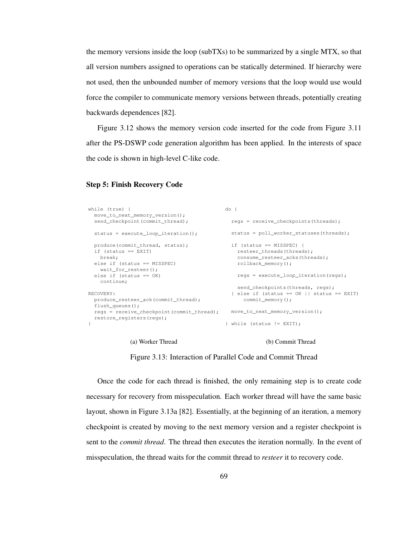the memory versions inside the loop (subTXs) to be summarized by a single MTX, so that all version numbers assigned to operations can be statically determined. If hierarchy were not used, then the unbounded number of memory versions that the loop would use would force the compiler to communicate memory versions between threads, potentially creating backwards dependences [82].

Figure 3.12 shows the memory version code inserted for the code from Figure 3.11 after the PS-DSWP code generation algorithm has been applied. In the interests of space the code is shown in high-level C-like code.

## Step 5: Finish Recovery Code

```
while (true) {
 move_to_next_memory_version();
  send_checkpoint(commit_thread);
 status = execute_loop_iteration();
 produce(commit_thread, status);
 if (status == EXIT)
   break;
  else if (status == MISSPEC)
   wait_for_resteer();
  else if (status == OK)
   continue;
RECOVERY:
 produce_resteer_ack(commit_thread);
  flush_queues();
  regs = receive_checkpoint(commit_thread);
move_to_next_memory_version();
 restore_registers(regs);
}
                                           do {
                                             regs = receive_checkpoints(threads);
                                             status = poll worker statuses(threads);
                                            if (status == MISSPEC) {
                                               resteer_threads(threads);
                                               consume_resteer_acks(threads);
                                              rollback_memory();
                                               regs = execute_loop_iteration(regs);
                                               send_checkpoints(threads, regs);
                                             } else if (status == OK || status == EXIT)
                                                 commit_memory();
                                           } while (status != EXIT);
```
#### (a) Worker Thread

#### (b) Commit Thread

Figure 3.13: Interaction of Parallel Code and Commit Thread

Once the code for each thread is finished, the only remaining step is to create code necessary for recovery from misspeculation. Each worker thread will have the same basic layout, shown in Figure 3.13a [82]. Essentially, at the beginning of an iteration, a memory checkpoint is created by moving to the next memory version and a register checkpoint is sent to the *commit thread*. The thread then executes the iteration normally. In the event of misspeculation, the thread waits for the commit thread to *resteer* it to recovery code.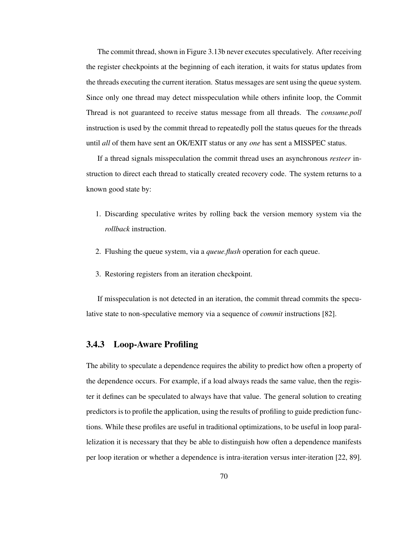The commit thread, shown in Figure 3.13b never executes speculatively. After receiving the register checkpoints at the beginning of each iteration, it waits for status updates from the threads executing the current iteration. Status messages are sent using the queue system. Since only one thread may detect misspeculation while others infinite loop, the Commit Thread is not guaranteed to receive status message from all threads. The *consume.poll* instruction is used by the commit thread to repeatedly poll the status queues for the threads until *all* of them have sent an OK/EXIT status or any *one* has sent a MISSPEC status.

If a thread signals misspeculation the commit thread uses an asynchronous *resteer* instruction to direct each thread to statically created recovery code. The system returns to a known good state by:

- 1. Discarding speculative writes by rolling back the version memory system via the *rollback* instruction.
- 2. Flushing the queue system, via a *queue.flush* operation for each queue.
- 3. Restoring registers from an iteration checkpoint.

If misspeculation is not detected in an iteration, the commit thread commits the speculative state to non-speculative memory via a sequence of *commit* instructions [82].

## 3.4.3 Loop-Aware Profiling

The ability to speculate a dependence requires the ability to predict how often a property of the dependence occurs. For example, if a load always reads the same value, then the register it defines can be speculated to always have that value. The general solution to creating predictorsisto profile the application, using the results of profiling to guide prediction functions. While these profiles are useful in traditional optimizations, to be useful in loop parallelization it is necessary that they be able to distinguish how often a dependence manifests per loop iteration or whether a dependence is intra-iteration versus inter-iteration [22, 89].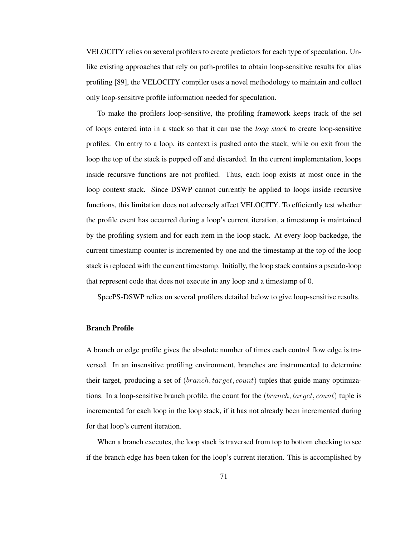VELOCITY relies on several profilers to create predictors for each type of speculation. Unlike existing approaches that rely on path-profiles to obtain loop-sensitive results for alias profiling [89], the VELOCITY compiler uses a novel methodology to maintain and collect only loop-sensitive profile information needed for speculation.

To make the profilers loop-sensitive, the profiling framework keeps track of the set of loops entered into in a stack so that it can use the *loop stack* to create loop-sensitive profiles. On entry to a loop, its context is pushed onto the stack, while on exit from the loop the top of the stack is popped off and discarded. In the current implementation, loops inside recursive functions are not profiled. Thus, each loop exists at most once in the loop context stack. Since DSWP cannot currently be applied to loops inside recursive functions, this limitation does not adversely affect VELOCITY. To efficiently test whether the profile event has occurred during a loop's current iteration, a timestamp is maintained by the profiling system and for each item in the loop stack. At every loop backedge, the current timestamp counter is incremented by one and the timestamp at the top of the loop stack is replaced with the current timestamp. Initially, the loop stack contains a pseudo-loop that represent code that does not execute in any loop and a timestamp of 0.

SpecPS-DSWP relies on several profilers detailed below to give loop-sensitive results.

## Branch Profile

A branch or edge profile gives the absolute number of times each control flow edge is traversed. In an insensitive profiling environment, branches are instrumented to determine their target, producing a set of (*branch*, *target, count*) tuples that guide many optimizations. In a loop-sensitive branch profile, the count for the (branch,target, count) tuple is incremented for each loop in the loop stack, if it has not already been incremented during for that loop's current iteration.

When a branch executes, the loop stack is traversed from top to bottom checking to see if the branch edge has been taken for the loop's current iteration. This is accomplished by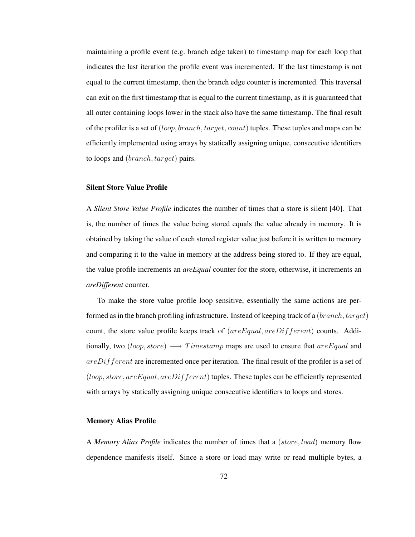maintaining a profile event (e.g. branch edge taken) to timestamp map for each loop that indicates the last iteration the profile event was incremented. If the last timestamp is not equal to the current timestamp, then the branch edge counter is incremented. This traversal can exit on the first timestamp that is equal to the current timestamp, as it is guaranteed that all outer containing loops lower in the stack also have the same timestamp. The final result of the profiler is a set of (loop, branch, target, count) tuples. These tuples and maps can be efficiently implemented using arrays by statically assigning unique, consecutive identifiers to loops and *(branch, target)* pairs.

## Silent Store Value Profile

A *Slient Store Value Profile* indicates the number of times that a store is silent [40]. That is, the number of times the value being stored equals the value already in memory. It is obtained by taking the value of each stored register value just before it is written to memory and comparing it to the value in memory at the address being stored to. If they are equal, the value profile increments an *areEqual* counter for the store, otherwise, it increments an *areDifferent* counter.

To make the store value profile loop sensitive, essentially the same actions are performed as in the branch profiling infrastructure. Instead of keeping track of a (branch, target) count, the store value profile keeps track of  $(are Equal, are Different)$  counts. Additionally, two (loop, store)  $\longrightarrow$  Timestamp maps are used to ensure that are Equal and  $areDifferent$  are incremented once per iteration. The final result of the profiler is a set of  $(loop, store, are Equal, are Different)$  tuples. These tuples can be efficiently represented with arrays by statically assigning unique consecutive identifiers to loops and stores.

## Memory Alias Profile

A *Memory Alias Profile* indicates the number of times that a (store, load) memory flow dependence manifests itself. Since a store or load may write or read multiple bytes, a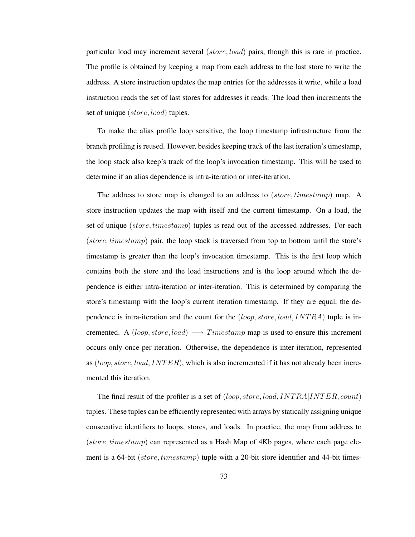particular load may increment several (store, load) pairs, though this is rare in practice. The profile is obtained by keeping a map from each address to the last store to write the address. A store instruction updates the map entries for the addresses it write, while a load instruction reads the set of last stores for addresses it reads. The load then increments the set of unique (store, load) tuples.

To make the alias profile loop sensitive, the loop timestamp infrastructure from the branch profiling is reused. However, besides keeping track of the last iteration's timestamp, the loop stack also keep's track of the loop's invocation timestamp. This will be used to determine if an alias dependence is intra-iteration or inter-iteration.

The address to store map is changed to an address to (*store, timestamp*) map. A store instruction updates the map with itself and the current timestamp. On a load, the set of unique (store, timestamp) tuples is read out of the accessed addresses. For each  $(\text{store},\text{timestamp})$  pair, the loop stack is traversed from top to bottom until the store's timestamp is greater than the loop's invocation timestamp. This is the first loop which contains both the store and the load instructions and is the loop around which the dependence is either intra-iteration or inter-iteration. This is determined by comparing the store's timestamp with the loop's current iteration timestamp. If they are equal, the dependence is intra-iteration and the count for the  $(logop, store, load, INTRA)$  tuple is incremented. A (loop, store, load)  $\longrightarrow$  Timestamp map is used to ensure this increment occurs only once per iteration. Otherwise, the dependence is inter-iteration, represented as  $(loop, store, load, INTER)$ , which is also incremented if it has not already been incremented this iteration.

The final result of the profiler is a set of (loop, store, load, INTRA|INTER, count) tuples. These tuples can be efficiently represented with arrays by statically assigning unique consecutive identifiers to loops, stores, and loads. In practice, the map from address to  $(\text{store},\text{timestamp})$  can represented as a Hash Map of 4Kb pages, where each page element is a 64-bit (store, timestamp) tuple with a 20-bit store identifier and 44-bit times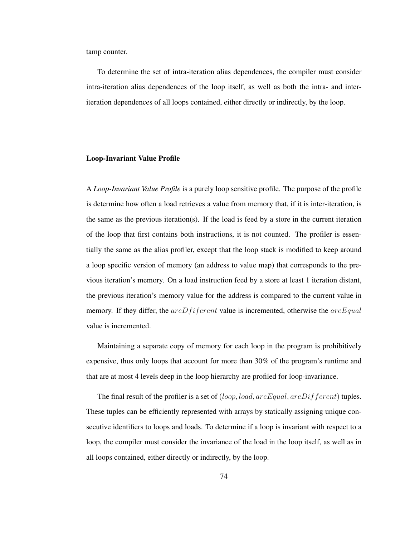tamp counter.

To determine the set of intra-iteration alias dependences, the compiler must consider intra-iteration alias dependences of the loop itself, as well as both the intra- and interiteration dependences of all loops contained, either directly or indirectly, by the loop.

#### Loop-Invariant Value Profile

A *Loop-Invariant Value Profile* is a purely loop sensitive profile. The purpose of the profile is determine how often a load retrieves a value from memory that, if it is inter-iteration, is the same as the previous iteration(s). If the load is feed by a store in the current iteration of the loop that first contains both instructions, it is not counted. The profiler is essentially the same as the alias profiler, except that the loop stack is modified to keep around a loop specific version of memory (an address to value map) that corresponds to the previous iteration's memory. On a load instruction feed by a store at least 1 iteration distant, the previous iteration's memory value for the address is compared to the current value in memory. If they differ, the  $areDifferent$  value is incremented, otherwise the  $areEqual$ value is incremented.

Maintaining a separate copy of memory for each loop in the program is prohibitively expensive, thus only loops that account for more than 30% of the program's runtime and that are at most 4 levels deep in the loop hierarchy are profiled for loop-invariance.

The final result of the profiler is a set of  $(loop, load, are Equal, are Diff. )$  tuples. These tuples can be efficiently represented with arrays by statically assigning unique consecutive identifiers to loops and loads. To determine if a loop is invariant with respect to a loop, the compiler must consider the invariance of the load in the loop itself, as well as in all loops contained, either directly or indirectly, by the loop.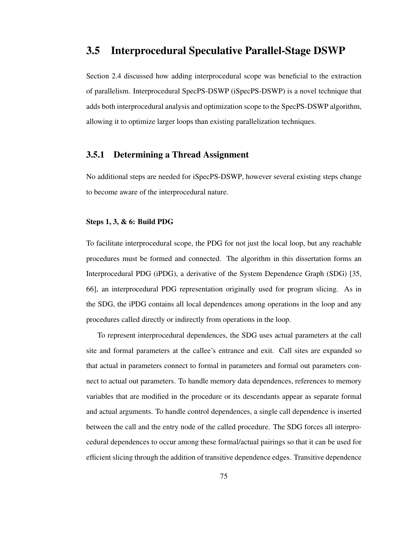## 3.5 Interprocedural Speculative Parallel-Stage DSWP

Section 2.4 discussed how adding interprocedural scope was beneficial to the extraction of parallelism. Interprocedural SpecPS-DSWP (iSpecPS-DSWP) is a novel technique that adds both interprocedural analysis and optimization scope to the SpecPS-DSWP algorithm, allowing it to optimize larger loops than existing parallelization techniques.

## 3.5.1 Determining a Thread Assignment

No additional steps are needed for iSpecPS-DSWP, however several existing steps change to become aware of the interprocedural nature.

## Steps 1, 3, & 6: Build PDG

To facilitate interprocedural scope, the PDG for not just the local loop, but any reachable procedures must be formed and connected. The algorithm in this dissertation forms an Interprocedural PDG (iPDG), a derivative of the System Dependence Graph (SDG) [35, 66], an interprocedural PDG representation originally used for program slicing. As in the SDG, the iPDG contains all local dependences among operations in the loop and any procedures called directly or indirectly from operations in the loop.

To represent interprocedural dependences, the SDG uses actual parameters at the call site and formal parameters at the callee's entrance and exit. Call sites are expanded so that actual in parameters connect to formal in parameters and formal out parameters connect to actual out parameters. To handle memory data dependences, references to memory variables that are modified in the procedure or its descendants appear as separate formal and actual arguments. To handle control dependences, a single call dependence is inserted between the call and the entry node of the called procedure. The SDG forces all interprocedural dependences to occur among these formal/actual pairings so that it can be used for efficient slicing through the addition of transitive dependence edges. Transitive dependence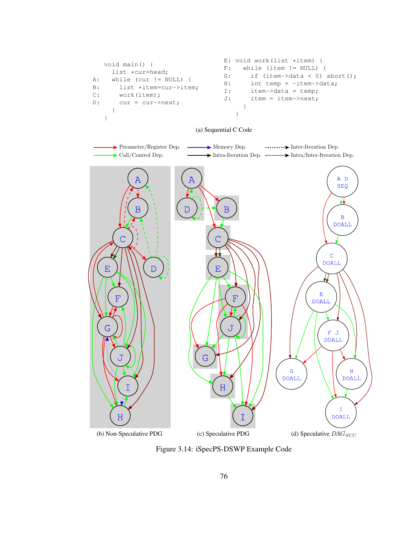

## (a) Sequential C Code



Figure 3.14: iSpecPS-DSWP Example Code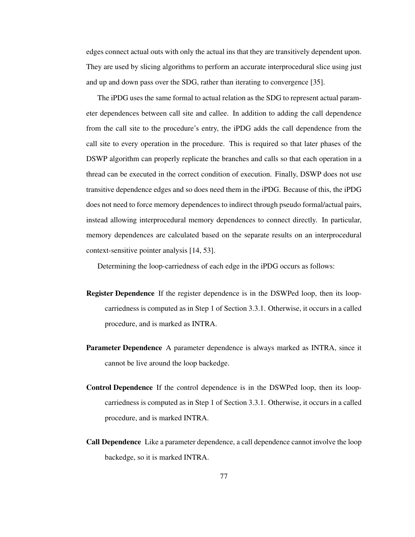edges connect actual outs with only the actual ins that they are transitively dependent upon. They are used by slicing algorithms to perform an accurate interprocedural slice using just and up and down pass over the SDG, rather than iterating to convergence [35].

The iPDG uses the same formal to actual relation as the SDG to represent actual parameter dependences between call site and callee. In addition to adding the call dependence from the call site to the procedure's entry, the iPDG adds the call dependence from the call site to every operation in the procedure. This is required so that later phases of the DSWP algorithm can properly replicate the branches and calls so that each operation in a thread can be executed in the correct condition of execution. Finally, DSWP does not use transitive dependence edges and so does need them in the iPDG. Because of this, the iPDG does not need to force memory dependences to indirect through pseudo formal/actual pairs, instead allowing interprocedural memory dependences to connect directly. In particular, memory dependences are calculated based on the separate results on an interprocedural context-sensitive pointer analysis [14, 53].

Determining the loop-carriedness of each edge in the iPDG occurs as follows:

- Register Dependence If the register dependence is in the DSWPed loop, then its loopcarriedness is computed as in Step 1 of Section 3.3.1. Otherwise, it occurs in a called procedure, and is marked as INTRA.
- Parameter Dependence A parameter dependence is always marked as INTRA, since it cannot be live around the loop backedge.
- Control Dependence If the control dependence is in the DSWPed loop, then its loopcarriedness is computed as in Step 1 of Section 3.3.1. Otherwise, it occurs in a called procedure, and is marked INTRA.
- Call Dependence Like a parameter dependence, a call dependence cannot involve the loop backedge, so it is marked INTRA.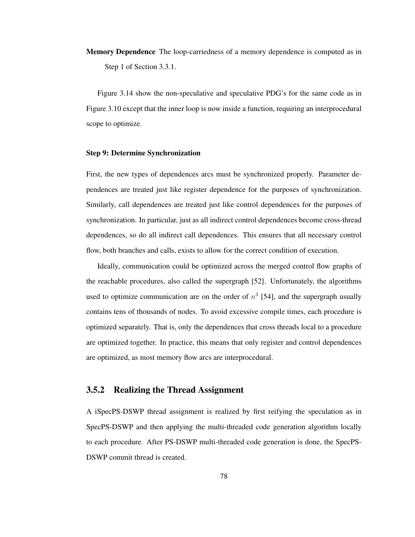Memory Dependence The loop-carriedness of a memory dependence is computed as in Step 1 of Section 3.3.1.

Figure 3.14 show the non-speculative and speculative PDG's for the same code as in Figure 3.10 except that the inner loop is now inside a function, requiring an interprocedural scope to optimize.

## Step 9: Determine Synchronization

First, the new types of dependences arcs must be synchronized properly. Parameter dependences are treated just like register dependence for the purposes of synchronization. Similarly, call dependences are treated just like control dependences for the purposes of synchronization. In particular, just as all indirect control dependences become cross-thread dependences, so do all indirect call dependences. This ensures that all necessary control flow, both branches and calls, exists to allow for the correct condition of execution.

Ideally, communication could be optimized across the merged control flow graphs of the reachable procedures, also called the supergraph [52]. Unfortunately, the algorithms used to optimize communication are on the order of  $n^3$  [54], and the supergraph usually contains tens of thousands of nodes. To avoid excessive compile times, each procedure is optimized separately. That is, only the dependences that cross threads local to a procedure are optimized together. In practice, this means that only register and control dependences are optimized, as most memory flow arcs are interprocedural.

## 3.5.2 Realizing the Thread Assignment

A iSpecPS-DSWP thread assignment is realized by first reifying the speculation as in SpecPS-DSWP and then applying the multi-threaded code generation algorithm locally to each procedure. After PS-DSWP multi-threaded code generation is done, the SpecPS-DSWP commit thread is created.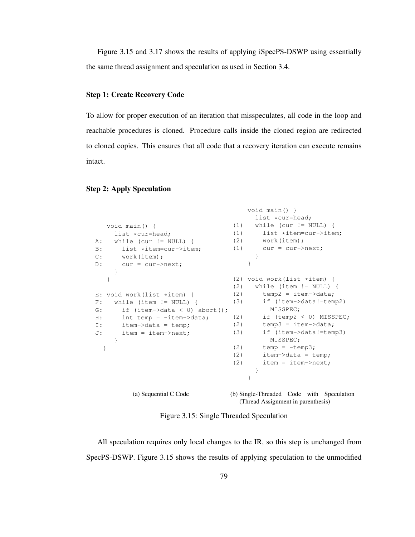Figure 3.15 and 3.17 shows the results of applying iSpecPS-DSWP using essentially the same thread assignment and speculation as used in Section 3.4.

## Step 1: Create Recovery Code

To allow for proper execution of an iteration that misspeculates, all code in the loop and reachable procedures is cloned. Procedure calls inside the cloned region are redirected to cloned copies. This ensures that all code that a recovery iteration can execute remains intact.

## Step 2: Apply Speculation

```
void main() {
   list *cur=head;
A: while (cur := NULL) {
B: list *item=cur->item;<br>C: work(item):
     work(item);
D: cur = cur->next;
    }
   }
E: void work(list *item) {
F: while (item != NULL) {
G: if (item->data < 0) abort();
H: int temp = -item->data;
I: item->data = temp;
J: item = item->next;
     }
 }
         (a) Sequential C Code
                                      void main() }
                                       list *cur=head;
                                  (1) while (cur != NULL) {
                                  (1) list *item=cur->item;
                                 (2) work(item);
                                 (1) cur = cur->next;
                                       }
                                      }
                                  (2) void work(list *item) {
                                  (2) while (item != NULL) {
                                  (2) temp2 = item-\lambda data;(3) if (item->data!=temp2)
                                          MISSPEC;
                                   (2) if (temp2 < 0) MISSPEC;
                                   (2) temp3 = item-\text{data};(3) if (item->data!=temp3)
                                           MISSPEC;
                                  (2) temp = -temp3;(2) item->data = temp;
                                   (2) item = item \rightarrow next;}
                                      }
                                  (b) Single-Threaded Code with Speculation
```
Figure 3.15: Single Threaded Speculation

(Thread Assignment in parenthesis)

All speculation requires only local changes to the IR, so this step is unchanged from SpecPS-DSWP. Figure 3.15 shows the results of applying speculation to the unmodified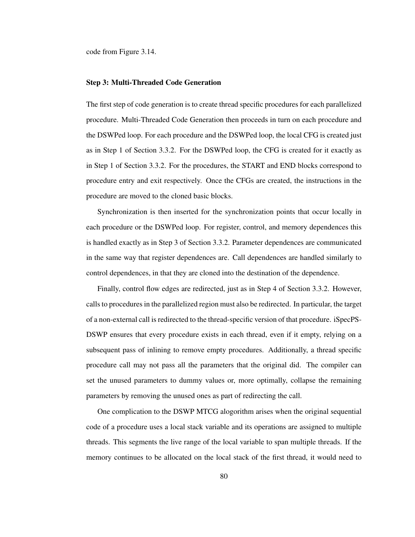code from Figure 3.14.

## Step 3: Multi-Threaded Code Generation

The first step of code generation is to create thread specific procedures for each parallelized procedure. Multi-Threaded Code Generation then proceeds in turn on each procedure and the DSWPed loop. For each procedure and the DSWPed loop, the local CFG is created just as in Step 1 of Section 3.3.2. For the DSWPed loop, the CFG is created for it exactly as in Step 1 of Section 3.3.2. For the procedures, the START and END blocks correspond to procedure entry and exit respectively. Once the CFGs are created, the instructions in the procedure are moved to the cloned basic blocks.

Synchronization is then inserted for the synchronization points that occur locally in each procedure or the DSWPed loop. For register, control, and memory dependences this is handled exactly as in Step 3 of Section 3.3.2. Parameter dependences are communicated in the same way that register dependences are. Call dependences are handled similarly to control dependences, in that they are cloned into the destination of the dependence.

Finally, control flow edges are redirected, just as in Step 4 of Section 3.3.2. However, callsto proceduresin the parallelized region must also be redirected. In particular, the target of a non-external call is redirected to the thread-specific version of that procedure. iSpecPS-DSWP ensures that every procedure exists in each thread, even if it empty, relying on a subsequent pass of inlining to remove empty procedures. Additionally, a thread specific procedure call may not pass all the parameters that the original did. The compiler can set the unused parameters to dummy values or, more optimally, collapse the remaining parameters by removing the unused ones as part of redirecting the call.

One complication to the DSWP MTCG alogorithm arises when the original sequential code of a procedure uses a local stack variable and its operations are assigned to multiple threads. This segments the live range of the local variable to span multiple threads. If the memory continues to be allocated on the local stack of the first thread, it would need to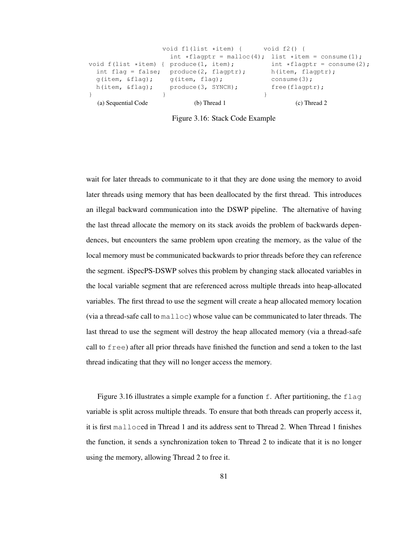|                                           | void $f1(list *item)$ { void $f2(l)$ {                 |                                    |
|-------------------------------------------|--------------------------------------------------------|------------------------------------|
|                                           | int *flagptr = malloc(4); list *item = consume(1);     |                                    |
| void $f$ (list *item) { produce(1, item); |                                                        | int $\star$ flagptr = consume (2); |
|                                           | int flag = false; $\text{produce}(2, \text{flagptr});$ | h(item, flagptr);                  |
| $q(i$ tem, $\&$ flaq); q(item, flaq);     |                                                        | consume $(3)$ ;                    |
| h(item, &flag);                           | produce(3, SYNCH);                                     | free(Haqptr);                      |
|                                           |                                                        |                                    |
| (a) Sequential Code                       | $(b)$ Thread 1                                         | $(c)$ Thread 2                     |

Figure 3.16: Stack Code Example

wait for later threads to communicate to it that they are done using the memory to avoid later threads using memory that has been deallocated by the first thread. This introduces an illegal backward communication into the DSWP pipeline. The alternative of having the last thread allocate the memory on its stack avoids the problem of backwards dependences, but encounters the same problem upon creating the memory, as the value of the local memory must be communicated backwards to prior threads before they can reference the segment. iSpecPS-DSWP solves this problem by changing stack allocated variables in the local variable segment that are referenced across multiple threads into heap-allocated variables. The first thread to use the segment will create a heap allocated memory location (via a thread-safe call to malloc) whose value can be communicated to later threads. The last thread to use the segment will destroy the heap allocated memory (via a thread-safe call to free) after all prior threads have finished the function and send a token to the last thread indicating that they will no longer access the memory.

Figure 3.16 illustrates a simple example for a function  $f$ . After partitioning, the  $f$ lag variable is split across multiple threads. To ensure that both threads can properly access it, it is first malloced in Thread 1 and its address sent to Thread 2. When Thread 1 finishes the function, it sends a synchronization token to Thread 2 to indicate that it is no longer using the memory, allowing Thread 2 to free it.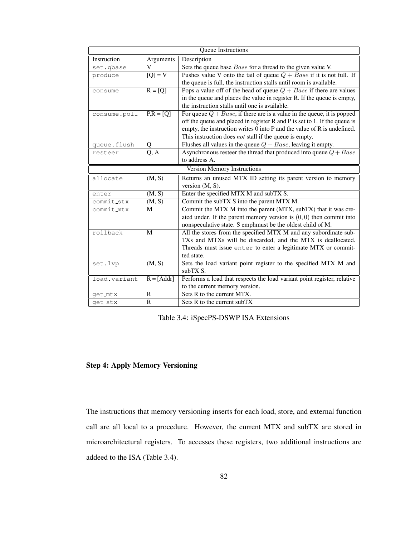| Queue Instructions          |                                  |                                                                               |  |  |
|-----------------------------|----------------------------------|-------------------------------------------------------------------------------|--|--|
| Instruction                 | Arguments                        | Description                                                                   |  |  |
| set.qbase                   | V                                | Sets the queue base Base for a thread to the given value V.                   |  |  |
| produce                     | $\overline{[Q]} = V$             | Pushes value V onto the tail of queue $Q + Base$ if it is not full. If        |  |  |
|                             |                                  | the queue is full, the instruction stalls until room is available.            |  |  |
| consume                     | $R = [Q]$                        | Pops a value off of the head of queue $Q + Base$ if there are values          |  |  |
|                             |                                  | in the queue and places the value in register R. If the queue is empty,       |  |  |
|                             |                                  | the instruction stalls until one is available.                                |  |  |
| consume.poll                | $\overline{PR} = \overline{[Q]}$ | For queue $Q + Base$ , if there are is a value in the queue, it is popped     |  |  |
|                             |                                  | off the queue and placed in register $R$ and $P$ is set to 1. If the queue is |  |  |
|                             |                                  | empty, the instruction writes $0$ into $P$ and the value of $R$ is undefined. |  |  |
|                             |                                  | This instruction does <i>not</i> stall if the queue is empty.                 |  |  |
| queue.flush                 | Q                                | Flushes all values in the queue $Q + Base$ , leaving it empty.                |  |  |
| resteer                     | Q, A                             | Asynchronous resteer the thread that produced into queue $Q + Base$           |  |  |
|                             |                                  | to address A.                                                                 |  |  |
| Version Memory Instructions |                                  |                                                                               |  |  |
| allocate                    | (M, S)                           | Returns an unused MTX ID setting its parent version to memory                 |  |  |
|                             |                                  | version $(M, S)$ .                                                            |  |  |
| enter                       | (M, S)                           | Enter the specified MTX M and subTX S.                                        |  |  |
| commit_stx                  | (M, S)                           | Commit the subTX S into the parent MTX M.                                     |  |  |
| commit_mtx                  | M                                | Commit the MTX M into the parent (MTX, subTX) that it was cre-                |  |  |
|                             |                                  | ated under. If the parent memory version is $(0, 0)$ then commit into         |  |  |
|                             |                                  | nonspeculative state. S emphmust be the oldest child of M.                    |  |  |
| rollback                    | M                                | All the stores from the specified MTX M and any subordinate sub-              |  |  |
|                             |                                  | TXs and MTXs will be discarded, and the MTX is deallocated.                   |  |  |
|                             |                                  | Threads must issue enter to enter a legitimate MTX or commit-                 |  |  |
|                             |                                  | ted state.                                                                    |  |  |
| set.lvp                     | (M, S)                           | Sets the load variant point register to the specified MTX M and               |  |  |
|                             |                                  | subTX S.                                                                      |  |  |
| load.variant                | $R = [Addr]$                     | Performs a load that respects the load variant point register, relative       |  |  |
|                             |                                  | to the current memory version.                                                |  |  |
| get_mtx                     | $\mathbb{R}$                     | Sets R to the current MTX.                                                    |  |  |
| get_stx                     | $\mathbb{R}$                     | Sets R to the current subTX                                                   |  |  |

Table 3.4: iSpecPS-DSWP ISA Extensions

## Step 4: Apply Memory Versioning

The instructions that memory versioning inserts for each load, store, and external function call are all local to a procedure. However, the current MTX and subTX are stored in microarchitectural registers. To accesses these registers, two additional instructions are addeed to the ISA (Table 3.4).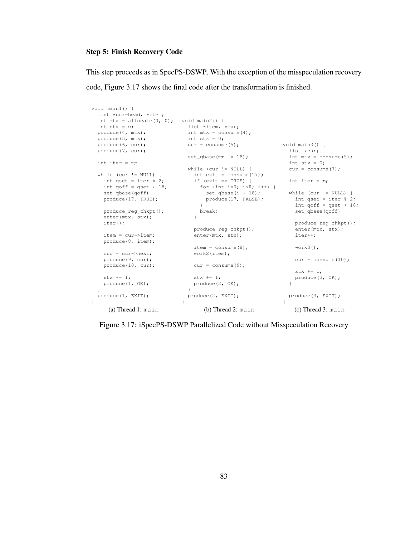## Step 5: Finish Recovery Code

This step proceeds as in SpecPS-DSWP. With the exception of the misspeculation recovery code, Figure 3.17 shows the final code after the transformation is finished.

```
void main1() {
  list *cur=head, *item;
   int mtx = allocate(0, 0); void main2() {
  int stx = 0;produce(4, mtx);
   produce(5, mtx);
   produce(6, cur);
  produce(7, cur);
  int iter = r_Twhile (cur != NULL) {
     int qset = iter % 2;
     int qoff = qset * 18;<br>set_qbase(qoff)
     produce(17, TRUE);
     produce_reg_chkpt();
    enter(mtx, stx);
    iter++;
    item = cur->item;
    produce(8, item);
    cur = cur->next:produce(9, cur);
    produce(10, cur);
    stx += 1;produce(1, OK);
   }
  produce(1, EXIT);
\mathbf{I}(a) Thread 1: main
                       \frac{1}{1} ist \frac{1}{1} \frac{1}{1} \frac{1}{1} \frac{1}{1} \frac{1}{1} \frac{1}{1} \frac{1}{1} \frac{1}{1} \frac{1}{1} \frac{1}{1} \frac{1}{1} \frac{1}{1} \frac{1}{1} \frac{1}{1} \frac{1}{1} \frac{1}{1} \frac{1}{1} \frac{1}{1} \frac{1}{1} \frac{1}{1} \frac{1}{1int mtx = \text{consume}(4);
                                         int stx = 0;cur = consume(5);
                                       set_qbase(r_T * 18);
                                      while (cur != NULL) {
                                           int exit = \text{cosume}(17);
                                           if (exit == TRUE) {
                                         for (int i=0; i<\mathbb{R}; i+1) {
                                                set_qbase(i * 18);<br>produce(17, FALSE);
                                            \begin{array}{c} \text{produce (17, FALSE)}; \\ \} \end{array}break;
                                        \rightarrowproduce_reg_chkpt();
                                          enter(mtx, stx);
                                           item = consume(8);
                                           work2(item);
                                        cur = \text{cosume}(9);stx += 1;produce(2, OK);
                                         }
                                         produce(2, EXIT);
                                     }
                                               (b) Thread 2: main
                                                                             void main3() {
                                                                                   list *cur;<br>int mtx = consume(5);
                                                                                 int stx = 0;cur = \text{cosume}(7);int iter = r_Tset_qbase(i * 18);<br>produce(17, FALSE); int qset = iter % 2
                                                                                   int qset = iter \frac{1}{2};
                                                                                    int qoff = qset * 18;
                                                                                    set_qbase(qoff)
                                                                                  produce_reg_chkpt();
                                                                                    enter(mtx, stx);
                                                                                   iter++;
                                                                                    work3();
                                                                                   cur = \text{cosume}(10);stx += 1;
                                                                                    produce(3, OK);
                                                                                \rightarrowproduce(3, EXIT);
                                                                               }
                                                                                     (c) Thread 3: main
```
Figure 3.17: iSpecPS-DSWP Parallelized Code without Misspeculation Recovery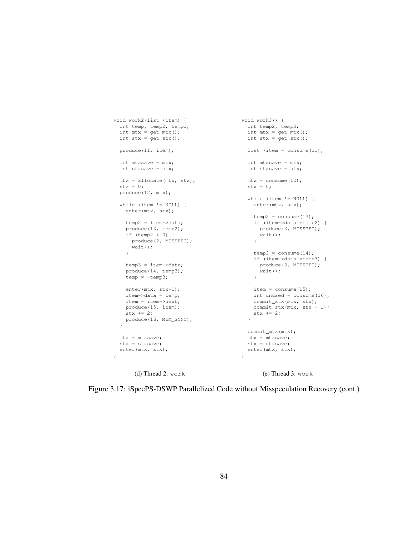```
void work2(list *item) {
int temp, temp2, temp3;
  int mtx = get_mtx();
 int \text{stx} = \text{get\_stx}();
 produce(11, item);
 int mtxsave = mtx;
 int stxsave = stx;
 mtx = allocate(mtx, stx);
 \text{stx} = 0;produce(12, mtx);
 while (item != NULL) {
   enter(mtx, stx);
   temp2 = item->data;
   produce(13, temp2);
   if (temp2 < 0) {
     produce(2, MISSPEC);
     wait();
    }
   temp3 = item->data;
   produce(14, temp3);
   temp = -temp3;
   enter(mtx, stx+1);
   item->data = temp;
   item = item->next;
   produce(15, item);
   stx += 2;produce(16, MEM_SYNC);
  }
 mtx = mtxsave;
 stx = stxsave;
 enter(mtx, stx);
\overline{1}void work3() {
                                              int temp2, temp3;
                                              int mtx = get_mtx();
                                            int stx = get\_stx();
                                             list \staritem = consume(11);
                                             int mtxsave = mtx;
                                             int stxsave = stx;
                                           mtx = \text{cosume}(12);stx = 0;while (item != NULL) {
                                             enter(mtx, stx);
                                              temp2 = consume(13);if (item->data!=temp2) {
                                                produce(3, MISSPEC);
                                                 wait();
                                              \mathcal{L}temp3 = consume(14);if (item->data!=temp3) {
                                               produce(3, MISSPEC);
                                                 wait();
                                              }
                                              item = consume(15);int unused = \text{consum}(16);
                                              commit_stx(mtx, stx);
                                              commit_stx(mtx, stx + 1);
                                               stx += 2;}
                                            commit_mtx(mtx);
                                            mtx = mtxsave;
                                             stx = stxsave;
                                             enter(mtx, stx);
                                           }
```
(d) Thread 2: work

(e) Thread 3: work

Figure 3.17: iSpecPS-DSWP Parallelized Code without Misspeculation Recovery (cont.)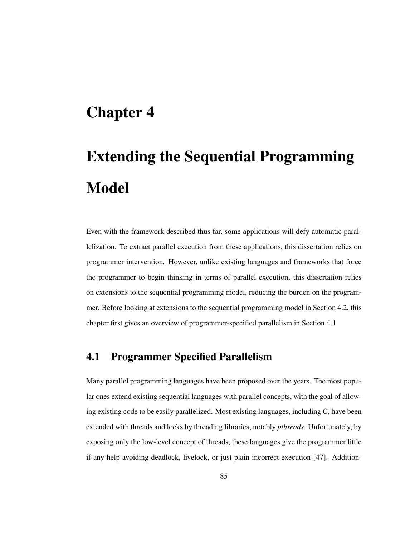# Chapter 4

# Extending the Sequential Programming Model

Even with the framework described thus far, some applications will defy automatic parallelization. To extract parallel execution from these applications, this dissertation relies on programmer intervention. However, unlike existing languages and frameworks that force the programmer to begin thinking in terms of parallel execution, this dissertation relies on extensions to the sequential programming model, reducing the burden on the programmer. Before looking at extensions to the sequential programming model in Section 4.2, this chapter first gives an overview of programmer-specified parallelism in Section 4.1.

## 4.1 Programmer Specified Parallelism

Many parallel programming languages have been proposed over the years. The most popular ones extend existing sequential languages with parallel concepts, with the goal of allowing existing code to be easily parallelized. Most existing languages, including C, have been extended with threads and locks by threading libraries, notably *pthreads*. Unfortunately, by exposing only the low-level concept of threads, these languages give the programmer little if any help avoiding deadlock, livelock, or just plain incorrect execution [47]. Addition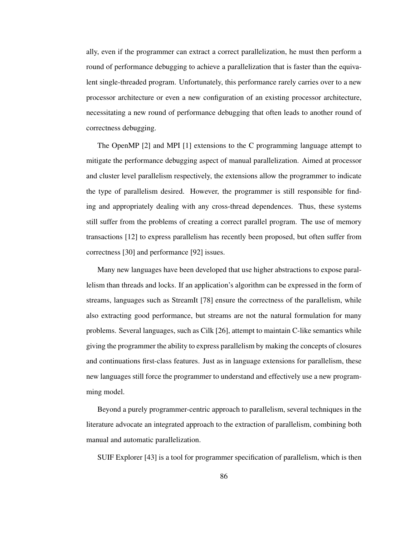ally, even if the programmer can extract a correct parallelization, he must then perform a round of performance debugging to achieve a parallelization that is faster than the equivalent single-threaded program. Unfortunately, this performance rarely carries over to a new processor architecture or even a new configuration of an existing processor architecture, necessitating a new round of performance debugging that often leads to another round of correctness debugging.

The OpenMP [2] and MPI [1] extensions to the C programming language attempt to mitigate the performance debugging aspect of manual parallelization. Aimed at processor and cluster level parallelism respectively, the extensions allow the programmer to indicate the type of parallelism desired. However, the programmer is still responsible for finding and appropriately dealing with any cross-thread dependences. Thus, these systems still suffer from the problems of creating a correct parallel program. The use of memory transactions [12] to express parallelism has recently been proposed, but often suffer from correctness [30] and performance [92] issues.

Many new languages have been developed that use higher abstractions to expose parallelism than threads and locks. If an application's algorithm can be expressed in the form of streams, languages such as StreamIt [78] ensure the correctness of the parallelism, while also extracting good performance, but streams are not the natural formulation for many problems. Several languages, such as Cilk [26], attempt to maintain C-like semantics while giving the programmer the ability to express parallelism by making the concepts of closures and continuations first-class features. Just as in language extensions for parallelism, these new languages still force the programmer to understand and effectively use a new programming model.

Beyond a purely programmer-centric approach to parallelism, several techniques in the literature advocate an integrated approach to the extraction of parallelism, combining both manual and automatic parallelization.

SUIF Explorer [43] is a tool for programmer specification of parallelism, which is then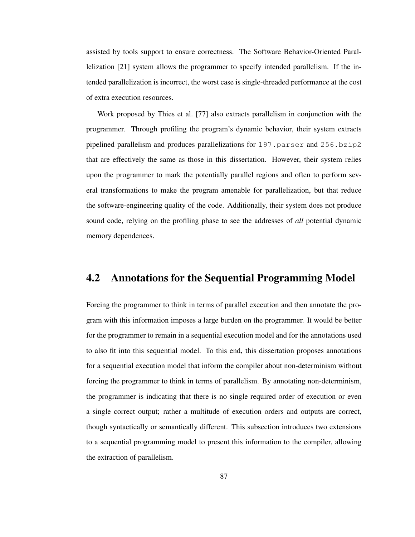assisted by tools support to ensure correctness. The Software Behavior-Oriented Parallelization [21] system allows the programmer to specify intended parallelism. If the intended parallelization is incorrect, the worst case is single-threaded performance at the cost of extra execution resources.

Work proposed by Thies et al. [77] also extracts parallelism in conjunction with the programmer. Through profiling the program's dynamic behavior, their system extracts pipelined parallelism and produces parallelizations for 197.parser and 256.bzip2 that are effectively the same as those in this dissertation. However, their system relies upon the programmer to mark the potentially parallel regions and often to perform several transformations to make the program amenable for parallelization, but that reduce the software-engineering quality of the code. Additionally, their system does not produce sound code, relying on the profiling phase to see the addresses of *all* potential dynamic memory dependences.

## 4.2 Annotations for the Sequential Programming Model

Forcing the programmer to think in terms of parallel execution and then annotate the program with this information imposes a large burden on the programmer. It would be better for the programmer to remain in a sequential execution model and for the annotations used to also fit into this sequential model. To this end, this dissertation proposes annotations for a sequential execution model that inform the compiler about non-determinism without forcing the programmer to think in terms of parallelism. By annotating non-determinism, the programmer is indicating that there is no single required order of execution or even a single correct output; rather a multitude of execution orders and outputs are correct, though syntactically or semantically different. This subsection introduces two extensions to a sequential programming model to present this information to the compiler, allowing the extraction of parallelism.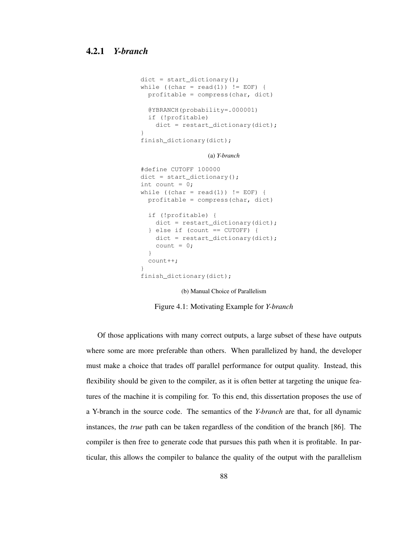```
dict = start_dictionary();
while ((char = read(1)) != EOF) {
  profitable = compress(char, dict)
  @YBRANCH(probability=.000001)
  if (!profitable)
    dict = restart_dictionary(dict);
}
finish_dictionary(dict);
                  (a) Y-branch
#define CUTOFF 100000
dict = start\_dictionary();
int count = 0;
while ((char = read(1)) != EOF) {
  profitable = compress(char, dict)
  if (!profitable) {
   dict = restart_dictionary(dict);
  } else if (count == CUTOFF) {
    dict = restart_dictionary(dict);
    count = 0;}
  count++;
}
finish_dictionary(dict);
```
(b) Manual Choice of Parallelism

Figure 4.1: Motivating Example for *Y-branch*

Of those applications with many correct outputs, a large subset of these have outputs where some are more preferable than others. When parallelized by hand, the developer must make a choice that trades off parallel performance for output quality. Instead, this flexibility should be given to the compiler, as it is often better at targeting the unique features of the machine it is compiling for. To this end, this dissertation proposes the use of a Y-branch in the source code. The semantics of the *Y-branch* are that, for all dynamic instances, the *true* path can be taken regardless of the condition of the branch [86]. The compiler is then free to generate code that pursues this path when it is profitable. In particular, this allows the compiler to balance the quality of the output with the parallelism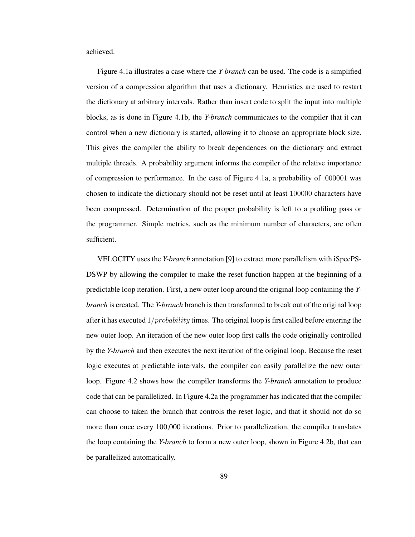achieved.

Figure 4.1a illustrates a case where the *Y-branch* can be used. The code is a simplified version of a compression algorithm that uses a dictionary. Heuristics are used to restart the dictionary at arbitrary intervals. Rather than insert code to split the input into multiple blocks, as is done in Figure 4.1b, the *Y-branch* communicates to the compiler that it can control when a new dictionary is started, allowing it to choose an appropriate block size. This gives the compiler the ability to break dependences on the dictionary and extract multiple threads. A probability argument informs the compiler of the relative importance of compression to performance. In the case of Figure 4.1a, a probability of .000001 was chosen to indicate the dictionary should not be reset until at least 100000 characters have been compressed. Determination of the proper probability is left to a profiling pass or the programmer. Simple metrics, such as the minimum number of characters, are often sufficient.

VELOCITY uses the *Y-branch* annotation [9] to extract more parallelism with iSpecPS-DSWP by allowing the compiler to make the reset function happen at the beginning of a predictable loop iteration. First, a new outer loop around the original loop containing the *Ybranch* is created. The *Y-branch* branch is then transformed to break out of the original loop after it has executed  $1/probability$  times. The original loop is first called before entering the new outer loop. An iteration of the new outer loop first calls the code originally controlled by the *Y-branch* and then executes the next iteration of the original loop. Because the reset logic executes at predictable intervals, the compiler can easily parallelize the new outer loop. Figure 4.2 shows how the compiler transforms the *Y-branch* annotation to produce code that can be parallelized. In Figure 4.2a the programmer has indicated that the compiler can choose to taken the branch that controls the reset logic, and that it should not do so more than once every 100,000 iterations. Prior to parallelization, the compiler translates the loop containing the *Y-branch* to form a new outer loop, shown in Figure 4.2b, that can be parallelized automatically.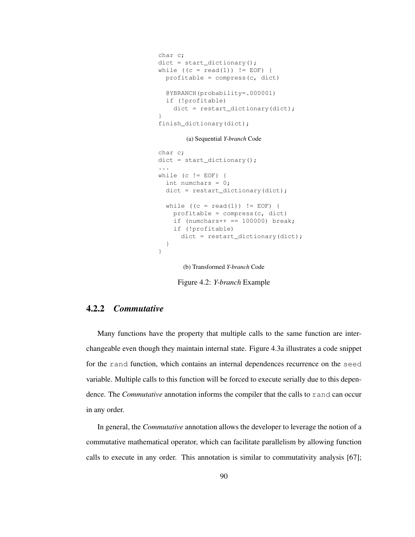```
char c;
dict = start\_dictionary();
while ((c = read(1)) != EOF)profitable = compress(c, dict)
  @YBRANCH(probability=.000001)
 if (!profitable)
   dict = restart_dictionary(dict);
}
finish_dictionary(dict);
```
(a) Sequential *Y-branch* Code

```
char c;
dict = start_dictionary();
...
while (c != EOF) {
  int numchars = 0;
  dict = restart_dictionary(dict);
 while ((c = read(1)) := EOF) {
   profitable = compress(c, dict)
    if (numchars++ == 100000) break;
   if (!profitable)
     dict = restart dictionary(dict);}
}
```
(b) Transformed *Y-branch* Code

Figure 4.2: *Y-branch* Example

## 4.2.2 *Commutative*

Many functions have the property that multiple calls to the same function are interchangeable even though they maintain internal state. Figure 4.3a illustrates a code snippet for the rand function, which contains an internal dependences recurrence on the seed variable. Multiple calls to this function will be forced to execute serially due to this dependence. The *Commutative* annotation informs the compiler that the calls to rand can occur in any order.

In general, the *Commutative* annotation allows the developer to leverage the notion of a commutative mathematical operator, which can facilitate parallelism by allowing function calls to execute in any order. This annotation is similar to commutativity analysis [67];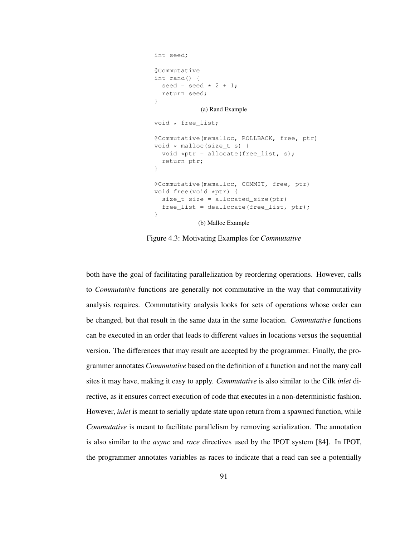```
int seed;
@Commutative
int rand() {
 seed = seed * 2 + 1;
  return seed;
}
            (a) Rand Example
void * free_list;
@Commutative(memalloc, ROLLBACK, free, ptr)
void * malloc(size_t s) {
  void *ptr = allocate(free_list, s);return ptr;
}
@Commutative(memalloc, COMMIT, free, ptr)
void free(void *ptr) {
  size_t size = allocated_size(ptr)
  free_list = deallocate(free_list, ptr);
}
            (b) Malloc Example
```
Figure 4.3: Motivating Examples for *Commutative*

both have the goal of facilitating parallelization by reordering operations. However, calls to *Commutative* functions are generally not commutative in the way that commutativity analysis requires. Commutativity analysis looks for sets of operations whose order can be changed, but that result in the same data in the same location. *Commutative* functions can be executed in an order that leads to different values in locations versus the sequential version. The differences that may result are accepted by the programmer. Finally, the programmer annotates *Commutative* based on the definition of a function and not the many call sites it may have, making it easy to apply. *Commutative* is also similar to the Cilk *inlet* directive, as it ensures correct execution of code that executes in a non-deterministic fashion. However, *inlet* is meant to serially update state upon return from a spawned function, while *Commutative* is meant to facilitate parallelism by removing serialization. The annotation is also similar to the *async* and *race* directives used by the IPOT system [84]. In IPOT, the programmer annotates variables as races to indicate that a read can see a potentially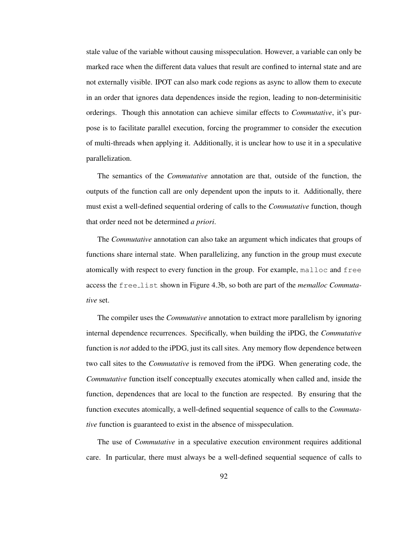stale value of the variable without causing misspeculation. However, a variable can only be marked race when the different data values that result are confined to internal state and are not externally visible. IPOT can also mark code regions as async to allow them to execute in an order that ignores data dependences inside the region, leading to non-determinisitic orderings. Though this annotation can achieve similar effects to *Commutative*, it's purpose is to facilitate parallel execution, forcing the programmer to consider the execution of multi-threads when applying it. Additionally, it is unclear how to use it in a speculative parallelization.

The semantics of the *Commutative* annotation are that, outside of the function, the outputs of the function call are only dependent upon the inputs to it. Additionally, there must exist a well-defined sequential ordering of calls to the *Commutative* function, though that order need not be determined *a priori*.

The *Commutative* annotation can also take an argument which indicates that groups of functions share internal state. When parallelizing, any function in the group must execute atomically with respect to every function in the group. For example, malloc and free access the free list shown in Figure 4.3b, so both are part of the *memalloc Commutative* set.

The compiler uses the *Commutative* annotation to extract more parallelism by ignoring internal dependence recurrences. Specifically, when building the iPDG, the *Commutative* function is *not* added to the iPDG, just its call sites. Any memory flow dependence between two call sites to the *Commutative* is removed from the iPDG. When generating code, the *Commutative* function itself conceptually executes atomically when called and, inside the function, dependences that are local to the function are respected. By ensuring that the function executes atomically, a well-defined sequential sequence of calls to the *Commutative* function is guaranteed to exist in the absence of misspeculation.

The use of *Commutative* in a speculative execution environment requires additional care. In particular, there must always be a well-defined sequential sequence of calls to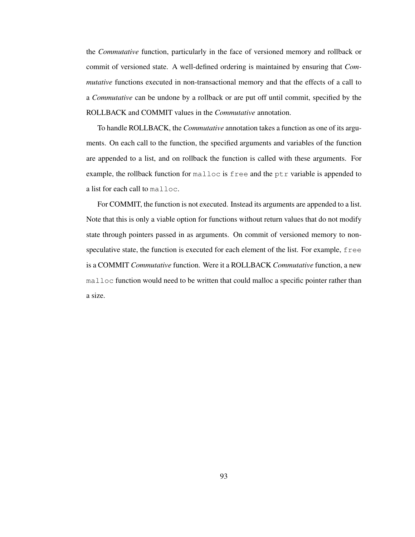the *Commutative* function, particularly in the face of versioned memory and rollback or commit of versioned state. A well-defined ordering is maintained by ensuring that *Commutative* functions executed in non-transactional memory and that the effects of a call to a *Commutative* can be undone by a rollback or are put off until commit, specified by the ROLLBACK and COMMIT values in the *Commutative* annotation.

To handle ROLLBACK, the *Commutative* annotation takes a function as one of its arguments. On each call to the function, the specified arguments and variables of the function are appended to a list, and on rollback the function is called with these arguments. For example, the rollback function for malloc is free and the ptr variable is appended to a list for each call to malloc.

For COMMIT, the function is not executed. Instead its arguments are appended to a list. Note that this is only a viable option for functions without return values that do not modify state through pointers passed in as arguments. On commit of versioned memory to nonspeculative state, the function is executed for each element of the list. For example, free is a COMMIT *Commutative* function. Were it a ROLLBACK *Commutative* function, a new malloc function would need to be written that could malloc a specific pointer rather than a size.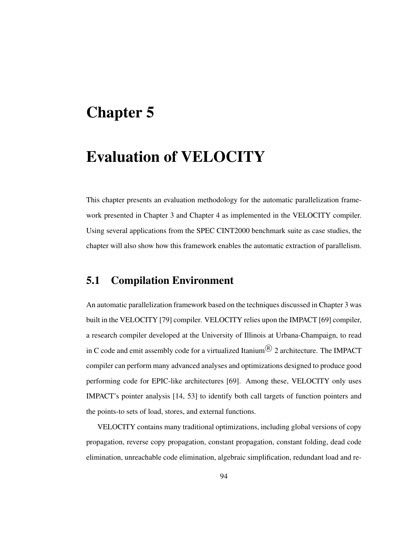## Chapter 5

# Evaluation of VELOCITY

This chapter presents an evaluation methodology for the automatic parallelization framework presented in Chapter 3 and Chapter 4 as implemented in the VELOCITY compiler. Using several applications from the SPEC CINT2000 benchmark suite as case studies, the chapter will also show how this framework enables the automatic extraction of parallelism.

## 5.1 Compilation Environment

An automatic parallelization framework based on the techniques discussed in Chapter 3 was built in the VELOCITY [79] compiler. VELOCITY relies upon the IMPACT [69] compiler, a research compiler developed at the University of Illinois at Urbana-Champaign, to read in C code and emit assembly code for a virtualized Itanium $^{\circledR}$  2 architecture. The IMPACT compiler can perform many advanced analyses and optimizations designed to produce good performing code for EPIC-like architectures [69]. Among these, VELOCITY only uses IMPACT's pointer analysis [14, 53] to identify both call targets of function pointers and the points-to sets of load, stores, and external functions.

VELOCITY contains many traditional optimizations, including global versions of copy propagation, reverse copy propagation, constant propagation, constant folding, dead code elimination, unreachable code elimination, algebraic simplification, redundant load and re-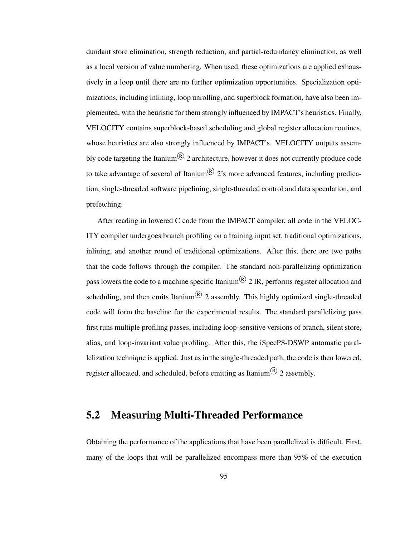dundant store elimination, strength reduction, and partial-redundancy elimination, as well as a local version of value numbering. When used, these optimizations are applied exhaustively in a loop until there are no further optimization opportunities. Specialization optimizations, including inlining, loop unrolling, and superblock formation, have also been implemented, with the heuristic for them strongly influenced by IMPACT's heuristics. Finally, VELOCITY contains superblock-based scheduling and global register allocation routines, whose heuristics are also strongly influenced by IMPACT's. VELOCITY outputs assembly code targeting the Itanium $^{\circledR}$  2 architecture, however it does not currently produce code to take advantage of several of Itanium $\mathcal{R}$  2's more advanced features, including predication, single-threaded software pipelining, single-threaded control and data speculation, and prefetching.

After reading in lowered C code from the IMPACT compiler, all code in the VELOC-ITY compiler undergoes branch profiling on a training input set, traditional optimizations, inlining, and another round of traditional optimizations. After this, there are two paths that the code follows through the compiler. The standard non-parallelizing optimization pass lowers the code to a machine specific Itanium $^{\circledR}$  2 IR, performs register allocation and scheduling, and then emits Itanium $\mathbb{R}$  2 assembly. This highly optimized single-threaded code will form the baseline for the experimental results. The standard parallelizing pass first runs multiple profiling passes, including loop-sensitive versions of branch, silent store, alias, and loop-invariant value profiling. After this, the iSpecPS-DSWP automatic parallelization technique is applied. Just as in the single-threaded path, the code is then lowered, register allocated, and scheduled, before emitting as Itanium $^{\circledR}$  2 assembly.

## 5.2 Measuring Multi-Threaded Performance

Obtaining the performance of the applications that have been parallelized is difficult. First, many of the loops that will be parallelized encompass more than 95% of the execution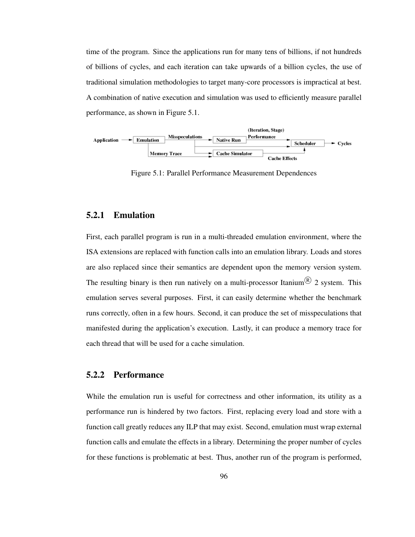time of the program. Since the applications run for many tens of billions, if not hundreds of billions of cycles, and each iteration can take upwards of a billion cycles, the use of traditional simulation methodologies to target many-core processors is impractical at best. A combination of native execution and simulation was used to efficiently measure parallel performance, as shown in Figure 5.1.



Figure 5.1: Parallel Performance Measurement Dependences

#### 5.2.1 Emulation

First, each parallel program is run in a multi-threaded emulation environment, where the ISA extensions are replaced with function calls into an emulation library. Loads and stores are also replaced since their semantics are dependent upon the memory version system. The resulting binary is then run natively on a multi-processor Itanium<sup>®</sup> 2 system. This emulation serves several purposes. First, it can easily determine whether the benchmark runs correctly, often in a few hours. Second, it can produce the set of misspeculations that manifested during the application's execution. Lastly, it can produce a memory trace for each thread that will be used for a cache simulation.

#### 5.2.2 Performance

While the emulation run is useful for correctness and other information, its utility as a performance run is hindered by two factors. First, replacing every load and store with a function call greatly reduces any ILP that may exist. Second, emulation must wrap external function calls and emulate the effects in a library. Determining the proper number of cycles for these functions is problematic at best. Thus, another run of the program is performed,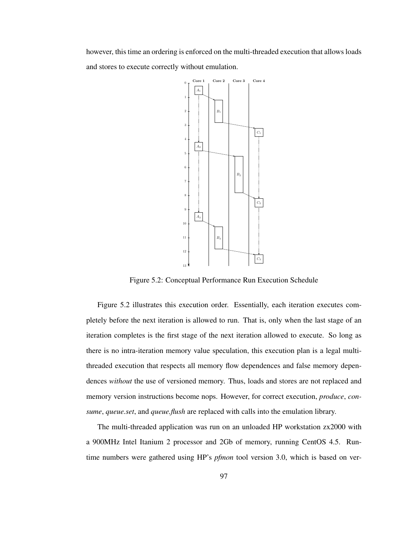however, this time an ordering is enforced on the multi-threaded execution that allows loads and stores to execute correctly without emulation.



Figure 5.2: Conceptual Performance Run Execution Schedule

Figure 5.2 illustrates this execution order. Essentially, each iteration executes completely before the next iteration is allowed to run. That is, only when the last stage of an iteration completes is the first stage of the next iteration allowed to execute. So long as there is no intra-iteration memory value speculation, this execution plan is a legal multithreaded execution that respects all memory flow dependences and false memory dependences *without* the use of versioned memory. Thus, loads and stores are not replaced and memory version instructions become nops. However, for correct execution, *produce*, *consume*, *queue.set*, and *queue.flush* are replaced with calls into the emulation library.

The multi-threaded application was run on an unloaded HP workstation zx2000 with a 900MHz Intel Itanium 2 processor and 2Gb of memory, running CentOS 4.5. Runtime numbers were gathered using HP's *pfmon* tool version 3.0, which is based on ver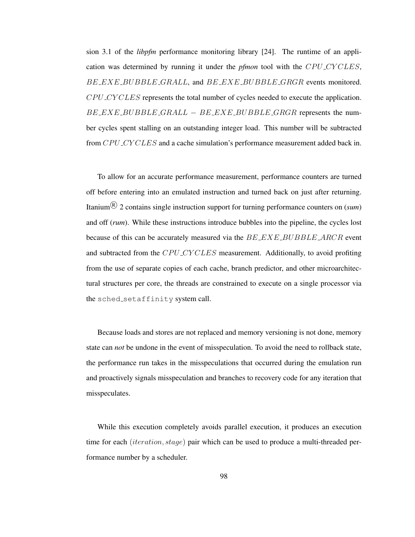sion 3.1 of the *libpfm* performance monitoring library [24]. The runtime of an application was determined by running it under the *pfmon* tool with the CPU CY CLES, BE EXE BUBBLE GRALL, and BE EXE BUBBLE GRGR events monitored. CPU CY CLES represents the total number of cycles needed to execute the application.  $B E E X E B U B B L E G R A L L - B E E X E B U B B L E G R G R$  represents the number cycles spent stalling on an outstanding integer load. This number will be subtracted from CPU\_CY CLES and a cache simulation's performance measurement added back in.

To allow for an accurate performance measurement, performance counters are turned off before entering into an emulated instruction and turned back on just after returning. Itanium <sup>R</sup> 2 contains single instruction support for turning performance counters on (*sum*) and off (*rum*). While these instructions introduce bubbles into the pipeline, the cycles lost because of this can be accurately measured via the  $BEXE$ -BUBBLE-ARCR event and subtracted from the CPU CY CLES measurement. Additionally, to avoid profiting from the use of separate copies of each cache, branch predictor, and other microarchitectural structures per core, the threads are constrained to execute on a single processor via the sched\_setaffinity system call.

Because loads and stores are not replaced and memory versioning is not done, memory state can *not* be undone in the event of misspeculation. To avoid the need to rollback state, the performance run takes in the misspeculations that occurred during the emulation run and proactively signals misspeculation and branches to recovery code for any iteration that misspeculates.

While this execution completely avoids parallel execution, it produces an execution time for each *(iteration, stage)* pair which can be used to produce a multi-threaded performance number by a scheduler.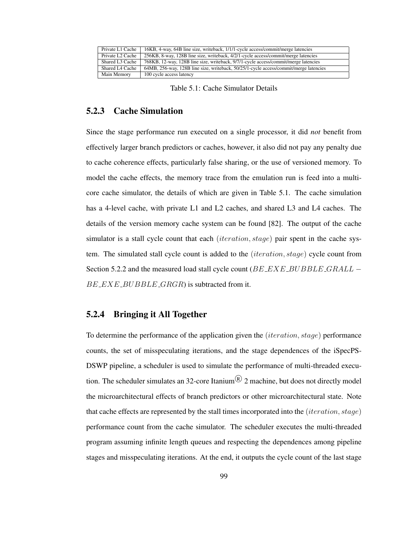| Private L1 Cache             | 16KB, 4-way, 64B line size, writeback, 1/1/1-cycle access/commit/merge latencies      |  |  |  |
|------------------------------|---------------------------------------------------------------------------------------|--|--|--|
| Private L <sub>2</sub> Cache | 256KB, 8-way, 128B line size, writeback, 4/2/1-cycle access/commit/merge latencies    |  |  |  |
| Shared L3 Cache              | 768KB, 12-way, 128B line size, writeback, 9/7/1-cycle access/commit/merge latencies   |  |  |  |
| Shared L4 Cache              | 64MB, 256-way, 128B line size, writeback, 50/25/1-cycle access/commit/merge latencies |  |  |  |
| Main Memory                  | 100 cycle access latency                                                              |  |  |  |

Table 5.1: Cache Simulator Details

#### 5.2.3 Cache Simulation

Since the stage performance run executed on a single processor, it did *not* benefit from effectively larger branch predictors or caches, however, it also did not pay any penalty due to cache coherence effects, particularly false sharing, or the use of versioned memory. To model the cache effects, the memory trace from the emulation run is feed into a multicore cache simulator, the details of which are given in Table 5.1. The cache simulation has a 4-level cache, with private L1 and L2 caches, and shared L3 and L4 caches. The details of the version memory cache system can be found [82]. The output of the cache simulator is a stall cycle count that each (*iteration*,  $stage$ ) pair spent in the cache system. The simulated stall cycle count is added to the (iteration, stage) cycle count from Section 5.2.2 and the measured load stall cycle count  $(BE$  EXE BUBBLE GRALL –  $BE\_EXE$ <sub>-BUBBLE</sub><sub>-GRGR</sub>) is subtracted from it.

#### 5.2.4 Bringing it All Together

To determine the performance of the application given the (*iteration*,  $stage$ ) performance counts, the set of misspeculating iterations, and the stage dependences of the iSpecPS-DSWP pipeline, a scheduler is used to simulate the performance of multi-threaded execution. The scheduler simulates an 32-core Itanium  $\mathbb{R}$  2 machine, but does not directly model the microarchitectural effects of branch predictors or other microarchitectural state. Note that cache effects are represented by the stall times incorporated into the (*iteration*,  $stage)$ ) performance count from the cache simulator. The scheduler executes the multi-threaded program assuming infinite length queues and respecting the dependences among pipeline stages and misspeculating iterations. At the end, it outputs the cycle count of the last stage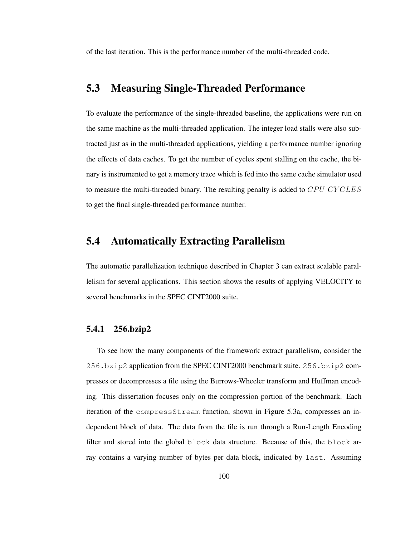of the last iteration. This is the performance number of the multi-threaded code.

## 5.3 Measuring Single-Threaded Performance

To evaluate the performance of the single-threaded baseline, the applications were run on the same machine as the multi-threaded application. The integer load stalls were also subtracted just as in the multi-threaded applications, yielding a performance number ignoring the effects of data caches. To get the number of cycles spent stalling on the cache, the binary is instrumented to get a memory trace which is fed into the same cache simulator used to measure the multi-threaded binary. The resulting penalty is added to CPU CYCLES to get the final single-threaded performance number.

## 5.4 Automatically Extracting Parallelism

The automatic parallelization technique described in Chapter 3 can extract scalable parallelism for several applications. This section shows the results of applying VELOCITY to several benchmarks in the SPEC CINT2000 suite.

### 5.4.1 256.bzip2

To see how the many components of the framework extract parallelism, consider the 256.bzip2 application from the SPEC CINT2000 benchmark suite. 256.bzip2 compresses or decompresses a file using the Burrows-Wheeler transform and Huffman encoding. This dissertation focuses only on the compression portion of the benchmark. Each iteration of the compressStream function, shown in Figure 5.3a, compresses an independent block of data. The data from the file is run through a Run-Length Encoding filter and stored into the global block data structure. Because of this, the block array contains a varying number of bytes per data block, indicated by last. Assuming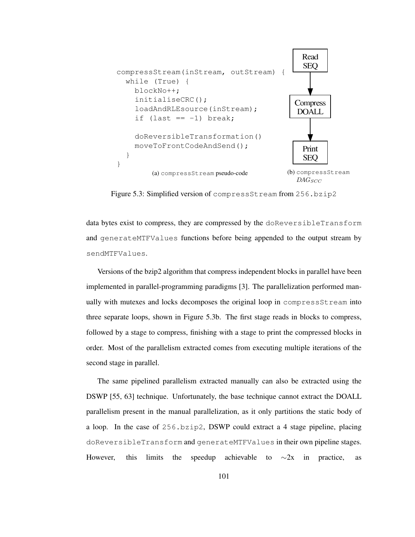

Figure 5.3: Simplified version of compressStream from 256.bzip2

data bytes exist to compress, they are compressed by the doReversibleTransform and generateMTFValues functions before being appended to the output stream by sendMTFValues.

Versions of the bzip2 algorithm that compress independent blocks in parallel have been implemented in parallel-programming paradigms [3]. The parallelization performed manually with mutexes and locks decomposes the original loop in compressStream into three separate loops, shown in Figure 5.3b. The first stage reads in blocks to compress, followed by a stage to compress, finishing with a stage to print the compressed blocks in order. Most of the parallelism extracted comes from executing multiple iterations of the second stage in parallel.

The same pipelined parallelism extracted manually can also be extracted using the DSWP [55, 63] technique. Unfortunately, the base technique cannot extract the DOALL parallelism present in the manual parallelization, as it only partitions the static body of a loop. In the case of 256.bzip2, DSWP could extract a 4 stage pipeline, placing doReversibleTransform and generateMTFValues in their own pipeline stages. However, this limits the speedup achievable to  $\sim$ 2x in practice, as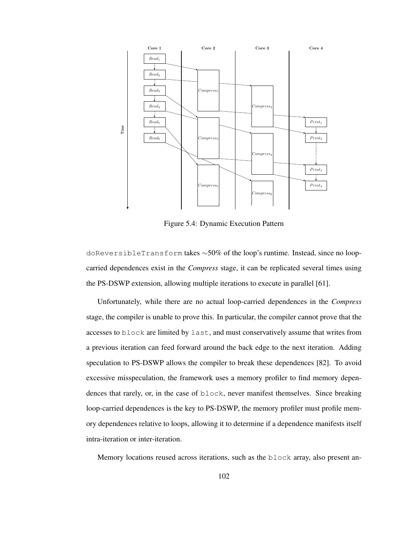

Figure 5.4: Dynamic Execution Pattern

doReversibleTransform takes ∼50% of the loop's runtime. Instead, since no loopcarried dependences exist in the *Compress* stage, it can be replicated several times using the PS-DSWP extension, allowing multiple iterations to execute in parallel [61].

Unfortunately, while there are no actual loop-carried dependences in the *Compress* stage, the compiler is unable to prove this. In particular, the compiler cannot prove that the accesses to block are limited by last, and must conservatively assume that writes from a previous iteration can feed forward around the back edge to the next iteration. Adding speculation to PS-DSWP allows the compiler to break these dependences [82]. To avoid excessive misspeculation, the framework uses a memory profiler to find memory dependences that rarely, or, in the case of block, never manifest themselves. Since breaking loop-carried dependences is the key to PS-DSWP, the memory profiler must profile memory dependences relative to loops, allowing it to determine if a dependence manifests itself intra-iteration or inter-iteration.

Memory locations reused across iterations, such as the block array, also present an-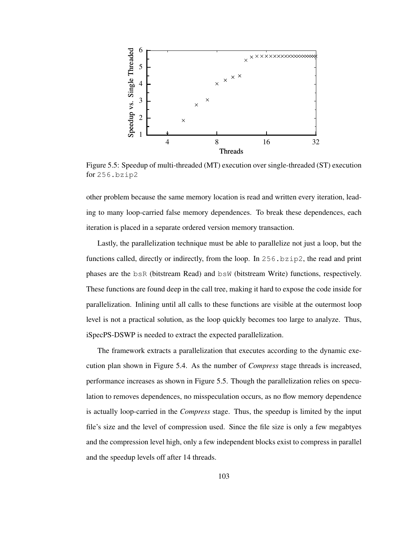

Figure 5.5: Speedup of multi-threaded (MT) execution over single-threaded (ST) execution for 256.bzip2

other problem because the same memory location is read and written every iteration, leading to many loop-carried false memory dependences. To break these dependences, each iteration is placed in a separate ordered version memory transaction.

Lastly, the parallelization technique must be able to parallelize not just a loop, but the functions called, directly or indirectly, from the loop. In  $256$ ,  $bzip2$ , the read and print phases are the bsR (bitstream Read) and bsW (bitstream Write) functions, respectively. These functions are found deep in the call tree, making it hard to expose the code inside for parallelization. Inlining until all calls to these functions are visible at the outermost loop level is not a practical solution, as the loop quickly becomes too large to analyze. Thus, iSpecPS-DSWP is needed to extract the expected parallelization.

The framework extracts a parallelization that executes according to the dynamic execution plan shown in Figure 5.4. As the number of *Compress* stage threads is increased, performance increases as shown in Figure 5.5. Though the parallelization relies on speculation to removes dependences, no misspeculation occurs, as no flow memory dependence is actually loop-carried in the *Compress* stage. Thus, the speedup is limited by the input file's size and the level of compression used. Since the file size is only a few megabtyes and the compression level high, only a few independent blocks exist to compress in parallel and the speedup levels off after 14 threads.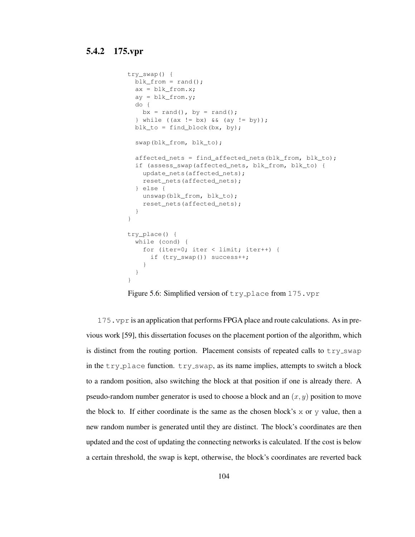```
try_swap() {
 blk_from = rand();
 ax = blk_from.x;ay = blk_from.y;do {
   bx = rand(), by = rand();
  } while ((ax != bx) & (ay != by));blk_to = find\_block(bx, by);swap(blk_from, blk_to);
 affected_nets = find_affected_nets(blk_from, blk_to);
 if (assess_swap(affected_nets, blk_from, blk_to) {
   update_nets(affected_nets);
   reset nets(affected nets);
  } else {
   unswap(blk_from, blk_to);
   reset_nets(affected_nets);
  }
}
try_place() {
 while (cond) {
   for (iter=0; iter < limit; iter++) {
     if (try_swap()) success++;
    }
 }
}
```
Figure 5.6: Simplified version of  $try\_place$  from 175. vpr

175.vpr is an application that performs FPGA place and route calculations. Asin previous work [59], this dissertation focuses on the placement portion of the algorithm, which is distinct from the routing portion. Placement consists of repeated calls to  $try\_swap$ in the  $try$ -place function.  $try$ -swap, as its name implies, attempts to switch a block to a random position, also switching the block at that position if one is already there. A pseudo-random number generator is used to choose a block and an  $(x, y)$  position to move the block to. If either coordinate is the same as the chosen block's  $x$  or  $y$  value, then a new random number is generated until they are distinct. The block's coordinates are then updated and the cost of updating the connecting networks is calculated. If the cost is below a certain threshold, the swap is kept, otherwise, the block's coordinates are reverted back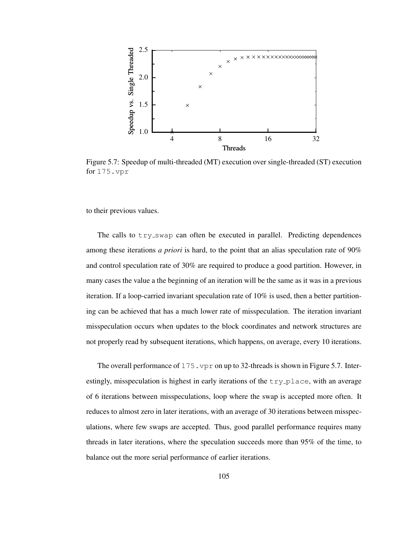

Figure 5.7: Speedup of multi-threaded (MT) execution over single-threaded (ST) execution for 175.vpr

to their previous values.

The calls to  $try\_swap$  can often be executed in parallel. Predicting dependences among these iterations *a priori* is hard, to the point that an alias speculation rate of 90% and control speculation rate of 30% are required to produce a good partition. However, in many cases the value a the beginning of an iteration will be the same as it was in a previous iteration. If a loop-carried invariant speculation rate of 10% is used, then a better partitioning can be achieved that has a much lower rate of misspeculation. The iteration invariant misspeculation occurs when updates to the block coordinates and network structures are not properly read by subsequent iterations, which happens, on average, every 10 iterations.

The overall performance of  $175.$  vpr on up to 32-threads is shown in Figure 5.7. Interestingly, misspeculation is highest in early iterations of the  $try\_place$ , with an average of 6 iterations between misspeculations, loop where the swap is accepted more often. It reduces to almost zero in later iterations, with an average of 30 iterations between misspeculations, where few swaps are accepted. Thus, good parallel performance requires many threads in later iterations, where the speculation succeeds more than 95% of the time, to balance out the more serial performance of earlier iterations.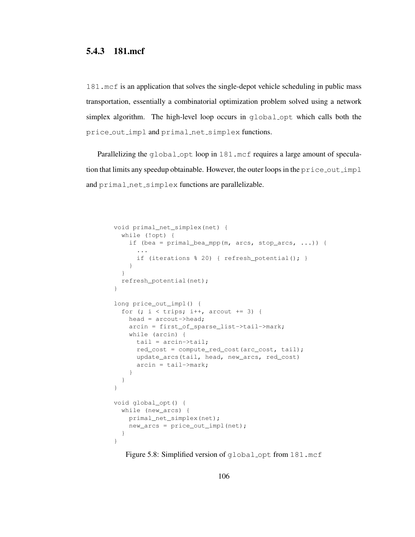### 5.4.3 181.mcf

181.mcf is an application that solves the single-depot vehicle scheduling in public mass transportation, essentially a combinatorial optimization problem solved using a network simplex algorithm. The high-level loop occurs in global opt which calls both the price out impl and primal net simplex functions.

Parallelizing the global opt loop in 181.mcf requires a large amount of speculation that limits any speedup obtainable. However, the outer loops in the  $\text{price\_out\_impl}$ and primal net simplex functions are parallelizable.

```
void primal_net_simplex(net) {
 while (!opt) {
    if (bea = primal_bea_mpp(m, arcs, stop_arcs, ...)) {
      ...
      if (iterations % 20) { refresh_potential(); }
    }
  }
  refresh_potential(net);
}
long price_out_impl() {
  for (; i \lt trips; i++, arcout += 3) {
    head = arcout->head;
    arcin = first_of_sparse_list->tail->mark;
    while (arcin) {
     tail = arcin->tail;
     red_cost = compute_red_cost(arc_cost, tail);
     update_arcs(tail, head, new_arcs, red_cost)
      arcin = tail->mark;}
  }
}
void global_opt() {
 while (new_arcs) {
    primal_net_simplex(net);
    new_arcs = price_out_impl(net);
  }
}
```
Figure 5.8: Simplified version of global opt from 181.mcf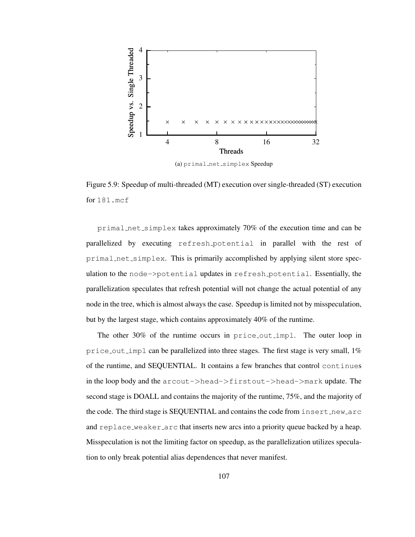

(a) primal\_net\_simplex Speedup

Figure 5.9: Speedup of multi-threaded (MT) execution over single-threaded (ST) execution for 181.mcf

primal net simplex takes approximately 70% of the execution time and can be parallelized by executing refresh potential in parallel with the rest of primal net simplex. This is primarily accomplished by applying silent store speculation to the node->potential updates in refresh potential. Essentially, the parallelization speculates that refresh potential will not change the actual potential of any node in the tree, which is almost always the case. Speedup is limited not by misspeculation, but by the largest stage, which contains approximately 40% of the runtime.

The other 30% of the runtime occurs in price\_out\_impl. The outer loop in price out impl can be parallelized into three stages. The first stage is very small,  $1\%$ of the runtime, and SEQUENTIAL. It contains a few branches that control continues in the loop body and the  $arccout-\gt;head-\gt;firstout-\gt;head-\gt;mark$  update. The second stage is DOALL and contains the majority of the runtime, 75%, and the majority of the code. The third stage is SEOUENTIAL and contains the code from insert new arc and replace weaker arc that inserts new arcs into a priority queue backed by a heap. Misspeculation is not the limiting factor on speedup, as the parallelization utilizes speculation to only break potential alias dependences that never manifest.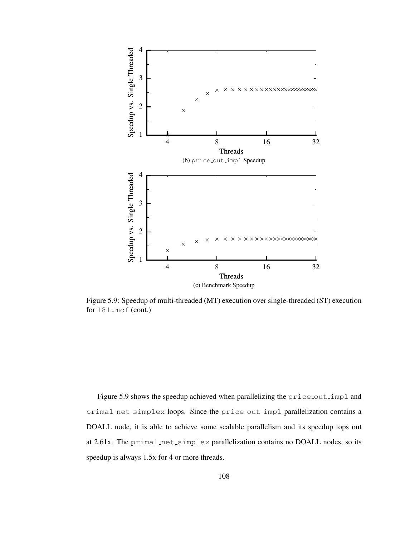

Figure 5.9: Speedup of multi-threaded (MT) execution over single-threaded (ST) execution for 181.mcf (cont.)

Figure 5.9 shows the speedup achieved when parallelizing the price out impl and primal net simplex loops. Since the price out impl parallelization contains a DOALL node, it is able to achieve some scalable parallelism and its speedup tops out at 2.61x. The primal\_net\_simplex parallelization contains no DOALL nodes, so its speedup is always 1.5x for 4 or more threads.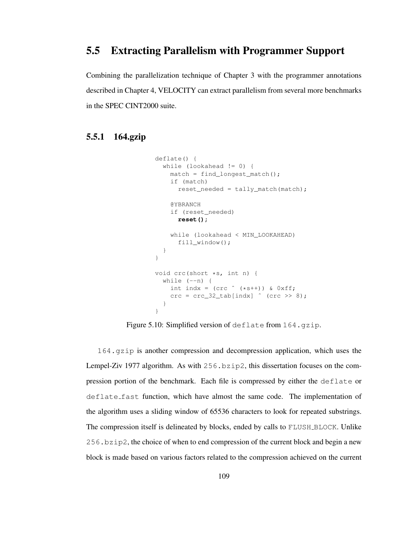## 5.5 Extracting Parallelism with Programmer Support

Combining the parallelization technique of Chapter 3 with the programmer annotations described in Chapter 4, VELOCITY can extract parallelism from several more benchmarks in the SPEC CINT2000 suite.

### 5.5.1 164.gzip

```
deflate() {
  while (lookahead != 0) {
    match = find_longest_match();
    if (match)
       reset_needed = tally_match(match);
    @YBRANCH
    if (reset_needed)
      reset();
    while (lookahead < MIN_LOOKAHEAD)
       fill_window();
  }
}
void crc(short *s, int n) {
  while (-n) {
    int indx = (crc \nightharpoonup (*s++)) & 0xff;\text{crc} = \text{crc}\_32\_\text{tab}[\text{indx}] \text{ (crc >& 8)};}
}
```
Figure 5.10: Simplified version of deflate from 164.qzip.

164.gzip is another compression and decompression application, which uses the Lempel-Ziv 1977 algorithm. As with 256.bzip2, this dissertation focuses on the compression portion of the benchmark. Each file is compressed by either the deflate or deflate fast function, which have almost the same code. The implementation of the algorithm uses a sliding window of 65536 characters to look for repeated substrings. The compression itself is delineated by blocks, ended by calls to FLUSH BLOCK. Unlike 256.bzip2, the choice of when to end compression of the current block and begin a new block is made based on various factors related to the compression achieved on the current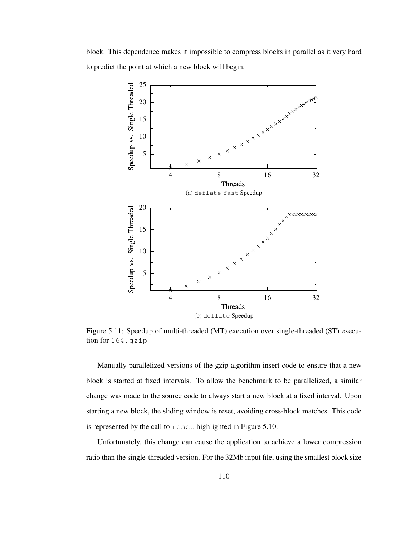block. This dependence makes it impossible to compress blocks in parallel as it very hard to predict the point at which a new block will begin.



Figure 5.11: Speedup of multi-threaded (MT) execution over single-threaded (ST) execution for 164.gzip

Manually parallelized versions of the gzip algorithm insert code to ensure that a new block is started at fixed intervals. To allow the benchmark to be parallelized, a similar change was made to the source code to always start a new block at a fixed interval. Upon starting a new block, the sliding window is reset, avoiding cross-block matches. This code is represented by the call to reset highlighted in Figure 5.10.

Unfortunately, this change can cause the application to achieve a lower compression ratio than the single-threaded version. For the 32Mb input file, using the smallest block size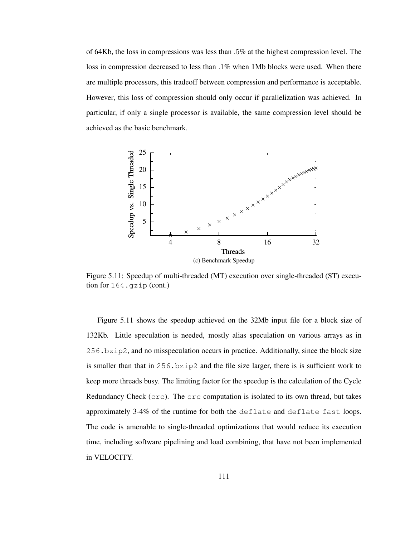of 64Kb, the loss in compressions was less than .5% at the highest compression level. The loss in compression decreased to less than .1% when 1Mb blocks were used. When there are multiple processors, this tradeoff between compression and performance is acceptable. However, this loss of compression should only occur if parallelization was achieved. In particular, if only a single processor is available, the same compression level should be achieved as the basic benchmark.



Figure 5.11: Speedup of multi-threaded (MT) execution over single-threaded (ST) execution for 164.gzip (cont.)

Figure 5.11 shows the speedup achieved on the 32Mb input file for a block size of 132Kb. Little speculation is needed, mostly alias speculation on various arrays as in 256.bzip2, and no misspeculation occurs in practice. Additionally, since the block size is smaller than that in 256.bzip2 and the file size larger, there is is sufficient work to keep more threads busy. The limiting factor for the speedup is the calculation of the Cycle Redundancy Check (crc). The crc computation is isolated to its own thread, but takes approximately  $3-4\%$  of the runtime for both the deflate and deflate fast loops. The code is amenable to single-threaded optimizations that would reduce its execution time, including software pipelining and load combining, that have not been implemented in VELOCITY.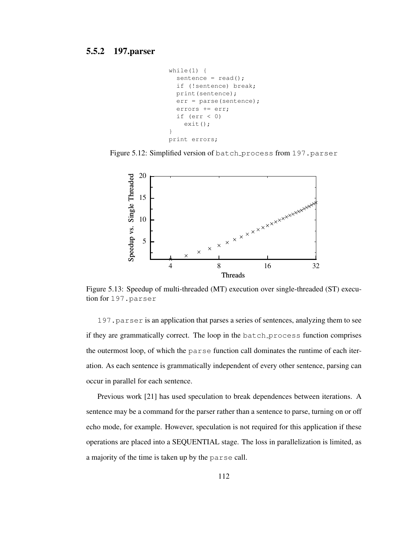```
while(1) {
  sentence = read();
  if (!sentence) break;
  print(sentence);
  err = parse(sentence);
  errors += err;
  if (err < 0)exit();
}
print errors;
```
Figure 5.12: Simplified version of batch process from 197.parser



Figure 5.13: Speedup of multi-threaded (MT) execution over single-threaded (ST) execution for 197.parser

197.parser is an application that parses a series of sentences, analyzing them to see if they are grammatically correct. The loop in the batch process function comprises the outermost loop, of which the parse function call dominates the runtime of each iteration. As each sentence is grammatically independent of every other sentence, parsing can occur in parallel for each sentence.

Previous work [21] has used speculation to break dependences between iterations. A sentence may be a command for the parser rather than a sentence to parse, turning on or off echo mode, for example. However, speculation is not required for this application if these operations are placed into a SEQUENTIAL stage. The loss in parallelization is limited, as a majority of the time is taken up by the parse call.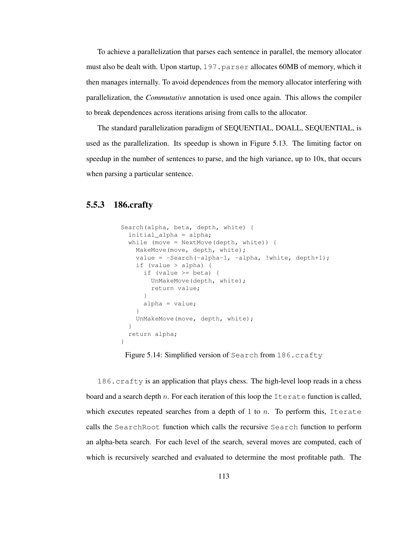To achieve a parallelization that parses each sentence in parallel, the memory allocator must also be dealt with. Upon startup, 197.parser allocates 60MB of memory, which it then manages internally. To avoid dependences from the memory allocator interfering with parallelization, the *Commutative* annotation is used once again. This allows the compiler to break dependences across iterations arising from calls to the allocator.

The standard parallelization paradigm of SEQUENTIAL, DOALL, SEQUENTIAL, is used as the parallelization. Its speedup is shown in Figure 5.13. The limiting factor on speedup in the number of sentences to parse, and the high variance, up to 10x, that occurs when parsing a particular sentence.

### 5.5.3 186.crafty

```
Search(alpha, beta, depth, white) {
  initial_alpha = alpha;
  while (move = NextMove(depth, white)) {
    MakeMove(move, depth, white);
    value = -Search(-alpha-1, -alpha, !white, depth+1);
    if (value > alpha) {
     if (value >= beta) {
        UnMakeMove(depth, white);
        return value;
      }
      alpha = value;
    }
    UnMakeMove(move, depth, white);
  }
  return alpha;
}
```
Figure 5.14: Simplified version of Search from 186.crafty

186.crafty is an application that plays chess. The high-level loop reads in a chess board and a search depth n. For each iteration of this loop the  $\text{Iterate}$  function is called, which executes repeated searches from a depth of 1 to  $n$ . To perform this, Iterate calls the SearchRoot function which calls the recursive Search function to perform an alpha-beta search. For each level of the search, several moves are computed, each of which is recursively searched and evaluated to determine the most profitable path. The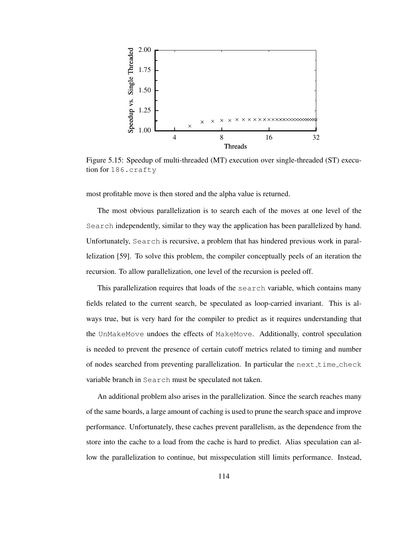

Figure 5.15: Speedup of multi-threaded (MT) execution over single-threaded (ST) execution for 186.crafty

most profitable move is then stored and the alpha value is returned.

The most obvious parallelization is to search each of the moves at one level of the Search independently, similar to they way the application has been parallelized by hand. Unfortunately, Search is recursive, a problem that has hindered previous work in parallelization [59]. To solve this problem, the compiler conceptually peels of an iteration the recursion. To allow parallelization, one level of the recursion is peeled off.

This parallelization requires that loads of the search variable, which contains many fields related to the current search, be speculated as loop-carried invariant. This is always true, but is very hard for the compiler to predict as it requires understanding that the UnMakeMove undoes the effects of MakeMove. Additionally, control speculation is needed to prevent the presence of certain cutoff metrics related to timing and number of nodes searched from preventing parallelization. In particular the next time check variable branch in Search must be speculated not taken.

An additional problem also arises in the parallelization. Since the search reaches many of the same boards, a large amount of caching is used to prune the search space and improve performance. Unfortunately, these caches prevent parallelism, as the dependence from the store into the cache to a load from the cache is hard to predict. Alias speculation can allow the parallelization to continue, but misspeculation still limits performance. Instead,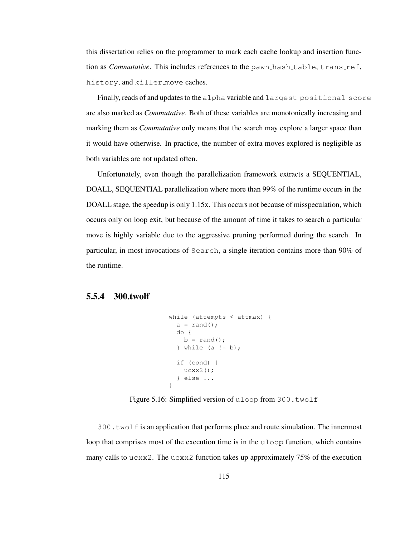this dissertation relies on the programmer to mark each cache lookup and insertion function as *Commutative*. This includes references to the pawn\_hash\_table, trans\_ref, history, and killer move caches.

Finally, reads of and updates to the alpha variable and largest positional score are also marked as *Commutative*. Both of these variables are monotonically increasing and marking them as *Commutative* only means that the search may explore a larger space than it would have otherwise. In practice, the number of extra moves explored is negligible as both variables are not updated often.

Unfortunately, even though the parallelization framework extracts a SEQUENTIAL, DOALL, SEQUENTIAL parallelization where more than 99% of the runtime occurs in the DOALL stage, the speedup is only 1.15x. This occurs not because of misspeculation, which occurs only on loop exit, but because of the amount of time it takes to search a particular move is highly variable due to the aggressive pruning performed during the search. In particular, in most invocations of Search, a single iteration contains more than 90% of the runtime.

#### 5.5.4 300.twolf

```
while (attempts < attmax) {
  a = \text{rand}();
  do {
   b = \text{rand}();
  } while (a != b);
  if (cond) {
   ucxx2();
  } else ...
}
```
Figure 5.16: Simplified version of uloop from 300.twolf

300.twolf is an application that performs place and route simulation. The innermost loop that comprises most of the execution time is in the uloop function, which contains many calls to ucxx2. The ucxx2 function takes up approximately  $75\%$  of the execution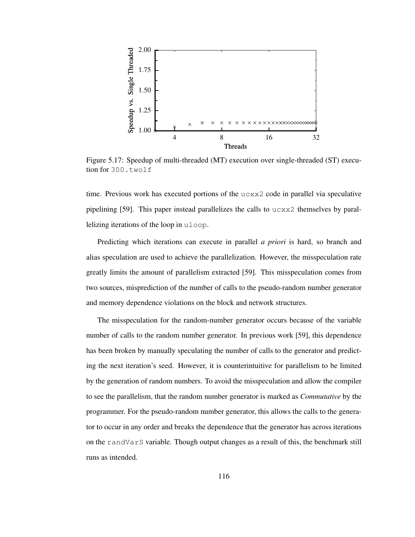

Figure 5.17: Speedup of multi-threaded (MT) execution over single-threaded (ST) execution for 300.twolf

time. Previous work has executed portions of the  $ucxx2$  code in parallel via speculative pipelining [59]. This paper instead parallelizes the calls to  $ucxx2$  themselves by parallelizing iterations of the loop in uloop.

Predicting which iterations can execute in parallel *a priori* is hard, so branch and alias speculation are used to achieve the parallelization. However, the misspeculation rate greatly limits the amount of parallelism extracted [59]. This misspeculation comes from two sources, misprediction of the number of calls to the pseudo-random number generator and memory dependence violations on the block and network structures.

The misspeculation for the random-number generator occurs because of the variable number of calls to the random number generator. In previous work [59], this dependence has been broken by manually speculating the number of calls to the generator and predicting the next iteration's seed. However, it is counterintuitive for parallelism to be limited by the generation of random numbers. To avoid the misspeculation and allow the compiler to see the parallelism, that the random number generator is marked as *Commutative* by the programmer. For the pseudo-random number generator, this allows the calls to the generator to occur in any order and breaks the dependence that the generator has across iterations on the randVarS variable. Though output changes as a result of this, the benchmark still runs as intended.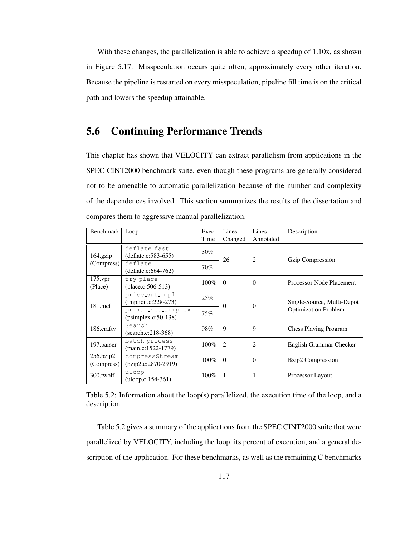With these changes, the parallelization is able to achieve a speedup of 1.10x, as shown in Figure 5.17. Misspeculation occurs quite often, approximately every other iteration. Because the pipeline is restarted on every misspeculation, pipeline fill time is on the critical path and lowers the speedup attainable.

## 5.6 Continuing Performance Trends

This chapter has shown that VELOCITY can extract parallelism from applications in the SPEC CINT2000 benchmark suite, even though these programs are generally considered not to be amenable to automatic parallelization because of the number and complexity of the dependences involved. This section summarizes the results of the dissertation and compares them to aggressive manual parallelization.

| Benchmark                     | Loop                                        | Exec.   | Lines                       | Lines          | Description                                               |
|-------------------------------|---------------------------------------------|---------|-----------------------------|----------------|-----------------------------------------------------------|
|                               |                                             | Time    | Changed                     | Annotated      |                                                           |
| $164$ .gzip                   | deflate_fast<br>$(deflate.c:583-655)$       | 30%     | 26                          | 2              | <b>Gzip Compression</b>                                   |
| (Compress)                    | deflate<br>$(deflate.c:664-762)$            | 70%     |                             |                |                                                           |
| $175$ .vpr<br>(Place)         | try_place<br>(place.c: $506 - 513$ )        | $100\%$ | $\Omega$                    | $\theta$       | Processor Node Placement                                  |
| $181$ .mcf                    | price_out_impl<br>$(implicit.c:228-273)$    | 25%     | $\Omega$                    | $\Omega$       | Single-Source, Multi-Depot<br><b>Optimization Problem</b> |
|                               | primal_net_simplex<br>$(psimplex.c:50-138)$ | 75%     |                             |                |                                                           |
| 186.crafty                    | Search<br>$(search.c:218-368)$              | 98%     | 9                           | 9              | <b>Chess Playing Program</b>                              |
| 197.parser                    | batch_process<br>$(main.c:1522-1779)$       | $100\%$ | $\mathcal{D}_{\mathcal{L}}$ | $\overline{c}$ | English Grammar Checker                                   |
| $256$ .bzip $2$<br>(Compress) | compressStream<br>$(bzip2.c:2870-2919)$     | $100\%$ | $\Omega$                    | $\theta$       | Bzip2 Compression                                         |
| 300.twolf                     | uloop<br>(uloop.c:154-361)                  | $100\%$ | 1                           | 1              | Processor Layout                                          |

Table 5.2: Information about the loop(s) parallelized, the execution time of the loop, and a description.

Table 5.2 gives a summary of the applications from the SPEC CINT2000 suite that were parallelized by VELOCITY, including the loop, its percent of execution, and a general description of the application. For these benchmarks, as well as the remaining C benchmarks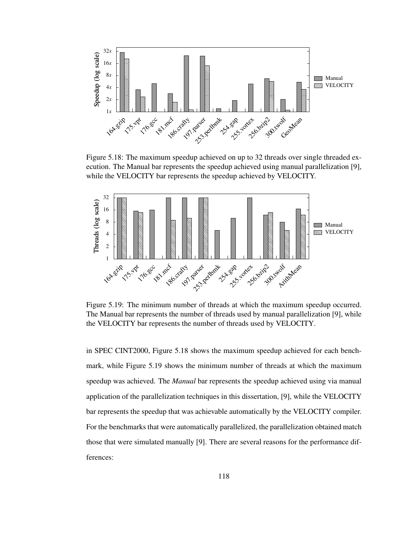

Figure 5.18: The maximum speedup achieved on up to 32 threads over single threaded execution. The Manual bar represents the speedup achieved using manual parallelization [9], while the VELOCITY bar represents the speedup achieved by VELOCITY.



Figure 5.19: The minimum number of threads at which the maximum speedup occurred. The Manual bar represents the number of threads used by manual parallelization [9], while the VELOCITY bar represents the number of threads used by VELOCITY.

in SPEC CINT2000, Figure 5.18 shows the maximum speedup achieved for each benchmark, while Figure 5.19 shows the minimum number of threads at which the maximum speedup was achieved. The *Manual* bar represents the speedup achieved using via manual application of the parallelization techniques in this dissertation, [9], while the VELOCITY bar represents the speedup that was achievable automatically by the VELOCITY compiler. For the benchmarks that were automatically parallelized, the parallelization obtained match those that were simulated manually [9]. There are several reasons for the performance differences: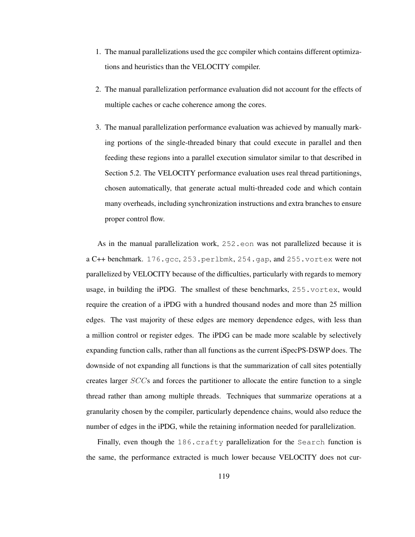- 1. The manual parallelizations used the gcc compiler which contains different optimizations and heuristics than the VELOCITY compiler.
- 2. The manual parallelization performance evaluation did not account for the effects of multiple caches or cache coherence among the cores.
- 3. The manual parallelization performance evaluation was achieved by manually marking portions of the single-threaded binary that could execute in parallel and then feeding these regions into a parallel execution simulator similar to that described in Section 5.2. The VELOCITY performance evaluation uses real thread partitionings, chosen automatically, that generate actual multi-threaded code and which contain many overheads, including synchronization instructions and extra branches to ensure proper control flow.

As in the manual parallelization work, 252.eon was not parallelized because it is a C++ benchmark. 176.gcc, 253.perlbmk, 254.gap, and 255.vortex were not parallelized by VELOCITY because of the difficulties, particularly with regards to memory usage, in building the iPDG. The smallest of these benchmarks, 255.vortex, would require the creation of a iPDG with a hundred thousand nodes and more than 25 million edges. The vast majority of these edges are memory dependence edges, with less than a million control or register edges. The iPDG can be made more scalable by selectively expanding function calls, rather than all functions as the current iSpecPS-DSWP does. The downside of not expanding all functions is that the summarization of call sites potentially creates larger SCCs and forces the partitioner to allocate the entire function to a single thread rather than among multiple threads. Techniques that summarize operations at a granularity chosen by the compiler, particularly dependence chains, would also reduce the number of edges in the iPDG, while the retaining information needed for parallelization.

Finally, even though the 186.crafty parallelization for the Search function is the same, the performance extracted is much lower because VELOCITY does not cur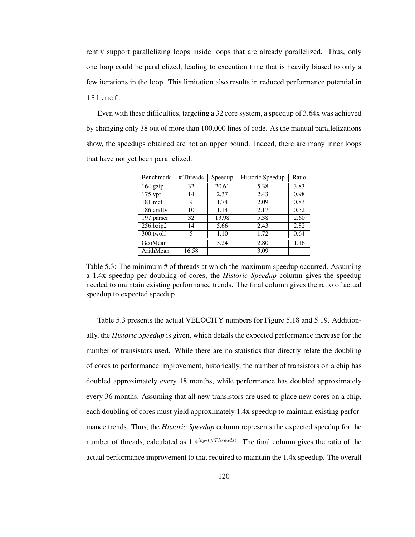rently support parallelizing loops inside loops that are already parallelized. Thus, only one loop could be parallelized, leading to execution time that is heavily biased to only a few iterations in the loop. This limitation also results in reduced performance potential in 181.mcf.

Even with these difficulties, targeting a 32 core system, a speedup of 3.64x was achieved by changing only 38 out of more than 100,000 lines of code. As the manual parallelizations show, the speedups obtained are not an upper bound. Indeed, there are many inner loops that have not yet been parallelized.

| <b>Benchmark</b> | # Threads | Speedup | Historic Speedup | Ratio |
|------------------|-----------|---------|------------------|-------|
| 164.gzip         | 32        | 20.61   | 5.38             | 3.83  |
| $175$ .vpr       | 14        | 2.37    | 2.43             | 0.98  |
| $181$ .mcf       | 9         | 1.74    | 2.09             | 0.83  |
| 186.crafty       | 10        | 1.14    | 2.17             | 0.52  |
| 197.parser       | 32        | 13.98   | 5.38             | 2.60  |
| 256.bzip2        | 14        | 5.66    | 2.43             | 2.82  |
| 300.twolf        | 5         | 1.10    | 1.72             | 0.64  |
| GeoMean          |           | 3.24    | 2.80             | 1.16  |
| ArithMean        | 16.58     |         | 3.09             |       |

Table 5.3: The minimum # of threads at which the maximum speedup occurred. Assuming a 1.4x speedup per doubling of cores, the *Historic Speedup* column gives the speedup needed to maintain existing performance trends. The final column gives the ratio of actual speedup to expected speedup.

Table 5.3 presents the actual VELOCITY numbers for Figure 5.18 and 5.19. Additionally, the *Historic Speedup* is given, which details the expected performance increase for the number of transistors used. While there are no statistics that directly relate the doubling of cores to performance improvement, historically, the number of transistors on a chip has doubled approximately every 18 months, while performance has doubled approximately every 36 months. Assuming that all new transistors are used to place new cores on a chip, each doubling of cores must yield approximately 1.4x speedup to maintain existing performance trends. Thus, the *Historic Speedup* column represents the expected speedup for the number of threads, calculated as  $1.4^{log_2(\#Threads)}$ . The final column gives the ratio of the actual performance improvement to that required to maintain the 1.4x speedup. The overall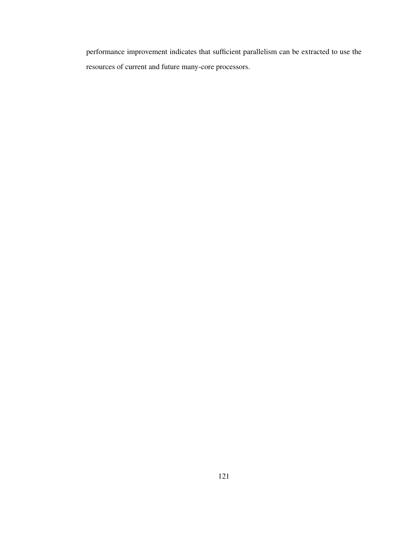performance improvement indicates that sufficient parallelism can be extracted to use the resources of current and future many-core processors.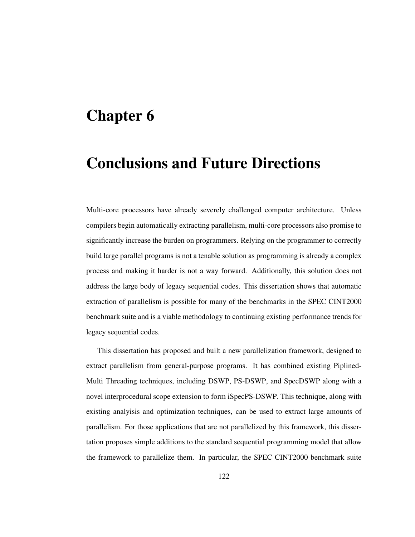# Chapter 6

# Conclusions and Future Directions

Multi-core processors have already severely challenged computer architecture. Unless compilers begin automatically extracting parallelism, multi-core processors also promise to significantly increase the burden on programmers. Relying on the programmer to correctly build large parallel programs is not a tenable solution as programming is already a complex process and making it harder is not a way forward. Additionally, this solution does not address the large body of legacy sequential codes. This dissertation shows that automatic extraction of parallelism is possible for many of the benchmarks in the SPEC CINT2000 benchmark suite and is a viable methodology to continuing existing performance trends for legacy sequential codes.

This dissertation has proposed and built a new parallelization framework, designed to extract parallelism from general-purpose programs. It has combined existing Piplined-Multi Threading techniques, including DSWP, PS-DSWP, and SpecDSWP along with a novel interprocedural scope extension to form iSpecPS-DSWP. This technique, along with existing analyisis and optimization techniques, can be used to extract large amounts of parallelism. For those applications that are not parallelized by this framework, this dissertation proposes simple additions to the standard sequential programming model that allow the framework to parallelize them. In particular, the SPEC CINT2000 benchmark suite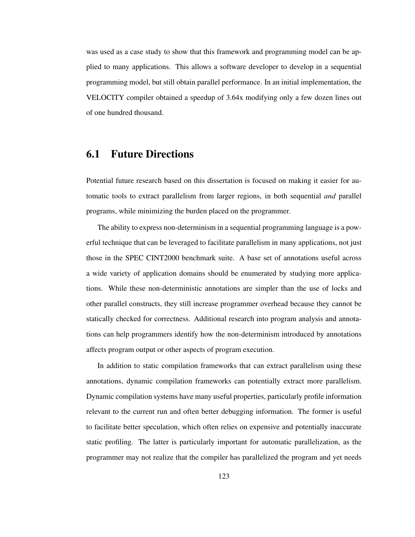was used as a case study to show that this framework and programming model can be applied to many applications. This allows a software developer to develop in a sequential programming model, but still obtain parallel performance. In an initial implementation, the VELOCITY compiler obtained a speedup of 3.64x modifying only a few dozen lines out of one hundred thousand.

# 6.1 Future Directions

Potential future research based on this dissertation is focused on making it easier for automatic tools to extract parallelism from larger regions, in both sequential *and* parallel programs, while minimizing the burden placed on the programmer.

The ability to express non-determinism in a sequential programming language is a powerful technique that can be leveraged to facilitate parallelism in many applications, not just those in the SPEC CINT2000 benchmark suite. A base set of annotations useful across a wide variety of application domains should be enumerated by studying more applications. While these non-deterministic annotations are simpler than the use of locks and other parallel constructs, they still increase programmer overhead because they cannot be statically checked for correctness. Additional research into program analysis and annotations can help programmers identify how the non-determinism introduced by annotations affects program output or other aspects of program execution.

In addition to static compilation frameworks that can extract parallelism using these annotations, dynamic compilation frameworks can potentially extract more parallelism. Dynamic compilation systems have many useful properties, particularly profile information relevant to the current run and often better debugging information. The former is useful to facilitate better speculation, which often relies on expensive and potentially inaccurate static profiling. The latter is particularly important for automatic parallelization, as the programmer may not realize that the compiler has parallelized the program and yet needs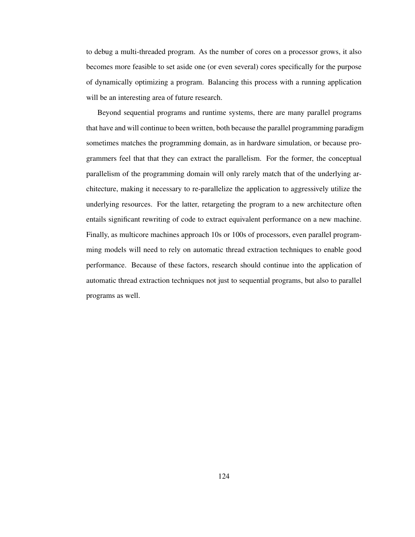to debug a multi-threaded program. As the number of cores on a processor grows, it also becomes more feasible to set aside one (or even several) cores specifically for the purpose of dynamically optimizing a program. Balancing this process with a running application will be an interesting area of future research.

Beyond sequential programs and runtime systems, there are many parallel programs that have and will continue to been written, both because the parallel programming paradigm sometimes matches the programming domain, as in hardware simulation, or because programmers feel that that they can extract the parallelism. For the former, the conceptual parallelism of the programming domain will only rarely match that of the underlying architecture, making it necessary to re-parallelize the application to aggressively utilize the underlying resources. For the latter, retargeting the program to a new architecture often entails significant rewriting of code to extract equivalent performance on a new machine. Finally, as multicore machines approach 10s or 100s of processors, even parallel programming models will need to rely on automatic thread extraction techniques to enable good performance. Because of these factors, research should continue into the application of automatic thread extraction techniques not just to sequential programs, but also to parallel programs as well.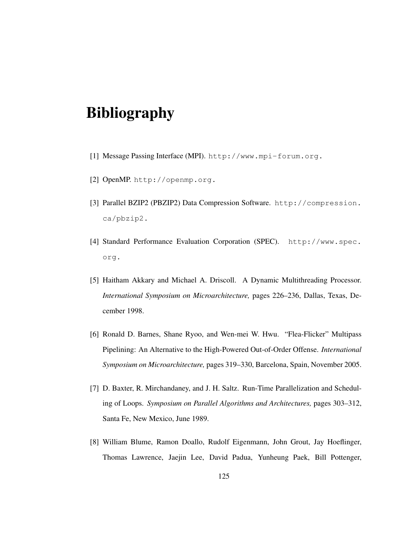# Bibliography

- [1] Message Passing Interface (MPI). http://www.mpi-forum.org.
- [2] OpenMP. http://openmp.org.
- [3] Parallel BZIP2 (PBZIP2) Data Compression Software. http://compression. ca/pbzip2.
- [4] Standard Performance Evaluation Corporation (SPEC). http://www.spec. org.
- [5] Haitham Akkary and Michael A. Driscoll. A Dynamic Multithreading Processor. *International Symposium on Microarchitecture,* pages 226–236, Dallas, Texas, December 1998.
- [6] Ronald D. Barnes, Shane Ryoo, and Wen-mei W. Hwu. "Flea-Flicker" Multipass Pipelining: An Alternative to the High-Powered Out-of-Order Offense. *International Symposium on Microarchitecture,* pages 319–330, Barcelona, Spain, November 2005.
- [7] D. Baxter, R. Mirchandaney, and J. H. Saltz. Run-Time Parallelization and Scheduling of Loops. *Symposium on Parallel Algorithms and Architectures,* pages 303–312, Santa Fe, New Mexico, June 1989.
- [8] William Blume, Ramon Doallo, Rudolf Eigenmann, John Grout, Jay Hoeflinger, Thomas Lawrence, Jaejin Lee, David Padua, Yunheung Paek, Bill Pottenger,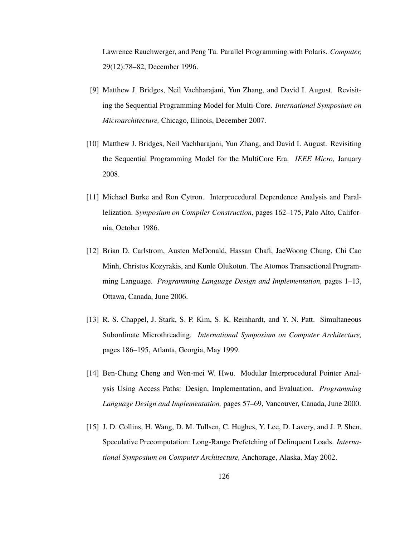Lawrence Rauchwerger, and Peng Tu. Parallel Programming with Polaris. *Computer,* 29(12):78–82, December 1996.

- [9] Matthew J. Bridges, Neil Vachharajani, Yun Zhang, and David I. August. Revisiting the Sequential Programming Model for Multi-Core. *International Symposium on Microarchitecture,* Chicago, Illinois, December 2007.
- [10] Matthew J. Bridges, Neil Vachharajani, Yun Zhang, and David I. August. Revisiting the Sequential Programming Model for the MultiCore Era. *IEEE Micro,* January 2008.
- [11] Michael Burke and Ron Cytron. Interprocedural Dependence Analysis and Parallelization. *Symposium on Compiler Construction,* pages 162–175, Palo Alto, California, October 1986.
- [12] Brian D. Carlstrom, Austen McDonald, Hassan Chafi, JaeWoong Chung, Chi Cao Minh, Christos Kozyrakis, and Kunle Olukotun. The Atomos Transactional Programming Language. *Programming Language Design and Implementation,* pages 1–13, Ottawa, Canada, June 2006.
- [13] R. S. Chappel, J. Stark, S. P. Kim, S. K. Reinhardt, and Y. N. Patt. Simultaneous Subordinate Microthreading. *International Symposium on Computer Architecture,* pages 186–195, Atlanta, Georgia, May 1999.
- [14] Ben-Chung Cheng and Wen-mei W. Hwu. Modular Interprocedural Pointer Analysis Using Access Paths: Design, Implementation, and Evaluation. *Programming Language Design and Implementation,* pages 57–69, Vancouver, Canada, June 2000.
- [15] J. D. Collins, H. Wang, D. M. Tullsen, C. Hughes, Y. Lee, D. Lavery, and J. P. Shen. Speculative Precomputation: Long-Range Prefetching of Delinquent Loads. *International Symposium on Computer Architecture,* Anchorage, Alaska, May 2002.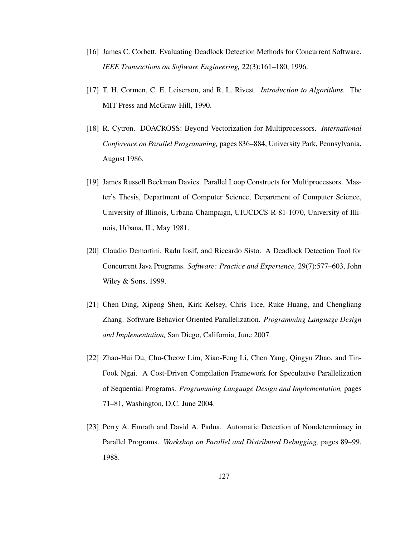- [16] James C. Corbett. Evaluating Deadlock Detection Methods for Concurrent Software. *IEEE Transactions on Software Engineering,* 22(3):161–180, 1996.
- [17] T. H. Cormen, C. E. Leiserson, and R. L. Rivest. *Introduction to Algorithms.* The MIT Press and McGraw-Hill, 1990.
- [18] R. Cytron. DOACROSS: Beyond Vectorization for Multiprocessors. *International Conference on Parallel Programming,* pages 836–884, University Park, Pennsylvania, August 1986.
- [19] James Russell Beckman Davies. Parallel Loop Constructs for Multiprocessors. Master's Thesis, Department of Computer Science, Department of Computer Science, University of Illinois, Urbana-Champaign, UIUCDCS-R-81-1070, University of Illinois, Urbana, IL, May 1981.
- [20] Claudio Demartini, Radu Iosif, and Riccardo Sisto. A Deadlock Detection Tool for Concurrent Java Programs. *Software: Practice and Experience,* 29(7):577–603, John Wiley & Sons, 1999.
- [21] Chen Ding, Xipeng Shen, Kirk Kelsey, Chris Tice, Ruke Huang, and Chengliang Zhang. Software Behavior Oriented Parallelization. *Programming Language Design and Implementation,* San Diego, California, June 2007.
- [22] Zhao-Hui Du, Chu-Cheow Lim, Xiao-Feng Li, Chen Yang, Qingyu Zhao, and Tin-Fook Ngai. A Cost-Driven Compilation Framework for Speculative Parallelization of Sequential Programs. *Programming Language Design and Implementation,* pages 71–81, Washington, D.C. June 2004.
- [23] Perry A. Emrath and David A. Padua. Automatic Detection of Nondeterminacy in Parallel Programs. *Workshop on Parallel and Distributed Debugging,* pages 89–99, 1988.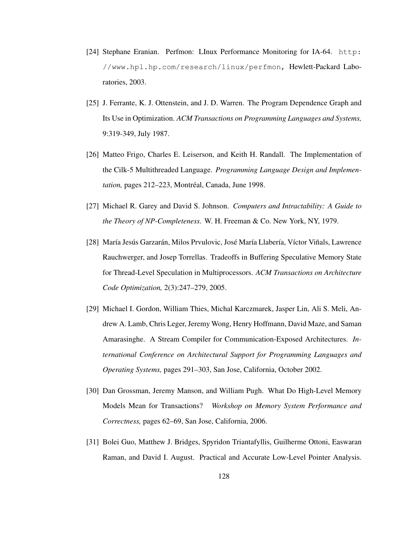- [24] Stephane Eranian. Perfmon: LInux Performance Monitoring for IA-64. http: //www.hpl.hp.com/research/linux/perfmon, Hewlett-Packard Laboratories, 2003.
- [25] J. Ferrante, K. J. Ottenstein, and J. D. Warren. The Program Dependence Graph and Its Use in Optimization. *ACM Transactions on Programming Languages and Systems,* 9:319-349, July 1987.
- [26] Matteo Frigo, Charles E. Leiserson, and Keith H. Randall. The Implementation of the Cilk-5 Multithreaded Language. *Programming Language Design and Implementation*, pages 212–223, Montréal, Canada, June 1998.
- [27] Michael R. Garey and David S. Johnson. *Computers and Intractability: A Guide to the Theory of NP-Completeness.* W. H. Freeman & Co. New York, NY, 1979.
- [28] María Jesús Garzarán, Milos Prvulovic, José María Llabería, Víctor Viñals, Lawrence Rauchwerger, and Josep Torrellas. Tradeoffs in Buffering Speculative Memory State for Thread-Level Speculation in Multiprocessors. *ACM Transactions on Architecture Code Optimization,* 2(3):247–279, 2005.
- [29] Michael I. Gordon, William Thies, Michal Karczmarek, Jasper Lin, Ali S. Meli, Andrew A. Lamb, Chris Leger, Jeremy Wong, Henry Hoffmann, David Maze, and Saman Amarasinghe. A Stream Compiler for Communication-Exposed Architectures. *International Conference on Architectural Support for Programming Languages and Operating Systems,* pages 291–303, San Jose, California, October 2002.
- [30] Dan Grossman, Jeremy Manson, and William Pugh. What Do High-Level Memory Models Mean for Transactions? *Workshop on Memory System Performance and Correctness,* pages 62–69, San Jose, California, 2006.
- [31] Bolei Guo, Matthew J. Bridges, Spyridon Triantafyllis, Guilherme Ottoni, Easwaran Raman, and David I. August. Practical and Accurate Low-Level Pointer Analysis.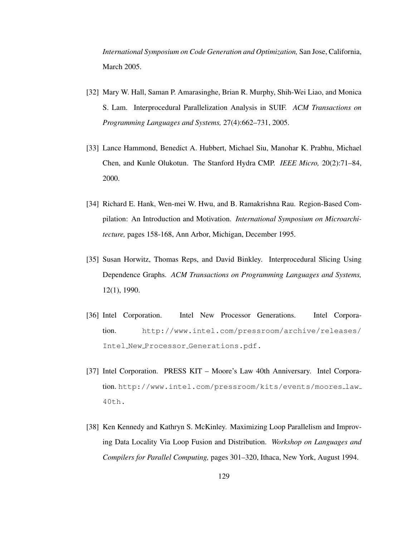*International Symposium on Code Generation and Optimization,* San Jose, California, March 2005.

- [32] Mary W. Hall, Saman P. Amarasinghe, Brian R. Murphy, Shih-Wei Liao, and Monica S. Lam. Interprocedural Parallelization Analysis in SUIF. *ACM Transactions on Programming Languages and Systems,* 27(4):662–731, 2005.
- [33] Lance Hammond, Benedict A. Hubbert, Michael Siu, Manohar K. Prabhu, Michael Chen, and Kunle Olukotun. The Stanford Hydra CMP. *IEEE Micro,* 20(2):71–84, 2000.
- [34] Richard E. Hank, Wen-mei W. Hwu, and B. Ramakrishna Rau. Region-Based Compilation: An Introduction and Motivation. *International Symposium on Microarchitecture,* pages 158-168, Ann Arbor, Michigan, December 1995.
- [35] Susan Horwitz, Thomas Reps, and David Binkley. Interprocedural Slicing Using Dependence Graphs. *ACM Transactions on Programming Languages and Systems,* 12(1), 1990.
- [36] Intel Corporation. Intel New Processor Generations. Intel Corporation. http://www.intel.com/pressroom/archive/releases/ Intel New Processor Generations.pdf.
- [37] Intel Corporation. PRESS KIT Moore's Law 40th Anniversary. Intel Corporation. http://www.intel.com/pressroom/kits/events/moores law 40th.
- [38] Ken Kennedy and Kathryn S. McKinley. Maximizing Loop Parallelism and Improving Data Locality Via Loop Fusion and Distribution. *Workshop on Languages and Compilers for Parallel Computing,* pages 301–320, Ithaca, New York, August 1994.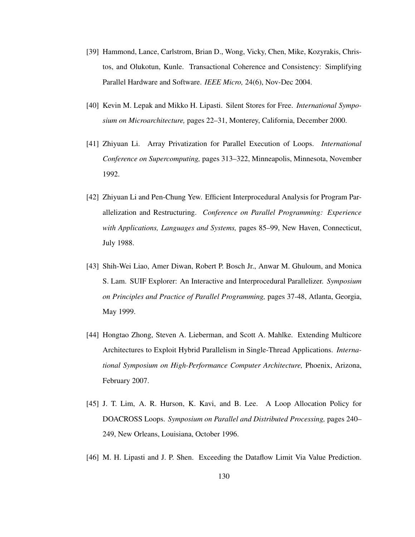- [39] Hammond, Lance, Carlstrom, Brian D., Wong, Vicky, Chen, Mike, Kozyrakis, Christos, and Olukotun, Kunle. Transactional Coherence and Consistency: Simplifying Parallel Hardware and Software. *IEEE Micro,* 24(6), Nov-Dec 2004.
- [40] Kevin M. Lepak and Mikko H. Lipasti. Silent Stores for Free. *International Symposium on Microarchitecture,* pages 22–31, Monterey, California, December 2000.
- [41] Zhiyuan Li. Array Privatization for Parallel Execution of Loops. *International Conference on Supercomputing,* pages 313–322, Minneapolis, Minnesota, November 1992.
- [42] Zhiyuan Li and Pen-Chung Yew. Efficient Interprocedural Analysis for Program Parallelization and Restructuring. *Conference on Parallel Programming: Experience with Applications, Languages and Systems,* pages 85–99, New Haven, Connecticut, July 1988.
- [43] Shih-Wei Liao, Amer Diwan, Robert P. Bosch Jr., Anwar M. Ghuloum, and Monica S. Lam. SUIF Explorer: An Interactive and Interprocedural Parallelizer. *Symposium on Principles and Practice of Parallel Programming,* pages 37-48, Atlanta, Georgia, May 1999.
- [44] Hongtao Zhong, Steven A. Lieberman, and Scott A. Mahlke. Extending Multicore Architectures to Exploit Hybrid Parallelism in Single-Thread Applications. *International Symposium on High-Performance Computer Architecture,* Phoenix, Arizona, February 2007.
- [45] J. T. Lim, A. R. Hurson, K. Kavi, and B. Lee. A Loop Allocation Policy for DOACROSS Loops. *Symposium on Parallel and Distributed Processing,* pages 240– 249, New Orleans, Louisiana, October 1996.
- [46] M. H. Lipasti and J. P. Shen. Exceeding the Dataflow Limit Via Value Prediction.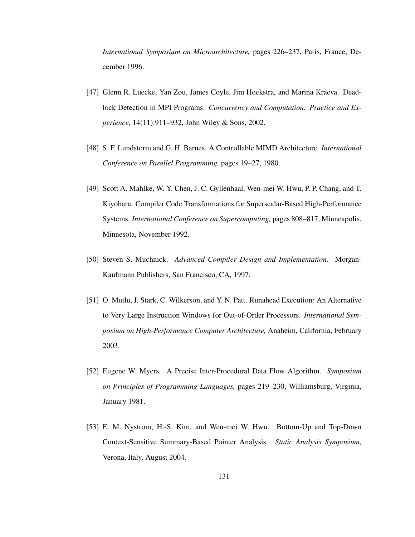*International Symposium on Microarchitecture,* pages 226–237, Paris, France, December 1996.

- [47] Glenn R. Luecke, Yan Zou, James Coyle, Jim Hoekstra, and Marina Kraeva. Deadlock Detection in MPI Programs. *Concurrency and Computation: Practice and Experience,* 14(11):911–932, John Wiley & Sons, 2002.
- [48] S. F. Lundstorm and G. H. Barnes. A Controllable MIMD Architecture. *International Conference on Parallel Programming,* pages 19–27, 1980.
- [49] Scott A. Mahlke, W. Y. Chen, J. C. Gyllenhaal, Wen-mei W. Hwu, P. P. Chang, and T. Kiyohara. Compiler Code Transformations for Superscalar-Based High-Performance Systems. *International Conference on Supercomputing,* pages 808–817, Minneapolis, Minnesota, November 1992.
- [50] Steven S. Muchnick. *Advanced Compiler Design and Implementation.* Morgan-Kaufmann Publishers, San Francisco, CA, 1997.
- [51] O. Mutlu, J. Stark, C. Wilkerson, and Y. N. Patt. Runahead Execution: An Alternative to Very Large Instruction Windows for Out-of-Order Processors. *International Symposium on High-Performance Computer Architecture,* Anaheim, California, February 2003.
- [52] Eugene W. Myers. A Precise Inter-Procedural Data Flow Algorithm. *Symposium on Principles of Programming Languages,* pages 219–230, Williamsburg, Virginia, January 1981.
- [53] E. M. Nystrom, H.-S. Kim, and Wen-mei W. Hwu. Bottom-Up and Top-Down Context-Sensitive Summary-Based Pointer Analysis. *Static Analysis Symposium,* Verona, Italy, August 2004.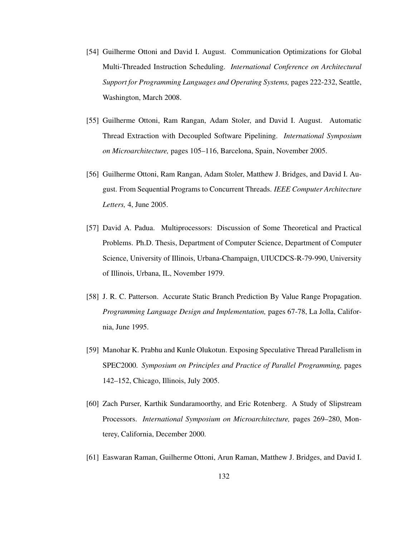- [54] Guilherme Ottoni and David I. August. Communication Optimizations for Global Multi-Threaded Instruction Scheduling. *International Conference on Architectural Support for Programming Languages and Operating Systems,* pages 222-232, Seattle, Washington, March 2008.
- [55] Guilherme Ottoni, Ram Rangan, Adam Stoler, and David I. August. Automatic Thread Extraction with Decoupled Software Pipelining. *International Symposium on Microarchitecture,* pages 105–116, Barcelona, Spain, November 2005.
- [56] Guilherme Ottoni, Ram Rangan, Adam Stoler, Matthew J. Bridges, and David I. August. From Sequential Programs to Concurrent Threads. *IEEE Computer Architecture Letters,* 4, June 2005.
- [57] David A. Padua. Multiprocessors: Discussion of Some Theoretical and Practical Problems. Ph.D. Thesis, Department of Computer Science, Department of Computer Science, University of Illinois, Urbana-Champaign, UIUCDCS-R-79-990, University of Illinois, Urbana, IL, November 1979.
- [58] J. R. C. Patterson. Accurate Static Branch Prediction By Value Range Propagation. *Programming Language Design and Implementation,* pages 67-78, La Jolla, California, June 1995.
- [59] Manohar K. Prabhu and Kunle Olukotun. Exposing Speculative Thread Parallelism in SPEC2000. *Symposium on Principles and Practice of Parallel Programming,* pages 142–152, Chicago, Illinois, July 2005.
- [60] Zach Purser, Karthik Sundaramoorthy, and Eric Rotenberg. A Study of Slipstream Processors. *International Symposium on Microarchitecture,* pages 269–280, Monterey, California, December 2000.
- [61] Easwaran Raman, Guilherme Ottoni, Arun Raman, Matthew J. Bridges, and David I.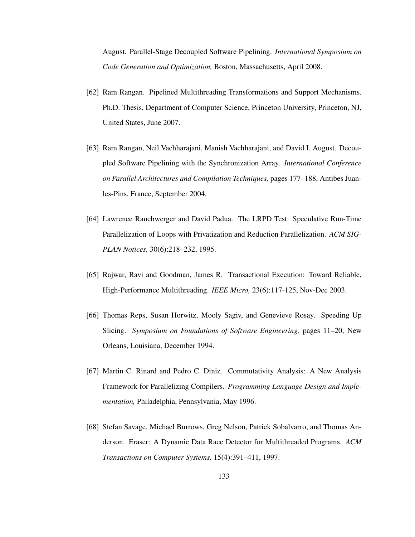August. Parallel-Stage Decoupled Software Pipelining. *International Symposium on Code Generation and Optimization,* Boston, Massachusetts, April 2008.

- [62] Ram Rangan. Pipelined Multithreading Transformations and Support Mechanisms. Ph.D. Thesis, Department of Computer Science, Princeton University, Princeton, NJ, United States, June 2007.
- [63] Ram Rangan, Neil Vachharajani, Manish Vachharajani, and David I. August. Decoupled Software Pipelining with the Synchronization Array. *International Conference on Parallel Architectures and Compilation Techniques,* pages 177–188, Antibes Juanles-Pins, France, September 2004.
- [64] Lawrence Rauchwerger and David Padua. The LRPD Test: Speculative Run-Time Parallelization of Loops with Privatization and Reduction Parallelization. *ACM SIG-PLAN Notices,* 30(6):218–232, 1995.
- [65] Rajwar, Ravi and Goodman, James R. Transactional Execution: Toward Reliable, High-Performance Multithreading. *IEEE Micro,* 23(6):117-125, Nov-Dec 2003.
- [66] Thomas Reps, Susan Horwitz, Mooly Sagiv, and Genevieve Rosay. Speeding Up Slicing. *Symposium on Foundations of Software Engineering,* pages 11–20, New Orleans, Louisiana, December 1994.
- [67] Martin C. Rinard and Pedro C. Diniz. Commutativity Analysis: A New Analysis Framework for Parallelizing Compilers. *Programming Language Design and Implementation,* Philadelphia, Pennsylvania, May 1996.
- [68] Stefan Savage, Michael Burrows, Greg Nelson, Patrick Sobalvarro, and Thomas Anderson. Eraser: A Dynamic Data Race Detector for Multithreaded Programs. *ACM Transactions on Computer Systems,* 15(4):391–411, 1997.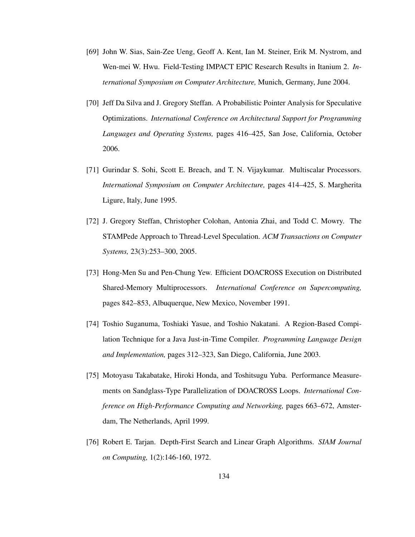- [69] John W. Sias, Sain-Zee Ueng, Geoff A. Kent, Ian M. Steiner, Erik M. Nystrom, and Wen-mei W. Hwu. Field-Testing IMPACT EPIC Research Results in Itanium 2. *International Symposium on Computer Architecture,* Munich, Germany, June 2004.
- [70] Jeff Da Silva and J. Gregory Steffan. A Probabilistic Pointer Analysis for Speculative Optimizations. *International Conference on Architectural Support for Programming Languages and Operating Systems,* pages 416–425, San Jose, California, October 2006.
- [71] Gurindar S. Sohi, Scott E. Breach, and T. N. Vijaykumar. Multiscalar Processors. *International Symposium on Computer Architecture,* pages 414–425, S. Margherita Ligure, Italy, June 1995.
- [72] J. Gregory Steffan, Christopher Colohan, Antonia Zhai, and Todd C. Mowry. The STAMPede Approach to Thread-Level Speculation. *ACM Transactions on Computer Systems,* 23(3):253–300, 2005.
- [73] Hong-Men Su and Pen-Chung Yew. Efficient DOACROSS Execution on Distributed Shared-Memory Multiprocessors. *International Conference on Supercomputing,* pages 842–853, Albuquerque, New Mexico, November 1991.
- [74] Toshio Suganuma, Toshiaki Yasue, and Toshio Nakatani. A Region-Based Compilation Technique for a Java Just-in-Time Compiler. *Programming Language Design and Implementation,* pages 312–323, San Diego, California, June 2003.
- [75] Motoyasu Takabatake, Hiroki Honda, and Toshitsugu Yuba. Performance Measurements on Sandglass-Type Parallelization of DOACROSS Loops. *International Conference on High-Performance Computing and Networking,* pages 663–672, Amsterdam, The Netherlands, April 1999.
- [76] Robert E. Tarjan. Depth-First Search and Linear Graph Algorithms. *SIAM Journal on Computing,* 1(2):146-160, 1972.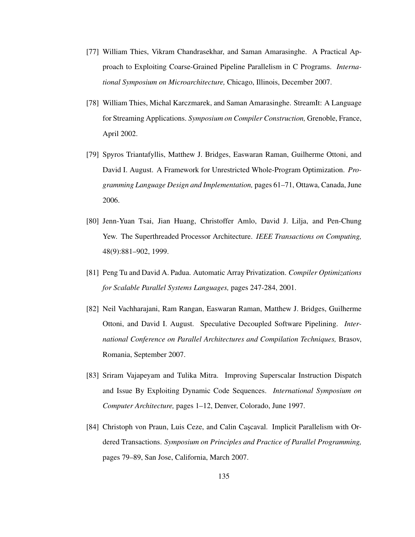- [77] William Thies, Vikram Chandrasekhar, and Saman Amarasinghe. A Practical Approach to Exploiting Coarse-Grained Pipeline Parallelism in C Programs. *International Symposium on Microarchitecture,* Chicago, Illinois, December 2007.
- [78] William Thies, Michal Karczmarek, and Saman Amarasinghe. StreamIt: A Language for Streaming Applications. *Symposium on Compiler Construction,* Grenoble, France, April 2002.
- [79] Spyros Triantafyllis, Matthew J. Bridges, Easwaran Raman, Guilherme Ottoni, and David I. August. A Framework for Unrestricted Whole-Program Optimization. *Programming Language Design and Implementation,* pages 61–71, Ottawa, Canada, June 2006.
- [80] Jenn-Yuan Tsai, Jian Huang, Christoffer Amlo, David J. Lilja, and Pen-Chung Yew. The Superthreaded Processor Architecture. *IEEE Transactions on Computing,* 48(9):881–902, 1999.
- [81] Peng Tu and David A. Padua. Automatic Array Privatization. *Compiler Optimizations for Scalable Parallel Systems Languages,* pages 247-284, 2001.
- [82] Neil Vachharajani, Ram Rangan, Easwaran Raman, Matthew J. Bridges, Guilherme Ottoni, and David I. August. Speculative Decoupled Software Pipelining. *International Conference on Parallel Architectures and Compilation Techniques,* Brasov, Romania, September 2007.
- [83] Sriram Vajapeyam and Tulika Mitra. Improving Superscalar Instruction Dispatch and Issue By Exploiting Dynamic Code Sequences. *International Symposium on Computer Architecture,* pages 1–12, Denver, Colorado, June 1997.
- [84] Christoph von Praun, Luis Ceze, and Calin Cascaval. Implicit Parallelism with Ordered Transactions. *Symposium on Principles and Practice of Parallel Programming,* pages 79–89, San Jose, California, March 2007.